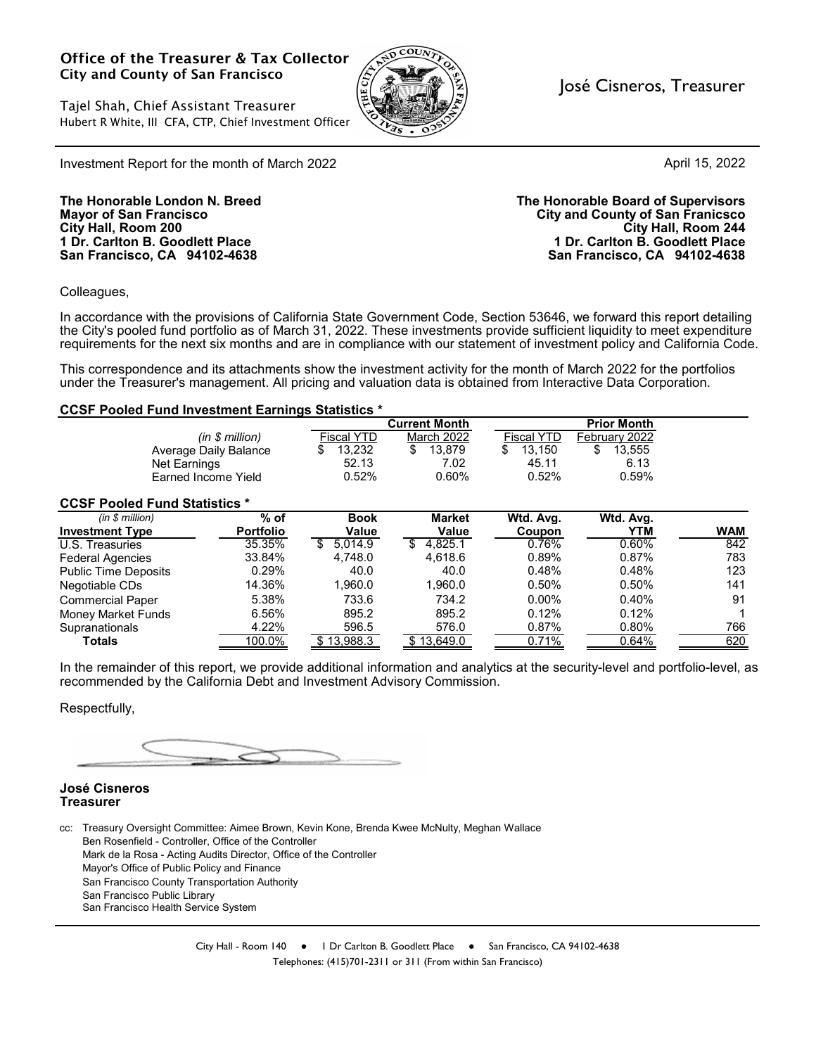#### Office of the Treasurer & Tax Collector City and County of San Francisco

Tajel Shah, Chief Assistant Treasurer Hubert R White, III CFA, CTP, Chief Investment Officer



José Cisneros, Treasurer

April 15, 2022

Investment Report for the month of March 2022

**San Francisco, CA 94102-4638 San Francisco, CA 94102-4638**

**The Honorable London N. Breed The Honorable Board of Supervisors Mayor of San Francisco City and County of San Franicsco City Hall, Room 200 City Hall, Room 244 1 Dr. Carlton B. Goodlett Place 1 Dr. Carlton B. Goodlett Place**

Colleagues,

In accordance with the provisions of California State Government Code, Section 53646, we forward this report detailing the City's pooled fund portfolio as of March 31, 2022. These investments provide sufficient liquidity to meet expenditure requirements for the next six months and are in compliance with our statement of investment policy and California Code.

This correspondence and its attachments show the investment activity for the month of March 2022 for the portfolios under the Treasurer's management. All pricing and valuation data is obtained from Interactive Data Corporation.

#### **CCSF Pooled Fund Investment Earnings Statistics \***

|                                      |                  |                   | <b>Current Month</b> |                   | <b>Prior Month</b> |            |
|--------------------------------------|------------------|-------------------|----------------------|-------------------|--------------------|------------|
|                                      | (in \$ million)  | <b>Fiscal YTD</b> | <b>March 2022</b>    | <b>Fiscal YTD</b> | February 2022      |            |
| Average Daily Balance                |                  | 13,232<br>S       | \$<br>13.879         | 13,150<br>\$      | 13,555<br>\$       |            |
| Net Earnings                         |                  | 52.13             | 7.02                 | 45.11             | 6.13               |            |
| Farned Income Yield                  |                  | 0.52%             | 0.60%                | 0.52%             | 0.59%              |            |
| <b>CCSF Pooled Fund Statistics *</b> |                  |                   |                      |                   |                    |            |
| (in \$ million)                      | $%$ of           | <b>Book</b>       | <b>Market</b>        | Wtd. Avg.         | Wtd. Avg.          |            |
| <b>Investment Type</b>               | <b>Portfolio</b> | <b>Value</b>      | Value                | Coupon            | <b>YTM</b>         | <b>WAM</b> |
| U.S. Treasuries                      | 35.35%           | 5.014.9<br>\$.    | 4.825.1<br>S         | 0.76%             | 0.60%              | 842        |
| <b>Federal Agencies</b>              | 33.84%           | 4.748.0           | 4.618.6              | 0.89%             | 0.87%              | 783        |
| <b>Public Time Deposits</b>          | 0.29%            | 40.0              | 40.0                 | 0.48%             | 0.48%              | 123        |
| Negotiable CDs                       | 14.36%           | 1,960.0           | 1,960.0              | 0.50%             | 0.50%              | 141        |
| <b>Commercial Paper</b>              | 5.38%            | 733.6             | 734.2                | $0.00\%$          | 0.40%              | 91         |
| <b>Money Market Funds</b>            | 6.56%            | 895.2             | 895.2                | 0.12%             | 0.12%              |            |
| Supranationals                       | 4.22%            | 596.5             | 576.0                | 0.87%             | 0.80%              | 766        |
| <b>Totals</b>                        | 100.0%           | \$13,988.3        | 13,649.0             | 0.71%             | 0.64%              | 620        |

In the remainder of this report, we provide additional information and analytics at the security-level and portfolio-level, as recommended by the California Debt and Investment Advisory Commission.

Respectfully,

#### **José Cisneros Treasurer**

cc: Treasury Oversight Committee: Aimee Brown, Kevin Kone, Brenda Kwee McNulty, Meghan Wallace Ben Rosenfield - Controller, Office of the Controller Mark de la Rosa - Acting Audits Director, Office of the Controller Mayor's Office of Public Policy and Finance San Francisco County Transportation Authority San Francisco Public Library San Francisco Health Service System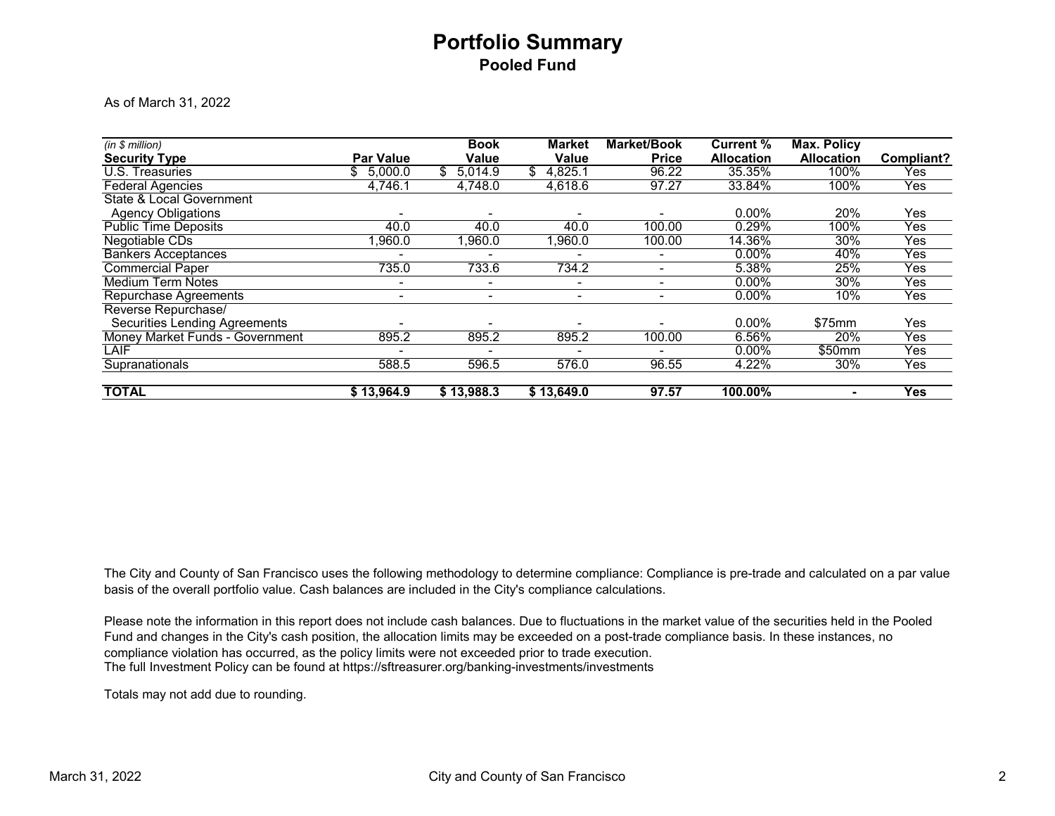## **Portfolio Summary Pooled Fund**

As of March 31, 2022

| (in \$ million)                        |                          | <b>Book</b>  | <b>Market</b> | <b>Market/Book</b> | <b>Current %</b>  | <b>Max. Policy</b> |            |
|----------------------------------------|--------------------------|--------------|---------------|--------------------|-------------------|--------------------|------------|
| <b>Security Type</b>                   | <b>Par Value</b>         | <b>Value</b> | Value         | <b>Price</b>       | <b>Allocation</b> | <b>Allocation</b>  | Compliant? |
| U.S. Treasuries                        | \$ 5,000.0               | 5,014.9      | 4,825.1       | 96.22              | 35.35%            | 100%               | Yes        |
| <b>Federal Agencies</b>                | 4,746.1                  | 4,748.0      | 4.618.6       | 97.27              | 33.84%            | 100%               | Yes        |
| State & Local Government               |                          |              |               |                    |                   |                    |            |
| <b>Agency Obligations</b>              |                          |              |               |                    | $0.00\%$          | 20%                | Yes        |
| <b>Public Time Deposits</b>            | 40.0                     | 40.0         | 40.0          | 100.00             | 0.29%             | 100%               | Yes        |
| Negotiable CDs                         | 0.060.1                  | 1,960.0      | 1,960.0       | 100.00             | 14.36%            | 30%                | Yes        |
| <b>Bankers Acceptances</b>             |                          |              |               |                    | $0.00\%$          | 40%                | Yes        |
| <b>Commercial Paper</b>                | 735.0                    | 733.6        | 734.2         |                    | 5.38%             | 25%                | Yes        |
| <b>Medium Term Notes</b>               | ۰                        | ٠            | ۰.            | ٠                  | $0.00\%$          | 30%                | Yes        |
| <b>Repurchase Agreements</b>           | $\overline{\phantom{a}}$ | ۰            | ٠.            | -                  | $0.00\%$          | 10%                | Yes        |
| Reverse Repurchase/                    |                          |              |               |                    |                   |                    |            |
| <b>Securities Lending Agreements</b>   |                          |              |               |                    | $0.00\%$          | \$75mm             | Yes        |
| <b>Money Market Funds - Government</b> | 895.2                    | 895.2        | 895.2         | 100.00             | 6.56%             | 20%                | Yes        |
| LAIF                                   |                          |              |               |                    | $0.00\%$          | \$50mm             | Yes        |
| Supranationals                         | 588.5                    | 596.5        | 576.0         | 96.55              | 4.22%             | 30%                | Yes        |
| <b>TOTAL</b>                           | \$13,964.9               | \$13,988.3   | \$13,649.0    | 97.57              | 100.00%           | ۰                  | <b>Yes</b> |

The City and County of San Francisco uses the following methodology to determine compliance: Compliance is pre-trade and calculated on a par value basis of the overall portfolio value. Cash balances are included in the City's compliance calculations.

The full Investment Policy can be found at https://sftreasurer.org/banking-investments/investments Please note the information in this report does not include cash balances. Due to fluctuations in the market value of the securities held in the Pooled Fund and changes in the City's cash position, the allocation limits may be exceeded on a post-trade compliance basis. In these instances, no compliance violation has occurred, as the policy limits were not exceeded prior to trade execution.

Totals may not add due to rounding.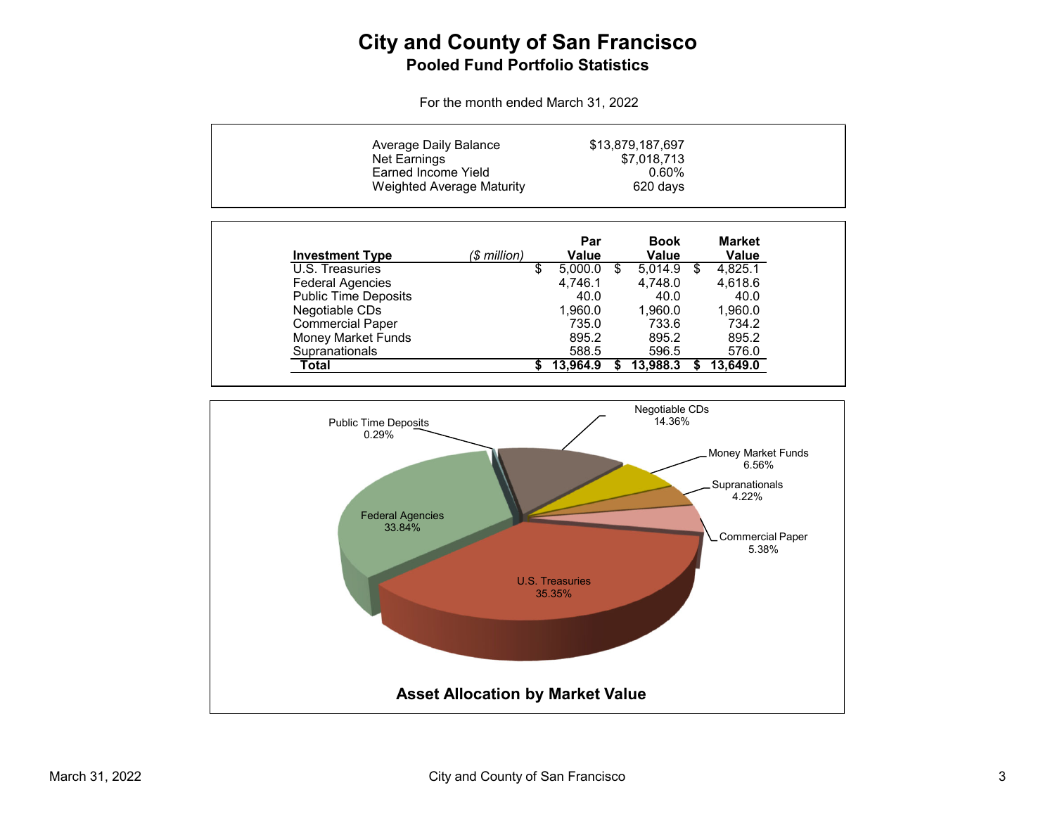## **City and County of San Francisco Pooled Fund Portfolio Statistics**

For the month ended March 31, 2022

| Net Earnings                | Average Daily Balance<br>Earned Income Yield<br><b>Weighted Average Maturity</b> |               | \$13,879,187,697<br>\$7,018,713<br>0.60%<br>620 days |                               |  |
|-----------------------------|----------------------------------------------------------------------------------|---------------|------------------------------------------------------|-------------------------------|--|
| <b>Investment Type</b>      | (\$ million)                                                                     | Par<br>Value  | <b>Book</b><br>Value                                 | <b>Market</b><br><b>Value</b> |  |
| U.S. Treasuries             |                                                                                  | \$<br>5,000.0 | \$<br>5.014.9                                        | \$<br>4,825.1                 |  |
| <b>Federal Agencies</b>     |                                                                                  | 4.746.1       | 4.748.0                                              | 4,618.6                       |  |
| <b>Public Time Deposits</b> |                                                                                  | 40.0          | 40.0                                                 | 40.0                          |  |
| Negotiable CDs              |                                                                                  | 1.960.0       | 1.960.0                                              | 1,960.0                       |  |
| <b>Commercial Paper</b>     |                                                                                  | 735.0         | 733.6                                                | 734.2                         |  |
| <b>Money Market Funds</b>   |                                                                                  | 895.2         | 895.2                                                | 895.2                         |  |
| Supranationals              |                                                                                  | 588.5         | 596.5                                                | 576.0                         |  |
| Total                       |                                                                                  | 13.964.9      | 13,988.3                                             | 13.649.0                      |  |

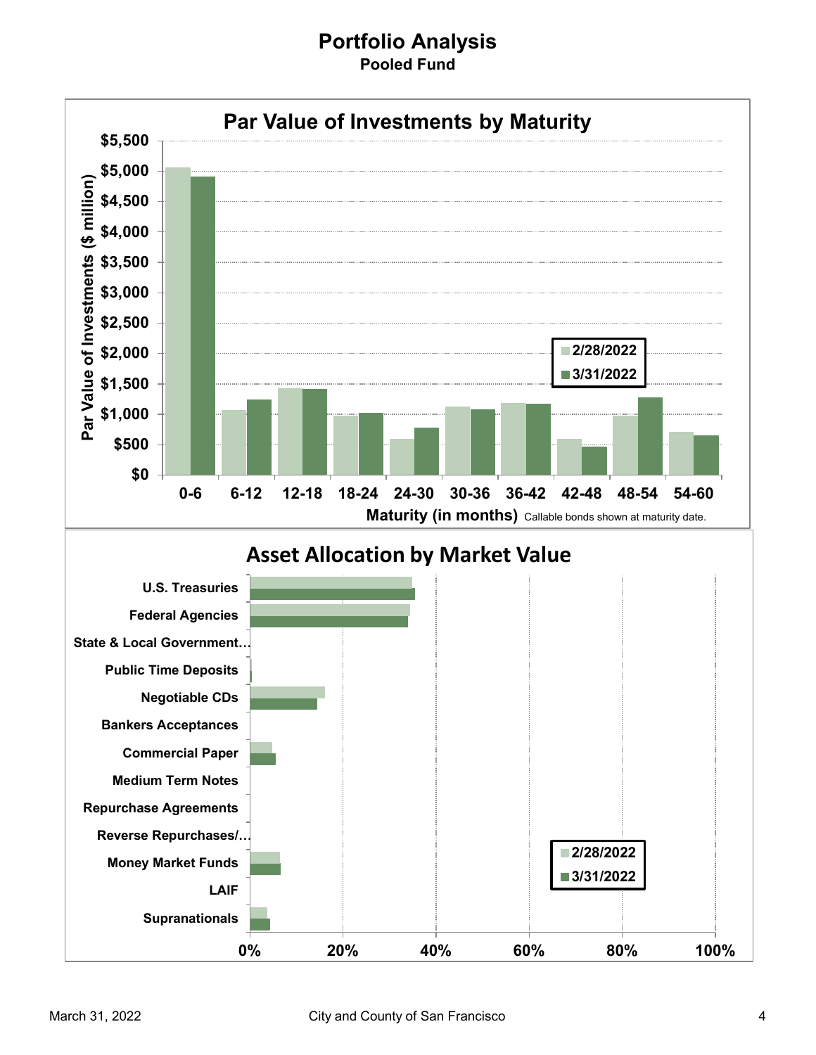#### **Portfolio Analysis Pooled Fund**

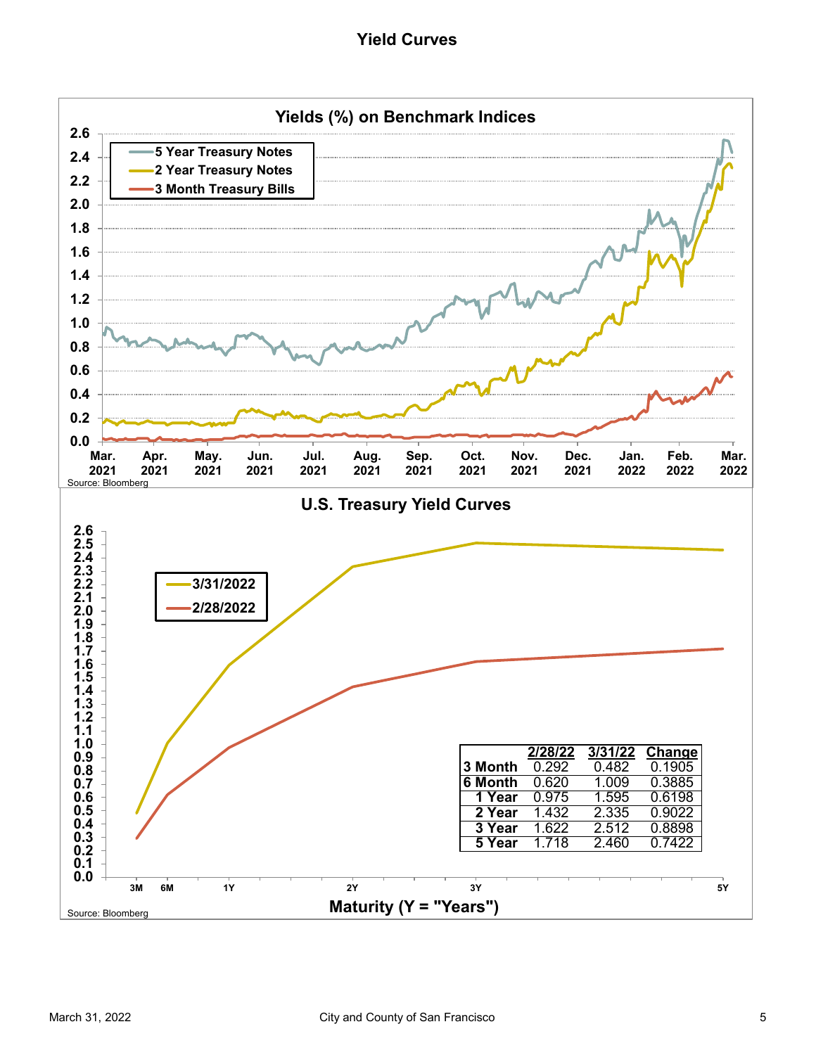#### **Yield Curves**

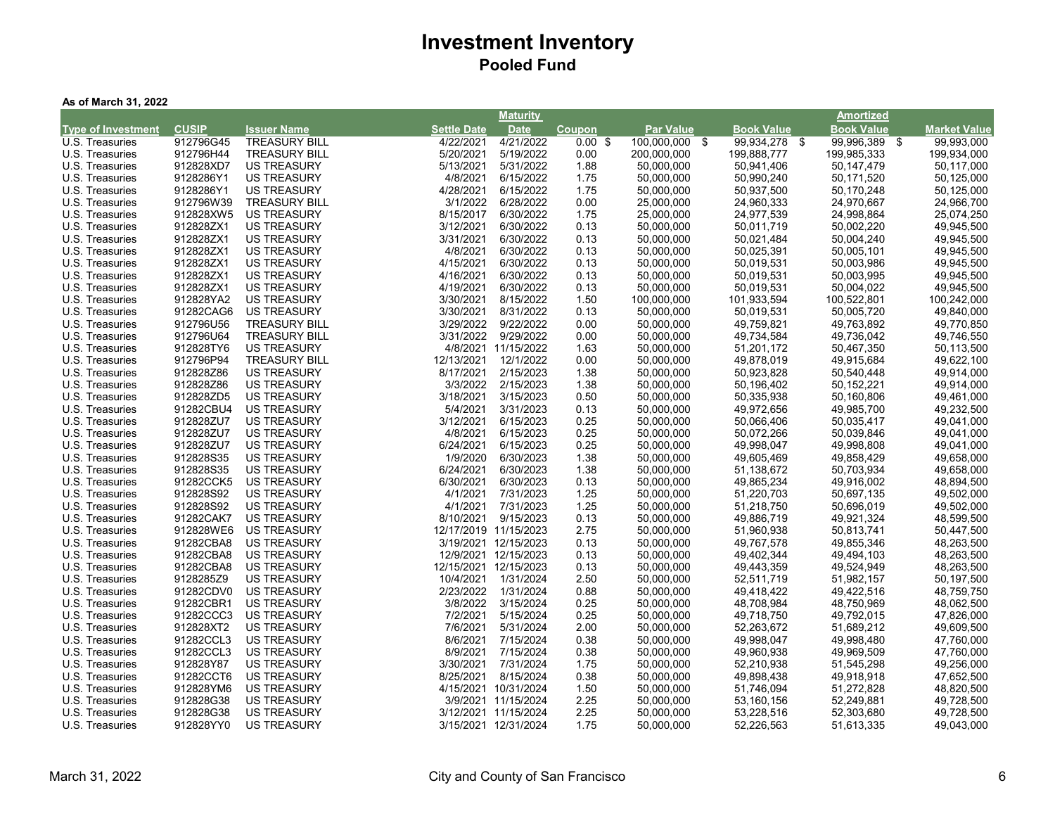|  |  |  | As of March 31, 2022 |  |  |
|--|--|--|----------------------|--|--|
|--|--|--|----------------------|--|--|

|                           |              |                      |                       | <b>Maturity</b>      |           |                  |                   | Amortized         |                     |
|---------------------------|--------------|----------------------|-----------------------|----------------------|-----------|------------------|-------------------|-------------------|---------------------|
| <b>Type of Investment</b> | <b>CUSIP</b> | <b>Issuer Name</b>   | <b>Settle Date</b>    | <b>Date</b>          | Coupon    | <b>Par Value</b> | <b>Book Value</b> | <b>Book Value</b> | <b>Market Value</b> |
| U.S. Treasuries           | 912796G45    | <b>TREASURY BILL</b> | 4/22/2021             | 4/21/2022            | $0.00$ \$ | 100,000,000 \$   | 99,934,278 \$     | 99,996,389 \$     | 99,993,000          |
| U.S. Treasuries           | 912796H44    | <b>TREASURY BILL</b> | 5/20/2021             | 5/19/2022            | 0.00      | 200,000,000      | 199,888,777       | 199,985,333       | 199,934,000         |
| U.S. Treasuries           | 912828XD7    | <b>US TREASURY</b>   | 5/13/2021             | 5/31/2022            | 1.88      | 50,000,000       | 50,941,406        | 50,147,479        | 50,117,000          |
| U.S. Treasuries           | 9128286Y1    | <b>US TREASURY</b>   | 4/8/2021              | 6/15/2022            | 1.75      | 50,000,000       | 50,990,240        | 50,171,520        | 50,125,000          |
| U.S. Treasuries           | 9128286Y1    | <b>US TREASURY</b>   | 4/28/2021             | 6/15/2022            | 1.75      | 50,000,000       | 50,937,500        | 50,170,248        | 50,125,000          |
| U.S. Treasuries           | 912796W39    | <b>TREASURY BILL</b> | 3/1/2022              | 6/28/2022            | 0.00      | 25,000,000       | 24,960,333        | 24,970,667        | 24,966,700          |
| U.S. Treasuries           | 912828XW5    | <b>US TREASURY</b>   | 8/15/2017             | 6/30/2022            | 1.75      | 25,000,000       | 24,977,539        | 24,998,864        | 25,074,250          |
| U.S. Treasuries           | 912828ZX1    | <b>US TREASURY</b>   | 3/12/2021             | 6/30/2022            | 0.13      | 50,000,000       | 50,011,719        | 50,002,220        | 49,945,500          |
| U.S. Treasuries           | 912828ZX1    | <b>US TREASURY</b>   | 3/31/2021             | 6/30/2022            | 0.13      | 50,000,000       | 50,021,484        | 50,004,240        | 49,945,500          |
| U.S. Treasuries           | 912828ZX1    | <b>US TREASURY</b>   | 4/8/2021              | 6/30/2022            | 0.13      | 50,000,000       | 50,025,391        | 50,005,101        | 49,945,500          |
| U.S. Treasuries           | 912828ZX1    | <b>US TREASURY</b>   | 4/15/2021             | 6/30/2022            | 0.13      | 50,000,000       | 50,019,531        | 50,003,986        | 49,945,500          |
| U.S. Treasuries           | 912828ZX1    | <b>US TREASURY</b>   | 4/16/2021             | 6/30/2022            | 0.13      | 50,000,000       | 50,019,531        | 50,003,995        | 49,945,500          |
| U.S. Treasuries           | 912828ZX1    | <b>US TREASURY</b>   | 4/19/2021             | 6/30/2022            | 0.13      | 50,000,000       | 50,019,531        | 50,004,022        | 49,945,500          |
| U.S. Treasuries           | 912828YA2    | <b>US TREASURY</b>   | 3/30/2021             | 8/15/2022            | 1.50      | 100,000,000      | 101,933,594       | 100,522,801       | 100,242,000         |
| U.S. Treasuries           | 91282CAG6    | <b>US TREASURY</b>   | 3/30/2021             | 8/31/2022            | 0.13      | 50,000,000       | 50,019,531        | 50,005,720        | 49,840,000          |
| U.S. Treasuries           | 912796U56    | <b>TREASURY BILL</b> | 3/29/2022             | 9/22/2022            | 0.00      | 50,000,000       | 49,759,821        | 49,763,892        | 49,770,850          |
| U.S. Treasuries           | 912796U64    | <b>TREASURY BILL</b> | 3/31/2022             | 9/29/2022            | 0.00      | 50,000,000       | 49,734,584        | 49,736,042        | 49,746,550          |
| U.S. Treasuries           | 912828TY6    | <b>US TREASURY</b>   |                       | 4/8/2021 11/15/2022  | 1.63      | 50,000,000       | 51,201,172        | 50,467,350        | 50,113,500          |
| U.S. Treasuries           | 912796P94    | <b>TREASURY BILL</b> | 12/13/2021            | 12/1/2022            | 0.00      | 50,000,000       | 49,878,019        | 49,915,684        | 49,622,100          |
| U.S. Treasuries           | 912828Z86    | <b>US TREASURY</b>   | 8/17/2021             | 2/15/2023            | 1.38      | 50,000,000       | 50,923,828        | 50,540,448        | 49,914,000          |
| U.S. Treasuries           | 912828Z86    | <b>US TREASURY</b>   | 3/3/2022              | 2/15/2023            | 1.38      | 50,000,000       | 50,196,402        | 50,152,221        | 49,914,000          |
| U.S. Treasuries           | 912828ZD5    | <b>US TREASURY</b>   | 3/18/2021             | 3/15/2023            | 0.50      | 50,000,000       | 50,335,938        | 50,160,806        | 49,461,000          |
| U.S. Treasuries           | 91282CBU4    | <b>US TREASURY</b>   | 5/4/2021              | 3/31/2023            | 0.13      | 50,000,000       | 49,972,656        | 49,985,700        | 49,232,500          |
| U.S. Treasuries           | 912828ZU7    | <b>US TREASURY</b>   | 3/12/2021             | 6/15/2023            | 0.25      | 50,000,000       | 50,066,406        | 50,035,417        | 49,041,000          |
| U.S. Treasuries           | 912828ZU7    | <b>US TREASURY</b>   | 4/8/2021              | 6/15/2023            | 0.25      | 50,000,000       | 50,072,266        | 50,039,846        | 49,041,000          |
| U.S. Treasuries           | 912828ZU7    | <b>US TREASURY</b>   | 6/24/2021             | 6/15/2023            | 0.25      | 50,000,000       | 49,998,047        | 49,998,808        | 49,041,000          |
| U.S. Treasuries           | 912828S35    | <b>US TREASURY</b>   | 1/9/2020              | 6/30/2023            | 1.38      | 50,000,000       | 49,605,469        | 49,858,429        | 49,658,000          |
| U.S. Treasuries           | 912828S35    | <b>US TREASURY</b>   | 6/24/2021             | 6/30/2023            | 1.38      | 50,000,000       | 51,138,672        | 50,703,934        | 49,658,000          |
| U.S. Treasuries           | 91282CCK5    | <b>US TREASURY</b>   | 6/30/2021             | 6/30/2023            | 0.13      | 50,000,000       | 49,865,234        | 49,916,002        | 48,894,500          |
| U.S. Treasuries           | 912828S92    | <b>US TREASURY</b>   | 4/1/2021              | 7/31/2023            | 1.25      | 50,000,000       | 51,220,703        | 50,697,135        | 49,502,000          |
| U.S. Treasuries           | 912828S92    | <b>US TREASURY</b>   | 4/1/2021              | 7/31/2023            | 1.25      | 50,000,000       | 51,218,750        | 50,696,019        | 49,502,000          |
| U.S. Treasuries           | 91282CAK7    | <b>US TREASURY</b>   | 8/10/2021             | 9/15/2023            | 0.13      | 50,000,000       | 49,886,719        | 49,921,324        | 48,599,500          |
| U.S. Treasuries           | 912828WE6    | <b>US TREASURY</b>   | 12/17/2019 11/15/2023 |                      | 2.75      | 50,000,000       | 51,960,938        | 50,813,741        | 50,447,500          |
| U.S. Treasuries           | 91282CBA8    | <b>US TREASURY</b>   |                       | 3/19/2021 12/15/2023 | 0.13      | 50,000,000       | 49,767,578        | 49,855,346        | 48,263,500          |
| U.S. Treasuries           | 91282CBA8    | <b>US TREASURY</b>   |                       | 12/9/2021 12/15/2023 | 0.13      | 50,000,000       | 49,402,344        | 49,494,103        | 48,263,500          |
| U.S. Treasuries           | 91282CBA8    | <b>US TREASURY</b>   | 12/15/2021 12/15/2023 |                      | 0.13      | 50,000,000       | 49,443,359        | 49,524,949        | 48,263,500          |
| U.S. Treasuries           | 9128285Z9    | <b>US TREASURY</b>   | 10/4/2021             | 1/31/2024            | 2.50      | 50,000,000       | 52,511,719        | 51,982,157        | 50,197,500          |
| U.S. Treasuries           | 91282CDV0    | <b>US TREASURY</b>   | 2/23/2022             | 1/31/2024            | 0.88      | 50,000,000       | 49,418,422        | 49,422,516        | 48,759,750          |
| U.S. Treasuries           | 91282CBR1    | <b>US TREASURY</b>   | 3/8/2022              | 3/15/2024            | 0.25      | 50,000,000       | 48,708,984        | 48,750,969        | 48,062,500          |
| U.S. Treasuries           | 91282CCC3    | <b>US TREASURY</b>   | 7/2/2021              | 5/15/2024            | 0.25      | 50,000,000       | 49,718,750        | 49,792,015        | 47,826,000          |
| U.S. Treasuries           | 912828XT2    | <b>US TREASURY</b>   | 7/6/2021              | 5/31/2024            | 2.00      | 50,000,000       | 52,263,672        | 51,689,212        | 49,609,500          |
| U.S. Treasuries           | 91282CCL3    | <b>US TREASURY</b>   | 8/6/2021              | 7/15/2024            | 0.38      | 50,000,000       | 49,998,047        | 49,998,480        | 47,760,000          |
| U.S. Treasuries           | 91282CCL3    | <b>US TREASURY</b>   | 8/9/2021              | 7/15/2024            | 0.38      | 50,000,000       | 49,960,938        | 49,969,509        | 47,760,000          |
| U.S. Treasuries           | 912828Y87    | <b>US TREASURY</b>   | 3/30/2021             | 7/31/2024            | 1.75      | 50,000,000       | 52,210,938        | 51,545,298        | 49,256,000          |
| U.S. Treasuries           | 91282CCT6    | <b>US TREASURY</b>   | 8/25/2021             | 8/15/2024            | 0.38      | 50,000,000       | 49,898,438        | 49,918,918        | 47,652,500          |
| U.S. Treasuries           | 912828YM6    | <b>US TREASURY</b>   | 4/15/2021 10/31/2024  |                      | 1.50      | 50,000,000       | 51,746,094        | 51,272,828        | 48,820,500          |
| U.S. Treasuries           | 912828G38    | <b>US TREASURY</b>   |                       | 3/9/2021 11/15/2024  | 2.25      | 50,000,000       | 53,160,156        | 52,249,881        | 49,728,500          |
| U.S. Treasuries           | 912828G38    | <b>US TREASURY</b>   |                       | 3/12/2021 11/15/2024 | 2.25      | 50,000,000       |                   | 52,303,680        | 49,728,500          |
|                           |              |                      |                       |                      |           |                  | 53,228,516        |                   |                     |
| U.S. Treasuries           | 912828YY0    | <b>US TREASURY</b>   |                       | 3/15/2021 12/31/2024 | 1.75      | 50,000,000       | 52,226,563        | 51,613,335        | 49,043,000          |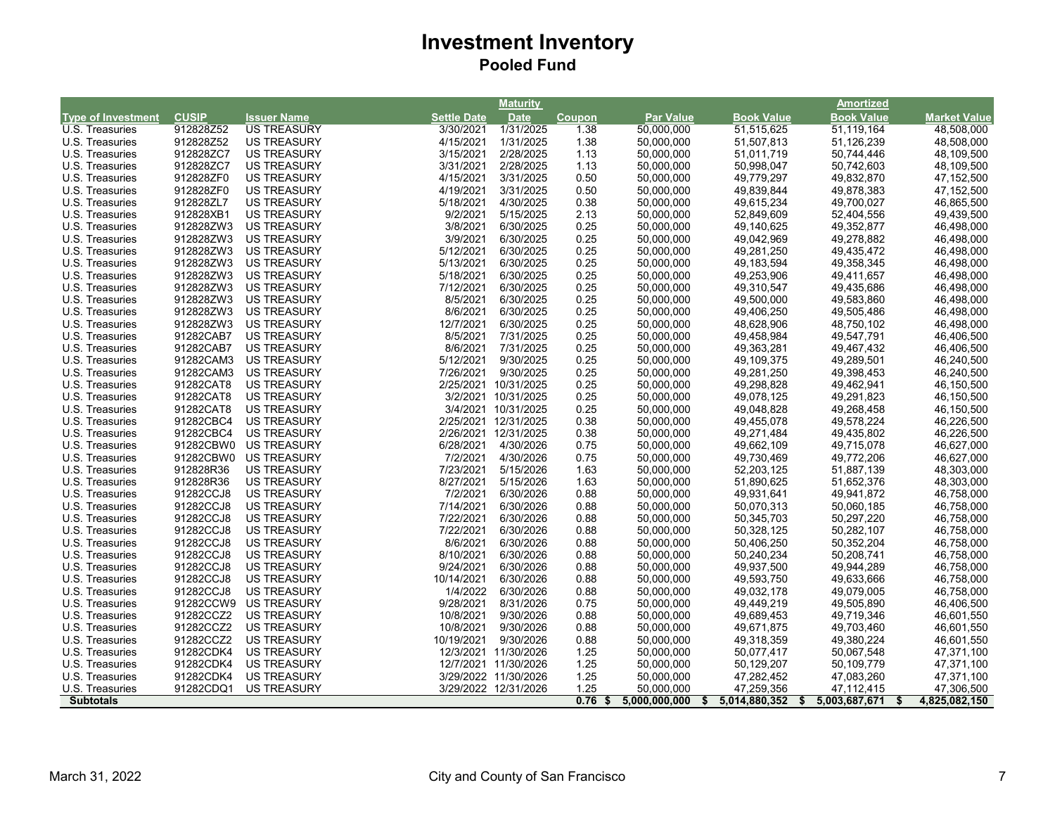|                           |                        |                    |                    | <b>Maturity</b>      |               |                          |                     | <b>Amortized</b>         |                      |
|---------------------------|------------------------|--------------------|--------------------|----------------------|---------------|--------------------------|---------------------|--------------------------|----------------------|
| <b>Type of Investment</b> | <b>CUSIP</b>           | <b>Issuer Name</b> | <b>Settle Date</b> | <b>Date</b>          | <b>Coupon</b> | <b>Par Value</b>         | <b>Book Value</b>   | <b>Book Value</b>        | <b>Market Value</b>  |
| U.S. Treasuries           | 912828Z52              | <b>US TREASURY</b> | 3/30/2021          | 1/31/2025            | 1.38          | 50,000,000               | 51,515,625          | 51,119,164               | 48,508,000           |
| U.S. Treasuries           | 912828Z52              | <b>US TREASURY</b> | 4/15/2021          | 1/31/2025            | 1.38          | 50,000,000               | 51,507,813          | 51,126,239               | 48,508,000           |
| U.S. Treasuries           | 912828ZC7              | <b>US TREASURY</b> | 3/15/2021          | 2/28/2025            | 1.13          | 50,000,000               | 51,011,719          | 50,744,446               | 48,109,500           |
| U.S. Treasuries           | 912828ZC7              | <b>US TREASURY</b> | 3/31/2021          | 2/28/2025            | 1.13          | 50,000,000               | 50,998,047          | 50,742,603               | 48,109,500           |
| U.S. Treasuries           | 912828ZF0              | <b>US TREASURY</b> | 4/15/2021          | 3/31/2025            | 0.50          | 50,000,000               | 49,779,297          | 49,832,870               | 47,152,500           |
| U.S. Treasuries           | 912828ZF0              | <b>US TREASURY</b> | 4/19/2021          | 3/31/2025            | 0.50          | 50,000,000               | 49,839,844          | 49,878,383               | 47,152,500           |
| U.S. Treasuries           | 912828ZL7              | <b>US TREASURY</b> | 5/18/2021          | 4/30/2025            | 0.38          | 50,000,000               | 49,615,234          | 49,700,027               | 46,865,500           |
| U.S. Treasuries           | 912828XB1              | <b>US TREASURY</b> | 9/2/2021           | 5/15/2025            | 2.13          | 50,000,000               | 52,849,609          | 52,404,556               | 49,439,500           |
| U.S. Treasuries           | 912828ZW3              | <b>US TREASURY</b> | 3/8/2021           | 6/30/2025            | 0.25          | 50,000,000               | 49,140,625          | 49,352,877               | 46,498,000           |
| U.S. Treasuries           | 912828ZW3              | <b>US TREASURY</b> | 3/9/2021           | 6/30/2025            | 0.25          | 50,000,000               | 49,042,969          | 49,278,882               | 46,498,000           |
| U.S. Treasuries           | 912828ZW3              | <b>US TREASURY</b> | 5/12/2021          | 6/30/2025            | 0.25          | 50,000,000               | 49,281,250          | 49,435,472               | 46,498,000           |
| U.S. Treasuries           | 912828ZW3              | <b>US TREASURY</b> | 5/13/2021          | 6/30/2025            | 0.25          | 50,000,000               | 49, 183, 594        | 49,358,345               | 46,498,000           |
| U.S. Treasuries           | 912828ZW3              | <b>US TREASURY</b> | 5/18/2021          | 6/30/2025            | 0.25          | 50,000,000               | 49,253,906          | 49,411,657               | 46,498,000           |
| U.S. Treasuries           | 912828ZW3              | <b>US TREASURY</b> | 7/12/2021          | 6/30/2025            | 0.25          | 50,000,000               | 49,310,547          | 49,435,686               | 46,498,000           |
| U.S. Treasuries           | 912828ZW3              | <b>US TREASURY</b> | 8/5/2021           | 6/30/2025            | 0.25          | 50,000,000               | 49,500,000          | 49,583,860               | 46,498,000           |
| U.S. Treasuries           | 912828ZW3              | <b>US TREASURY</b> | 8/6/2021           | 6/30/2025            | 0.25          | 50,000,000               | 49,406,250          | 49,505,486               | 46,498,000           |
| U.S. Treasuries           | 912828ZW3              | <b>US TREASURY</b> | 12/7/2021          | 6/30/2025            | 0.25          | 50,000,000               | 48,628,906          | 48,750,102               | 46,498,000           |
| U.S. Treasuries           | 91282CAB7              | <b>US TREASURY</b> | 8/5/2021           | 7/31/2025            | 0.25          | 50,000,000               | 49,458,984          | 49,547,791               | 46,406,500           |
| U.S. Treasuries           | 91282CAB7              | <b>US TREASURY</b> | 8/6/2021           | 7/31/2025            | 0.25          | 50,000,000               | 49,363,281          | 49,467,432               | 46,406,500           |
| U.S. Treasuries           | 91282CAM3              | <b>US TREASURY</b> | 5/12/2021          | 9/30/2025            | 0.25          | 50,000,000               | 49,109,375          | 49,289,501               | 46,240,500           |
| U.S. Treasuries           | 91282CAM3              | <b>US TREASURY</b> | 7/26/2021          | 9/30/2025            | 0.25          | 50,000,000               | 49,281,250          | 49,398,453               | 46,240,500           |
| U.S. Treasuries           | 91282CAT8              | <b>US TREASURY</b> |                    | 2/25/2021 10/31/2025 | 0.25          | 50,000,000               | 49,298,828          | 49,462,941               | 46,150,500           |
| U.S. Treasuries           | 91282CAT8              | <b>US TREASURY</b> |                    | 3/2/2021 10/31/2025  | 0.25          | 50,000,000               | 49,078,125          | 49,291,823               | 46,150,500           |
| U.S. Treasuries           | 91282CAT8              | <b>US TREASURY</b> |                    | 3/4/2021 10/31/2025  | 0.25          | 50,000,000               | 49,048,828          | 49,268,458               | 46,150,500           |
| U.S. Treasuries           | 91282CBC4              | US TREASURY        |                    | 2/25/2021 12/31/2025 | 0.38          | 50,000,000               | 49,455,078          | 49,578,224               | 46,226,500           |
| U.S. Treasuries           | 91282CBC4              | <b>US TREASURY</b> |                    | 2/26/2021 12/31/2025 | 0.38          | 50,000,000               | 49,271,484          | 49,435,802               | 46,226,500           |
| U.S. Treasuries           | 91282CBW0              | <b>US TREASURY</b> | 6/28/2021          | 4/30/2026            | 0.75          | 50,000,000               | 49,662,109          | 49,715,078               | 46,627,000           |
| U.S. Treasuries           | 91282CBW0              | <b>US TREASURY</b> | 7/2/2021           | 4/30/2026            | 0.75          | 50,000,000               | 49,730,469          | 49,772,206               | 46,627,000           |
| U.S. Treasuries           | 912828R36              | <b>US TREASURY</b> | 7/23/2021          | 5/15/2026            | 1.63          | 50.000.000               | 52,203,125          | 51,887,139               | 48,303,000           |
| U.S. Treasuries           | 912828R36              | <b>US TREASURY</b> | 8/27/2021          | 5/15/2026            | 1.63          | 50,000,000               | 51,890,625          | 51,652,376               | 48,303,000           |
| U.S. Treasuries           | 91282CCJ8              | <b>US TREASURY</b> | 7/2/2021           | 6/30/2026            | 0.88          | 50,000,000               | 49,931,641          | 49,941,872               | 46,758,000           |
| U.S. Treasuries           | 91282CCJ8              | <b>US TREASURY</b> | 7/14/2021          | 6/30/2026            | 0.88          | 50,000,000               | 50,070,313          | 50,060,185               | 46,758,000           |
| U.S. Treasuries           | 91282CCJ8              | <b>US TREASURY</b> | 7/22/2021          | 6/30/2026            | 0.88          | 50,000,000               | 50,345,703          | 50,297,220               | 46,758,000           |
| U.S. Treasuries           | 91282CCJ8              | <b>US TREASURY</b> | 7/22/2021          | 6/30/2026            | 0.88          | 50,000,000               | 50,328,125          | 50,282,107               | 46,758,000           |
| U.S. Treasuries           | 91282CCJ8              | <b>US TREASURY</b> | 8/6/2021           | 6/30/2026            | 0.88          | 50,000,000               | 50,406,250          | 50,352,204               | 46,758,000           |
| U.S. Treasuries           | 91282CCJ8              | <b>US TREASURY</b> | 8/10/2021          | 6/30/2026            | 0.88          | 50,000,000               | 50,240,234          | 50,208,741               | 46,758,000           |
|                           | 91282CCJ8              | <b>US TREASURY</b> | 9/24/2021          | 6/30/2026            |               | 50,000,000               | 49,937,500          | 49,944,289               |                      |
| U.S. Treasuries           |                        | <b>US TREASURY</b> | 10/14/2021         | 6/30/2026            | 0.88          |                          |                     |                          | 46,758,000           |
| U.S. Treasuries           | 91282CCJ8<br>91282CCJ8 | <b>US TREASURY</b> | 1/4/2022           | 6/30/2026            | 0.88<br>0.88  | 50,000,000<br>50,000,000 | 49,593,750          | 49,633,666<br>49,079,005 | 46,758,000           |
| U.S. Treasuries           |                        |                    |                    |                      |               |                          | 49,032,178          |                          | 46,758,000           |
| U.S. Treasuries           | 91282CCW9              | <b>US TREASURY</b> | 9/28/2021          | 8/31/2026            | 0.75          | 50,000,000               | 49,449,219          | 49,505,890               | 46,406,500           |
| U.S. Treasuries           | 91282CCZ2              | <b>US TREASURY</b> | 10/8/2021          | 9/30/2026            | 0.88          | 50,000,000               | 49,689,453          | 49,719,346               | 46,601,550           |
| U.S. Treasuries           | 91282CCZ2              | <b>US TREASURY</b> | 10/8/2021          | 9/30/2026            | 0.88          | 50,000,000               | 49,671,875          | 49,703,460               | 46,601,550           |
| U.S. Treasuries           | 91282CCZ2              | <b>US TREASURY</b> | 10/19/2021         | 9/30/2026            | 0.88          | 50.000.000               | 49,318,359          | 49.380.224               | 46,601,550           |
| U.S. Treasuries           | 91282CDK4              | <b>US TREASURY</b> |                    | 12/3/2021 11/30/2026 | 1.25          | 50,000,000               | 50,077,417          | 50,067,548               | 47,371,100           |
| U.S. Treasuries           | 91282CDK4              | <b>US TREASURY</b> |                    | 12/7/2021 11/30/2026 | 1.25          | 50,000,000               | 50,129,207          | 50,109,779               | 47,371,100           |
| U.S. Treasuries           | 91282CDK4              | <b>US TREASURY</b> |                    | 3/29/2022 11/30/2026 | 1.25          | 50,000,000               | 47,282,452          | 47,083,260               | 47,371,100           |
| U.S. Treasuries           | 91282CDQ1              | <b>US TREASURY</b> |                    | 3/29/2022 12/31/2026 | 1.25          | 50,000,000               | 47,259,356          | 47, 112, 415             | 47,306,500           |
| <b>Subtotals</b>          |                        |                    |                    |                      | 0.76          | 5,000,000,000<br>S.      | 5,014,880,352<br>\$ | 5,003,687,671<br>- \$    | -\$<br>4,825,082,150 |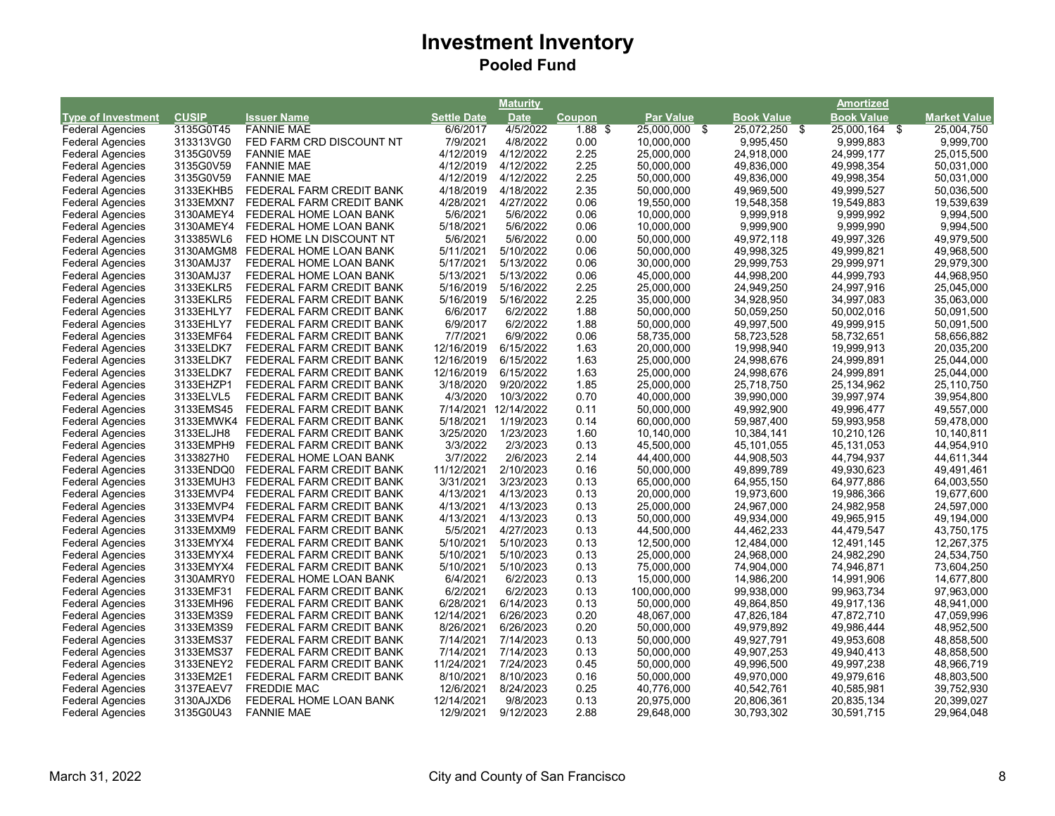|                           |              |                                    |                    | Maturity    |           |                  |                   | Amortized         |                     |
|---------------------------|--------------|------------------------------------|--------------------|-------------|-----------|------------------|-------------------|-------------------|---------------------|
| <b>Type of Investment</b> | <b>CUSIP</b> | <b>Issuer Name</b>                 | <b>Settle Date</b> | <b>Date</b> | Coupon    | <b>Par Value</b> | <b>Book Value</b> | <b>Book Value</b> | <b>Market Value</b> |
| <b>Federal Agencies</b>   | 3135G0T45    | <b>FANNIE MAE</b>                  | 6/6/2017           | 4/5/2022    | $1.88$ \$ | 25,000,000 \$    | 25,072,250 \$     | 25,000,164 \$     | 25,004,750          |
| <b>Federal Agencies</b>   | 313313VG0    | FED FARM CRD DISCOUNT NT           | 7/9/2021           | 4/8/2022    | 0.00      | 10,000,000       | 9,995,450         | 9,999,883         | 9,999,700           |
| <b>Federal Agencies</b>   | 3135G0V59    | <b>FANNIE MAE</b>                  | 4/12/2019          | 4/12/2022   | 2.25      | 25,000,000       | 24,918,000        | 24,999,177        | 25,015,500          |
| <b>Federal Agencies</b>   | 3135G0V59    | <b>FANNIE MAE</b>                  | 4/12/2019          | 4/12/2022   | 2.25      | 50,000,000       | 49,836,000        | 49,998,354        | 50,031,000          |
| <b>Federal Agencies</b>   | 3135G0V59    | <b>FANNIE MAE</b>                  | 4/12/2019          | 4/12/2022   | 2.25      | 50,000,000       | 49,836,000        | 49,998,354        | 50,031,000          |
| <b>Federal Agencies</b>   | 3133EKHB5    | FEDERAL FARM CREDIT BANK           | 4/18/2019          | 4/18/2022   | 2.35      | 50,000,000       | 49,969,500        | 49,999,527        | 50,036,500          |
| <b>Federal Agencies</b>   | 3133EMXN7    | FEDERAL FARM CREDIT BANK           | 4/28/2021          | 4/27/2022   | 0.06      | 19,550,000       | 19,548,358        | 19,549,883        | 19,539,639          |
| <b>Federal Agencies</b>   | 3130AMEY4    | FEDERAL HOME LOAN BANK             | 5/6/2021           | 5/6/2022    | 0.06      | 10,000,000       | 9,999,918         | 9,999,992         | 9,994,500           |
| <b>Federal Agencies</b>   | 3130AMEY4    | FEDERAL HOME LOAN BANK             | 5/18/2021          | 5/6/2022    | 0.06      | 10,000,000       | 9,999,900         | 9,999,990         | 9,994,500           |
| <b>Federal Agencies</b>   | 313385WL6    | FED HOME LN DISCOUNT NT            | 5/6/2021           | 5/6/2022    | 0.00      | 50,000,000       | 49,972,118        | 49,997,326        | 49,979,500          |
| <b>Federal Agencies</b>   | 3130AMGM8    | FEDERAL HOME LOAN BANK             | 5/11/2021          | 5/10/2022   | 0.06      | 50,000,000       | 49,998,325        | 49,999,821        | 49,968,500          |
| <b>Federal Agencies</b>   | 3130AMJ37    | FEDERAL HOME LOAN BANK             | 5/17/2021          | 5/13/2022   | 0.06      | 30,000,000       | 29,999,753        | 29,999,971        | 29,979,300          |
| <b>Federal Agencies</b>   | 3130AMJ37    | FEDERAL HOME LOAN BANK             | 5/13/2021          | 5/13/2022   | 0.06      | 45,000,000       | 44,998,200        | 44,999,793        | 44,968,950          |
| <b>Federal Agencies</b>   | 3133EKLR5    | FEDERAL FARM CREDIT BANK           | 5/16/2019          | 5/16/2022   | 2.25      | 25,000,000       | 24,949,250        | 24,997,916        | 25,045,000          |
| <b>Federal Agencies</b>   | 3133EKLR5    | FEDERAL FARM CREDIT BANK           | 5/16/2019          | 5/16/2022   | 2.25      | 35,000,000       | 34,928,950        | 34,997,083        | 35,063,000          |
| <b>Federal Agencies</b>   | 3133EHLY7    | FEDERAL FARM CREDIT BANK           | 6/6/2017           | 6/2/2022    | 1.88      | 50,000,000       | 50,059,250        | 50,002,016        | 50,091,500          |
| <b>Federal Agencies</b>   | 3133EHLY7    | FEDERAL FARM CREDIT BANK           | 6/9/2017           | 6/2/2022    | 1.88      | 50,000,000       | 49,997,500        | 49,999,915        | 50,091,500          |
| <b>Federal Agencies</b>   | 3133EMF64    | FEDERAL FARM CREDIT BANK           | 7/7/2021           | 6/9/2022    | 0.06      | 58,735,000       | 58,723,528        | 58,732,651        | 58,656,882          |
| <b>Federal Agencies</b>   | 3133ELDK7    | FEDERAL FARM CREDIT BANK           | 12/16/2019         | 6/15/2022   | 1.63      | 20,000,000       | 19,998,940        | 19,999,913        | 20,035,200          |
| <b>Federal Agencies</b>   | 3133ELDK7    | FEDERAL FARM CREDIT BANK           | 12/16/2019         | 6/15/2022   | 1.63      | 25,000,000       | 24,998,676        | 24,999,891        | 25,044,000          |
| <b>Federal Agencies</b>   | 3133ELDK7    | FEDERAL FARM CREDIT BANK           | 12/16/2019         | 6/15/2022   | 1.63      | 25,000,000       | 24,998,676        | 24,999,891        | 25,044,000          |
| <b>Federal Agencies</b>   | 3133EHZP1    | FEDERAL FARM CREDIT BANK           | 3/18/2020          | 9/20/2022   | 1.85      | 25,000,000       | 25,718,750        | 25,134,962        | 25,110,750          |
| <b>Federal Agencies</b>   | 3133ELVL5    | FEDERAL FARM CREDIT BANK           | 4/3/2020           | 10/3/2022   | 0.70      | 40,000,000       | 39,990,000        | 39,997,974        | 39,954,800          |
| <b>Federal Agencies</b>   | 3133EMS45    | FEDERAL FARM CREDIT BANK           | 7/14/2021          | 12/14/2022  | 0.11      | 50,000,000       | 49,992,900        | 49,996,477        | 49,557,000          |
| <b>Federal Agencies</b>   |              | 3133EMWK4 FEDERAL FARM CREDIT BANK | 5/18/2021          | 1/19/2023   | 0.14      | 60,000,000       | 59,987,400        | 59,993,958        | 59,478,000          |
| <b>Federal Agencies</b>   | 3133ELJH8    | FEDERAL FARM CREDIT BANK           | 3/25/2020          | 1/23/2023   | 1.60      | 10,140,000       | 10,384,141        | 10,210,126        | 10,140,811          |
| <b>Federal Agencies</b>   | 3133EMPH9    | FEDERAL FARM CREDIT BANK           | 3/3/2022           | 2/3/2023    | 0.13      | 45,500,000       | 45,101,055        | 45,131,053        | 44,954,910          |
| <b>Federal Agencies</b>   | 3133827H0    | FEDERAL HOME LOAN BANK             | 3/7/2022           | 2/6/2023    | 2.14      | 44,400,000       | 44,908,503        | 44,794,937        | 44,611,344          |
| <b>Federal Agencies</b>   | 3133ENDQ0    | FEDERAL FARM CREDIT BANK           | 11/12/2021         | 2/10/2023   | 0.16      | 50,000,000       | 49,899,789        | 49,930,623        | 49,491,461          |
| <b>Federal Agencies</b>   | 3133EMUH3    | FEDERAL FARM CREDIT BANK           | 3/31/2021          | 3/23/2023   | 0.13      | 65,000,000       | 64,955,150        | 64,977,886        | 64,003,550          |
| <b>Federal Agencies</b>   | 3133EMVP4    | FEDERAL FARM CREDIT BANK           | 4/13/2021          | 4/13/2023   | 0.13      | 20,000,000       | 19,973,600        | 19,986,366        | 19,677,600          |
| <b>Federal Agencies</b>   | 3133EMVP4    | FEDERAL FARM CREDIT BANK           | 4/13/2021          | 4/13/2023   | 0.13      | 25,000,000       | 24,967,000        | 24,982,958        | 24,597,000          |
| <b>Federal Agencies</b>   | 3133EMVP4    | FEDERAL FARM CREDIT BANK           | 4/13/2021          | 4/13/2023   | 0.13      | 50,000,000       | 49,934,000        | 49,965,915        | 49,194,000          |
| <b>Federal Agencies</b>   | 3133EMXM9    | FEDERAL FARM CREDIT BANK           | 5/5/2021           | 4/27/2023   | 0.13      | 44,500,000       | 44,462,233        | 44,479,547        | 43,750,175          |
| <b>Federal Agencies</b>   | 3133EMYX4    | FEDERAL FARM CREDIT BANK           | 5/10/2021          | 5/10/2023   | 0.13      | 12,500,000       | 12,484,000        | 12,491,145        | 12,267,375          |
| <b>Federal Agencies</b>   | 3133EMYX4    | FEDERAL FARM CREDIT BANK           | 5/10/2021          | 5/10/2023   | 0.13      | 25,000,000       | 24,968,000        | 24,982,290        | 24,534,750          |
| <b>Federal Agencies</b>   | 3133EMYX4    | FEDERAL FARM CREDIT BANK           | 5/10/2021          | 5/10/2023   | 0.13      | 75,000,000       | 74,904,000        | 74,946,871        | 73,604,250          |
| <b>Federal Agencies</b>   | 3130AMRY0    | FEDERAL HOME LOAN BANK             | 6/4/2021           | 6/2/2023    | 0.13      | 15,000,000       | 14,986,200        | 14,991,906        | 14,677,800          |
| <b>Federal Agencies</b>   | 3133EMF31    | FEDERAL FARM CREDIT BANK           | 6/2/2021           | 6/2/2023    | 0.13      | 100,000,000      | 99,938,000        | 99,963,734        | 97,963,000          |
| <b>Federal Agencies</b>   | 3133EMH96    | FEDERAL FARM CREDIT BANK           | 6/28/2021          | 6/14/2023   | 0.13      | 50,000,000       | 49,864,850        | 49,917,136        | 48,941,000          |
| <b>Federal Agencies</b>   | 3133EM3S9    | FEDERAL FARM CREDIT BANK           | 12/14/2021         | 6/26/2023   | 0.20      | 48,067,000       | 47,826,184        | 47,872,710        | 47,059,996          |
| <b>Federal Agencies</b>   | 3133EM3S9    | FEDERAL FARM CREDIT BANK           | 8/26/2021          | 6/26/2023   | 0.20      | 50,000,000       | 49,979,892        | 49,986,444        | 48,952,500          |
| <b>Federal Agencies</b>   | 3133EMS37    | FEDERAL FARM CREDIT BANK           | 7/14/2021          | 7/14/2023   | 0.13      | 50,000,000       | 49,927,791        | 49,953,608        | 48,858,500          |
| <b>Federal Agencies</b>   | 3133EMS37    | FEDERAL FARM CREDIT BANK           | 7/14/2021          | 7/14/2023   | 0.13      | 50,000,000       | 49,907,253        | 49,940,413        | 48,858,500          |
| <b>Federal Agencies</b>   | 3133ENEY2    | FEDERAL FARM CREDIT BANK           | 11/24/2021         | 7/24/2023   | 0.45      | 50,000,000       | 49,996,500        | 49,997,238        | 48,966,719          |
| <b>Federal Agencies</b>   | 3133EM2E1    | FEDERAL FARM CREDIT BANK           | 8/10/2021          | 8/10/2023   | 0.16      | 50,000,000       | 49,970,000        | 49,979,616        | 48,803,500          |
| <b>Federal Agencies</b>   | 3137EAEV7    | <b>FREDDIE MAC</b>                 | 12/6/2021          | 8/24/2023   | 0.25      | 40,776,000       | 40,542,761        | 40,585,981        | 39,752,930          |
| <b>Federal Agencies</b>   | 3130AJXD6    | FEDERAL HOME LOAN BANK             | 12/14/2021         | 9/8/2023    | 0.13      | 20,975,000       | 20,806,361        | 20,835,134        | 20,399,027          |
| <b>Federal Agencies</b>   | 3135G0U43    | <b>FANNIE MAE</b>                  | 12/9/2021          | 9/12/2023   | 2.88      | 29,648,000       | 30,793,302        | 30,591,715        | 29,964,048          |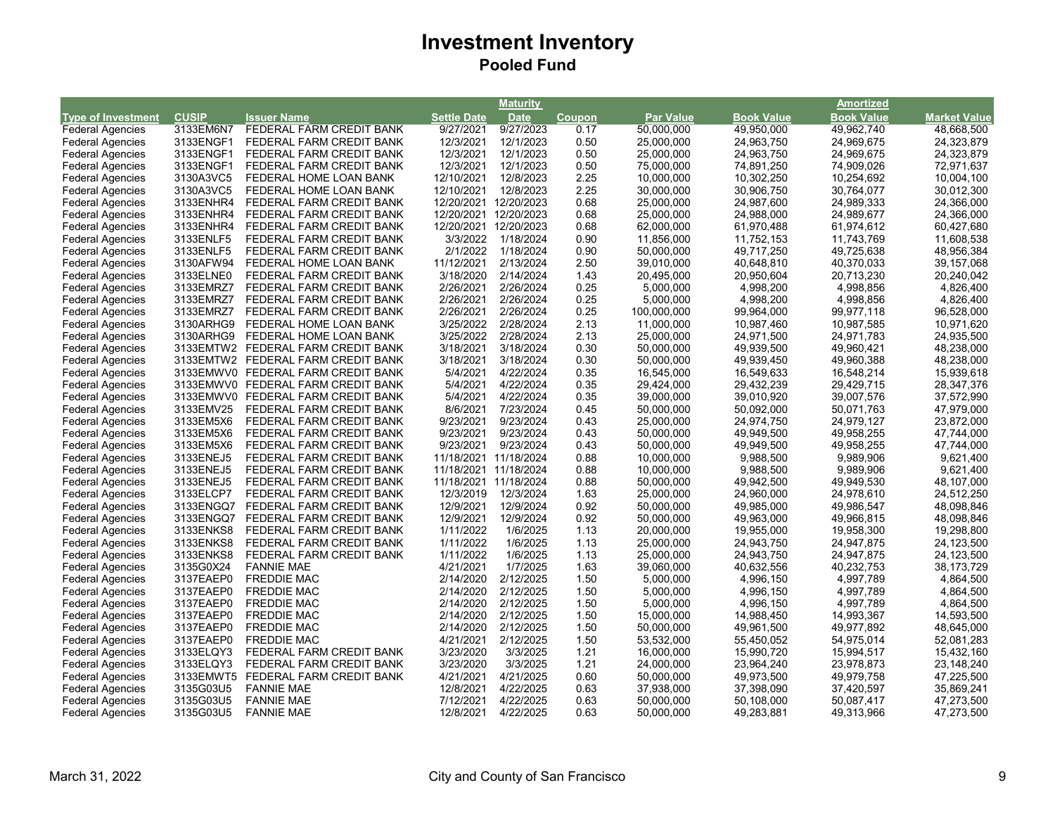|                           |              |                                    |                    | Maturity              |        |                  |                   | <u>Amortized</u>  |                     |
|---------------------------|--------------|------------------------------------|--------------------|-----------------------|--------|------------------|-------------------|-------------------|---------------------|
| <b>Type of Investment</b> | <b>CUSIP</b> | <b>Issuer Name</b>                 | <b>Settle Date</b> | <b>Date</b>           | Coupon | <b>Par Value</b> | <b>Book Value</b> | <b>Book Value</b> | <b>Market Value</b> |
| <b>Federal Agencies</b>   | 3133EM6N7    | FEDERAL FARM CREDIT BANK           | 9/27/2021          | 9/27/2023             | 0.17   | 50,000,000       | 49,950,000        | 49,962,740        | 48,668,500          |
| <b>Federal Agencies</b>   | 3133ENGF1    | FEDERAL FARM CREDIT BANK           | 12/3/2021          | 12/1/2023             | 0.50   | 25,000,000       | 24,963,750        | 24,969,675        | 24,323,879          |
| <b>Federal Agencies</b>   | 3133ENGF1    | FEDERAL FARM CREDIT BANK           | 12/3/2021          | 12/1/2023             | 0.50   | 25,000,000       | 24,963,750        | 24,969,675        | 24,323,879          |
| <b>Federal Agencies</b>   | 3133ENGF1    | FEDERAL FARM CREDIT BANK           | 12/3/2021          | 12/1/2023             | 0.50   | 75,000,000       | 74,891,250        | 74,909,026        | 72,971,637          |
| <b>Federal Agencies</b>   | 3130A3VC5    | FEDERAL HOME LOAN BANK             | 12/10/2021         | 12/8/2023             | 2.25   | 10,000,000       | 10,302,250        | 10,254,692        | 10,004,100          |
| <b>Federal Agencies</b>   | 3130A3VC5    | FEDERAL HOME LOAN BANK             | 12/10/2021         | 12/8/2023             | 2.25   | 30,000,000       | 30,906,750        | 30,764,077        | 30,012,300          |
| <b>Federal Agencies</b>   | 3133ENHR4    | FEDERAL FARM CREDIT BANK           | 12/20/2021         | 12/20/2023            | 0.68   | 25,000,000       | 24,987,600        | 24,989,333        | 24,366,000          |
| <b>Federal Agencies</b>   | 3133ENHR4    | FEDERAL FARM CREDIT BANK           |                    | 12/20/2021 12/20/2023 | 0.68   | 25,000,000       | 24,988,000        | 24,989,677        | 24,366,000          |
| <b>Federal Agencies</b>   | 3133ENHR4    | FEDERAL FARM CREDIT BANK           | 12/20/2021         | 12/20/2023            | 0.68   | 62,000,000       | 61,970,488        | 61,974,612        | 60,427,680          |
| <b>Federal Agencies</b>   | 3133ENLF5    | FEDERAL FARM CREDIT BANK           | 3/3/2022           | 1/18/2024             | 0.90   | 11,856,000       | 11,752,153        | 11,743,769        | 11,608,538          |
| <b>Federal Agencies</b>   | 3133ENLF5    | FEDERAL FARM CREDIT BANK           | 2/1/2022           | 1/18/2024             | 0.90   | 50,000,000       | 49,717,250        | 49,725,638        | 48,956,384          |
| <b>Federal Agencies</b>   | 3130AFW94    | FEDERAL HOME LOAN BANK             | 11/12/2021         | 2/13/2024             | 2.50   | 39,010,000       | 40,648,810        | 40,370,033        | 39, 157, 068        |
| <b>Federal Agencies</b>   | 3133ELNE0    | FEDERAL FARM CREDIT BANK           | 3/18/2020          | 2/14/2024             | 1.43   | 20,495,000       | 20,950,604        | 20,713,230        | 20,240,042          |
| <b>Federal Agencies</b>   | 3133EMRZ7    | FEDERAL FARM CREDIT BANK           | 2/26/2021          | 2/26/2024             | 0.25   | 5,000,000        | 4,998,200         | 4,998,856         | 4,826,400           |
| <b>Federal Agencies</b>   | 3133EMRZ7    | FEDERAL FARM CREDIT BANK           | 2/26/2021          | 2/26/2024             | 0.25   | 5,000,000        | 4,998,200         | 4,998,856         | 4,826,400           |
| <b>Federal Agencies</b>   | 3133EMRZ7    | FEDERAL FARM CREDIT BANK           | 2/26/2021          | 2/26/2024             | 0.25   | 100,000,000      | 99,964,000        | 99,977,118        | 96,528,000          |
| <b>Federal Agencies</b>   | 3130ARHG9    | FEDERAL HOME LOAN BANK             | 3/25/2022          | 2/28/2024             | 2.13   | 11,000,000       | 10,987,460        | 10,987,585        | 10,971,620          |
| <b>Federal Agencies</b>   | 3130ARHG9    | FEDERAL HOME LOAN BANK             | 3/25/2022          | 2/28/2024             | 2.13   | 25,000,000       | 24,971,500        | 24,971,783        | 24,935,500          |
| <b>Federal Agencies</b>   |              | 3133EMTW2 FEDERAL FARM CREDIT BANK | 3/18/2021          | 3/18/2024             | 0.30   | 50,000,000       | 49,939,500        | 49,960,421        | 48,238,000          |
| <b>Federal Agencies</b>   |              | 3133EMTW2 FEDERAL FARM CREDIT BANK | 3/18/2021          | 3/18/2024             | 0.30   | 50,000,000       | 49,939,450        | 49,960,388        | 48,238,000          |
| <b>Federal Agencies</b>   |              | 3133EMWV0 FEDERAL FARM CREDIT BANK | 5/4/2021           | 4/22/2024             | 0.35   | 16,545,000       | 16,549,633        | 16,548,214        | 15,939,618          |
| <b>Federal Agencies</b>   |              | 3133EMWV0 FEDERAL FARM CREDIT BANK | 5/4/2021           | 4/22/2024             | 0.35   | 29,424,000       | 29,432,239        | 29,429,715        | 28, 347, 376        |
| <b>Federal Agencies</b>   |              | 3133EMWV0 FEDERAL FARM CREDIT BANK | 5/4/2021           | 4/22/2024             | 0.35   | 39,000,000       | 39,010,920        | 39,007,576        | 37,572,990          |
| <b>Federal Agencies</b>   | 3133EMV25    | FEDERAL FARM CREDIT BANK           | 8/6/2021           | 7/23/2024             | 0.45   | 50,000,000       | 50,092,000        | 50,071,763        | 47,979,000          |
| <b>Federal Agencies</b>   | 3133EM5X6    | FEDERAL FARM CREDIT BANK           | 9/23/2021          | 9/23/2024             | 0.43   | 25,000,000       | 24,974,750        | 24,979,127        | 23,872,000          |
| <b>Federal Agencies</b>   | 3133EM5X6    | FEDERAL FARM CREDIT BANK           | 9/23/2021          | 9/23/2024             | 0.43   | 50,000,000       | 49,949,500        | 49,958,255        | 47,744,000          |
| <b>Federal Agencies</b>   | 3133EM5X6    | FEDERAL FARM CREDIT BANK           | 9/23/2021          | 9/23/2024             | 0.43   | 50,000,000       | 49,949,500        | 49,958,255        | 47,744,000          |
| <b>Federal Agencies</b>   | 3133ENEJ5    | FEDERAL FARM CREDIT BANK           |                    | 11/18/2021 11/18/2024 | 0.88   | 10,000,000       | 9,988,500         | 9,989,906         | 9,621,400           |
| <b>Federal Agencies</b>   | 3133ENEJ5    | FEDERAL FARM CREDIT BANK           |                    | 11/18/2021 11/18/2024 | 0.88   | 10,000,000       | 9,988,500         | 9,989,906         | 9,621,400           |
| <b>Federal Agencies</b>   | 3133ENEJ5    | FEDERAL FARM CREDIT BANK           |                    | 11/18/2021 11/18/2024 | 0.88   | 50,000,000       | 49,942,500        | 49,949,530        | 48,107,000          |
| <b>Federal Agencies</b>   | 3133ELCP7    | FEDERAL FARM CREDIT BANK           | 12/3/2019          | 12/3/2024             | 1.63   | 25,000,000       | 24,960,000        | 24,978,610        | 24,512,250          |
| <b>Federal Agencies</b>   | 3133ENGQ7    | FEDERAL FARM CREDIT BANK           | 12/9/2021          | 12/9/2024             | 0.92   | 50,000,000       | 49,985,000        | 49,986,547        | 48,098,846          |
| <b>Federal Agencies</b>   | 3133ENGQ7    | FEDERAL FARM CREDIT BANK           | 12/9/2021          | 12/9/2024             | 0.92   | 50,000,000       | 49,963,000        | 49,966,815        | 48,098,846          |
| <b>Federal Agencies</b>   | 3133ENKS8    | FEDERAL FARM CREDIT BANK           | 1/11/2022          | 1/6/2025              | 1.13   | 20,000,000       | 19,955,000        | 19,958,300        | 19,298,800          |
| <b>Federal Agencies</b>   | 3133ENKS8    | FEDERAL FARM CREDIT BANK           | 1/11/2022          | 1/6/2025              | 1.13   | 25,000,000       | 24,943,750        | 24,947,875        | 24,123,500          |
| <b>Federal Agencies</b>   | 3133ENKS8    | FEDERAL FARM CREDIT BANK           | 1/11/2022          | 1/6/2025              | 1.13   | 25,000,000       | 24,943,750        | 24,947,875        | 24,123,500          |
| <b>Federal Agencies</b>   | 3135G0X24    | <b>FANNIE MAE</b>                  | 4/21/2021          | 1/7/2025              | 1.63   | 39,060,000       | 40,632,556        | 40,232,753        | 38,173,729          |
| <b>Federal Agencies</b>   | 3137EAEP0    | <b>FREDDIE MAC</b>                 | 2/14/2020          | 2/12/2025             | 1.50   | 5,000,000        | 4,996,150         | 4,997,789         | 4,864,500           |
| <b>Federal Agencies</b>   | 3137EAEP0    | <b>FREDDIE MAC</b>                 | 2/14/2020          | 2/12/2025             | 1.50   | 5,000,000        | 4,996,150         | 4,997,789         | 4,864,500           |
| <b>Federal Agencies</b>   | 3137EAEP0    | <b>FREDDIE MAC</b>                 | 2/14/2020          | 2/12/2025             | 1.50   | 5,000,000        | 4,996,150         | 4,997,789         | 4,864,500           |
| <b>Federal Agencies</b>   | 3137EAEP0    | <b>FREDDIE MAC</b>                 | 2/14/2020          | 2/12/2025             | 1.50   | 15,000,000       | 14,988,450        | 14,993,367        | 14,593,500          |
| <b>Federal Agencies</b>   | 3137EAEP0    | <b>FREDDIE MAC</b>                 | 2/14/2020          | 2/12/2025             | 1.50   | 50,000,000       | 49,961,500        | 49,977,892        | 48,645,000          |
| <b>Federal Agencies</b>   | 3137EAEP0    | <b>FREDDIE MAC</b>                 | 4/21/2021          | 2/12/2025             | 1.50   | 53,532,000       | 55,450,052        | 54,975,014        | 52,081,283          |
| <b>Federal Agencies</b>   | 3133ELQY3    | FEDERAL FARM CREDIT BANK           | 3/23/2020          | 3/3/2025              | 1.21   | 16,000,000       | 15,990,720        | 15,994,517        | 15,432,160          |
| <b>Federal Agencies</b>   | 3133ELQY3    | FEDERAL FARM CREDIT BANK           | 3/23/2020          | 3/3/2025              | 1.21   | 24,000,000       | 23,964,240        | 23,978,873        | 23,148,240          |
| <b>Federal Agencies</b>   | 3133EMWT5    | FEDERAL FARM CREDIT BANK           | 4/21/2021          | 4/21/2025             | 0.60   | 50,000,000       | 49,973,500        | 49,979,758        | 47,225,500          |
| <b>Federal Agencies</b>   | 3135G03U5    | <b>FANNIE MAE</b>                  | 12/8/2021          | 4/22/2025             | 0.63   | 37,938,000       | 37,398,090        | 37,420,597        | 35,869,241          |
| <b>Federal Agencies</b>   | 3135G03U5    | <b>FANNIE MAE</b>                  | 7/12/2021          | 4/22/2025             | 0.63   | 50,000,000       | 50,108,000        | 50,087,417        | 47,273,500          |
| <b>Federal Agencies</b>   | 3135G03U5    | <b>FANNIE MAE</b>                  | 12/8/2021          | 4/22/2025             | 0.63   | 50,000,000       | 49,283,881        | 49,313,966        | 47,273,500          |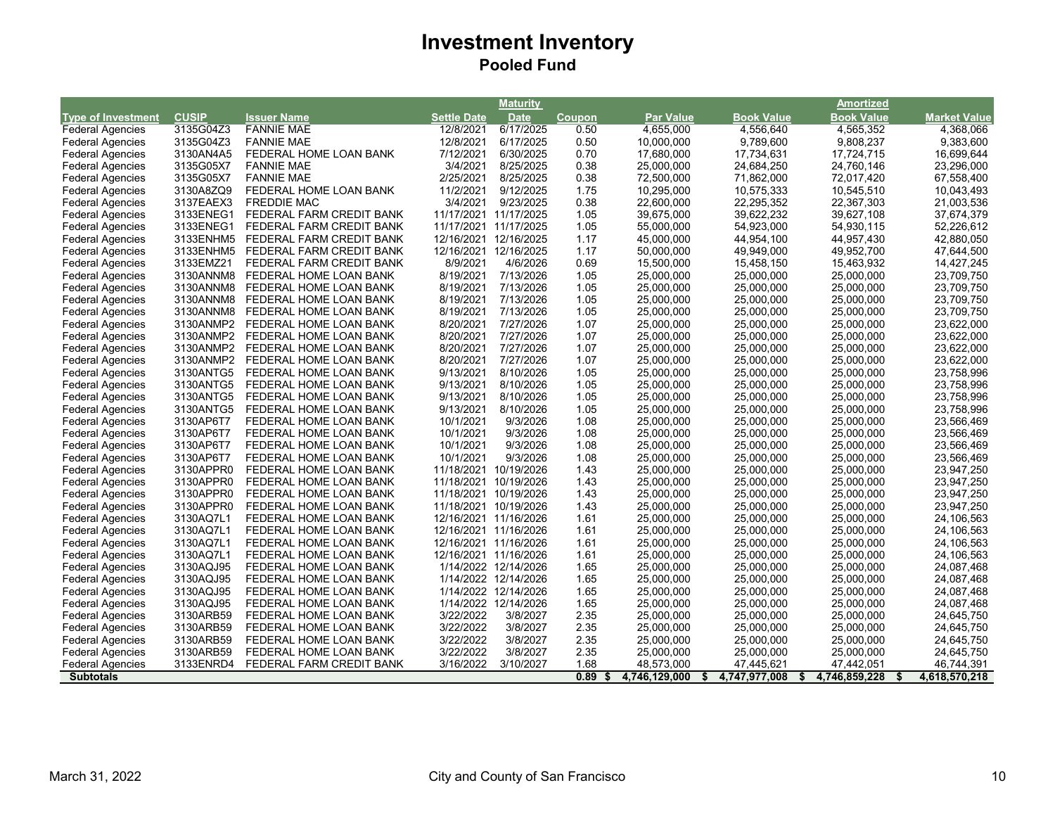|                           |              |                          |                       | Maturity              |               |                     |                     | Amortized                 |                     |
|---------------------------|--------------|--------------------------|-----------------------|-----------------------|---------------|---------------------|---------------------|---------------------------|---------------------|
| <b>Type of Investment</b> | <b>CUSIP</b> | <b>Issuer Name</b>       | <b>Settle Date</b>    | <b>Date</b>           | <b>Coupon</b> | <b>Par Value</b>    | <b>Book Value</b>   | <b>Book Value</b>         | <b>Market Value</b> |
| <b>Federal Agencies</b>   | 3135G04Z3    | <b>FANNIE MAE</b>        | 12/8/2021             | 6/17/2025             | 0.50          | 4,655,000           | 4,556,640           | 4,565,352                 | 4,368,066           |
| <b>Federal Agencies</b>   | 3135G04Z3    | <b>FANNIE MAE</b>        | 12/8/2021             | 6/17/2025             | 0.50          | 10,000,000          | 9,789,600           | 9,808,237                 | 9,383,600           |
| <b>Federal Agencies</b>   | 3130AN4A5    | FEDERAL HOME LOAN BANK   | 7/12/2021             | 6/30/2025             | 0.70          | 17,680,000          | 17,734,631          | 17,724,715                | 16,699,644          |
| <b>Federal Agencies</b>   | 3135G05X7    | <b>FANNIE MAE</b>        | 3/4/2021              | 8/25/2025             | 0.38          | 25,000,000          | 24,684,250          | 24,760,146                | 23,296,000          |
| <b>Federal Agencies</b>   | 3135G05X7    | <b>FANNIE MAE</b>        | 2/25/2021             | 8/25/2025             | 0.38          | 72,500,000          | 71,862,000          | 72,017,420                | 67,558,400          |
| <b>Federal Agencies</b>   | 3130A8ZQ9    | FEDERAL HOME LOAN BANK   | 11/2/2021             | 9/12/2025             | 1.75          | 10,295,000          | 10,575,333          | 10,545,510                | 10,043,493          |
| <b>Federal Agencies</b>   | 3137EAEX3    | <b>FREDDIE MAC</b>       | 3/4/2021              | 9/23/2025             | 0.38          | 22,600,000          | 22,295,352          | 22,367,303                | 21,003,536          |
| <b>Federal Agencies</b>   | 3133ENEG1    | FEDERAL FARM CREDIT BANK | 11/17/2021 11/17/2025 |                       | 1.05          | 39,675,000          | 39,622,232          | 39,627,108                | 37,674,379          |
| <b>Federal Agencies</b>   | 3133ENEG1    | FEDERAL FARM CREDIT BANK | 11/17/2021 11/17/2025 |                       | 1.05          | 55,000,000          | 54,923,000          | 54,930,115                | 52,226,612          |
| <b>Federal Agencies</b>   | 3133ENHM5    | FEDERAL FARM CREDIT BANK |                       | 12/16/2021 12/16/2025 | 1.17          | 45,000,000          | 44,954,100          | 44,957,430                | 42,880,050          |
| <b>Federal Agencies</b>   | 3133ENHM5    | FEDERAL FARM CREDIT BANK | 12/16/2021            | 12/16/2025            | 1.17          | 50,000,000          | 49,949,000          | 49,952,700                | 47,644,500          |
| <b>Federal Agencies</b>   | 3133EMZ21    | FEDERAL FARM CREDIT BANK | 8/9/2021              | 4/6/2026              | 0.69          | 15,500,000          | 15,458,150          | 15,463,932                | 14,427,245          |
| <b>Federal Agencies</b>   | 3130ANNM8    | FEDERAL HOME LOAN BANK   | 8/19/2021             | 7/13/2026             | 1.05          | 25,000,000          | 25,000,000          | 25,000,000                | 23,709,750          |
| <b>Federal Agencies</b>   | 3130ANNM8    | FEDERAL HOME LOAN BANK   | 8/19/2021             | 7/13/2026             | 1.05          | 25,000,000          | 25,000,000          | 25,000,000                | 23,709,750          |
| <b>Federal Agencies</b>   | 3130ANNM8    | FEDERAL HOME LOAN BANK   | 8/19/2021             | 7/13/2026             | 1.05          | 25,000,000          | 25,000,000          | 25,000,000                | 23,709,750          |
| <b>Federal Agencies</b>   | 3130ANNM8    | FEDERAL HOME LOAN BANK   | 8/19/2021             | 7/13/2026             | 1.05          | 25,000,000          | 25,000,000          | 25,000,000                | 23,709,750          |
| <b>Federal Agencies</b>   | 3130ANMP2    | FEDERAL HOME LOAN BANK   | 8/20/2021             | 7/27/2026             | 1.07          | 25,000,000          | 25,000,000          | 25,000,000                | 23,622,000          |
| <b>Federal Agencies</b>   | 3130ANMP2    | FEDERAL HOME LOAN BANK   | 8/20/2021             | 7/27/2026             | 1.07          | 25,000,000          | 25,000,000          | 25,000,000                | 23,622,000          |
| <b>Federal Agencies</b>   | 3130ANMP2    | FEDERAL HOME LOAN BANK   | 8/20/2021             | 7/27/2026             | 1.07          | 25,000,000          | 25,000,000          | 25,000,000                | 23,622,000          |
| <b>Federal Agencies</b>   | 3130ANMP2    | FEDERAL HOME LOAN BANK   | 8/20/2021             | 7/27/2026             | 1.07          | 25,000,000          | 25,000,000          | 25,000,000                | 23,622,000          |
| <b>Federal Agencies</b>   | 3130ANTG5    | FEDERAL HOME LOAN BANK   | 9/13/2021             | 8/10/2026             | 1.05          | 25,000,000          | 25,000,000          | 25,000,000                | 23,758,996          |
| <b>Federal Agencies</b>   | 3130ANTG5    | FEDERAL HOME LOAN BANK   | 9/13/2021             | 8/10/2026             | 1.05          | 25,000,000          | 25,000,000          | 25,000,000                | 23,758,996          |
| <b>Federal Agencies</b>   | 3130ANTG5    | FEDERAL HOME LOAN BANK   | 9/13/2021             | 8/10/2026             | 1.05          | 25,000,000          | 25,000,000          | 25,000,000                | 23,758,996          |
| <b>Federal Agencies</b>   | 3130ANTG5    | FEDERAL HOME LOAN BANK   | 9/13/2021             | 8/10/2026             | 1.05          | 25,000,000          | 25,000,000          | 25,000,000                | 23,758,996          |
| <b>Federal Agencies</b>   | 3130AP6T7    | FEDERAL HOME LOAN BANK   | 10/1/2021             | 9/3/2026              | 1.08          | 25,000,000          | 25,000,000          | 25,000,000                | 23,566,469          |
| <b>Federal Agencies</b>   | 3130AP6T7    | FEDERAL HOME LOAN BANK   | 10/1/2021             | 9/3/2026              | 1.08          | 25,000,000          | 25,000,000          | 25,000,000                | 23,566,469          |
| <b>Federal Agencies</b>   | 3130AP6T7    | FEDERAL HOME LOAN BANK   | 10/1/2021             | 9/3/2026              | 1.08          | 25,000,000          | 25,000,000          | 25,000,000                | 23,566,469          |
| <b>Federal Agencies</b>   | 3130AP6T7    | FEDERAL HOME LOAN BANK   | 10/1/2021             | 9/3/2026              | 1.08          | 25,000,000          | 25,000,000          | 25,000,000                | 23,566,469          |
| <b>Federal Agencies</b>   | 3130APPR0    | FEDERAL HOME LOAN BANK   |                       | 11/18/2021 10/19/2026 | 1.43          | 25,000,000          | 25,000,000          | 25,000,000                | 23,947,250          |
| <b>Federal Agencies</b>   | 3130APPR0    | FEDERAL HOME LOAN BANK   | 11/18/2021            | 10/19/2026            | 1.43          | 25,000,000          | 25,000,000          | 25,000,000                | 23,947,250          |
| <b>Federal Agencies</b>   | 3130APPR0    | FEDERAL HOME LOAN BANK   | 11/18/2021 10/19/2026 |                       | 1.43          | 25,000,000          | 25,000,000          | 25,000,000                | 23,947,250          |
| <b>Federal Agencies</b>   | 3130APPR0    | FEDERAL HOME LOAN BANK   | 11/18/2021 10/19/2026 |                       | 1.43          | 25,000,000          | 25,000,000          | 25,000,000                | 23,947,250          |
| <b>Federal Agencies</b>   | 3130AQ7L1    | FEDERAL HOME LOAN BANK   |                       | 12/16/2021 11/16/2026 | 1.61          | 25,000,000          | 25,000,000          | 25,000,000                | 24,106,563          |
| <b>Federal Agencies</b>   | 3130AQ7L1    | FEDERAL HOME LOAN BANK   |                       | 12/16/2021 11/16/2026 | 1.61          | 25,000,000          | 25,000,000          | 25,000,000                | 24,106,563          |
| <b>Federal Agencies</b>   | 3130AQ7L1    | FEDERAL HOME LOAN BANK   |                       | 12/16/2021 11/16/2026 | 1.61          | 25,000,000          | 25,000,000          | 25,000,000                | 24,106,563          |
| <b>Federal Agencies</b>   | 3130AQ7L1    | FEDERAL HOME LOAN BANK   |                       | 12/16/2021 11/16/2026 | 1.61          | 25,000,000          | 25,000,000          | 25,000,000                | 24,106,563          |
| <b>Federal Agencies</b>   | 3130AQJ95    | FEDERAL HOME LOAN BANK   |                       | 1/14/2022 12/14/2026  | 1.65          | 25,000,000          | 25,000,000          | 25,000,000                | 24,087,468          |
| <b>Federal Agencies</b>   | 3130AQJ95    | FEDERAL HOME LOAN BANK   |                       | 1/14/2022 12/14/2026  | 1.65          | 25,000,000          | 25,000,000          | 25,000,000                | 24,087,468          |
| <b>Federal Agencies</b>   | 3130AQJ95    | FEDERAL HOME LOAN BANK   |                       | 1/14/2022 12/14/2026  | 1.65          | 25,000,000          | 25,000,000          | 25,000,000                | 24,087,468          |
| <b>Federal Agencies</b>   | 3130AQJ95    | FEDERAL HOME LOAN BANK   |                       | 1/14/2022 12/14/2026  | 1.65          | 25,000,000          | 25,000,000          | 25,000,000                | 24,087,468          |
| <b>Federal Agencies</b>   | 3130ARB59    | FEDERAL HOME LOAN BANK   | 3/22/2022             | 3/8/2027              | 2.35          | 25,000,000          | 25,000,000          | 25,000,000                | 24,645,750          |
| <b>Federal Agencies</b>   | 3130ARB59    | FEDERAL HOME LOAN BANK   | 3/22/2022             | 3/8/2027              | 2.35          | 25,000,000          | 25,000,000          | 25,000,000                | 24,645,750          |
| <b>Federal Agencies</b>   | 3130ARB59    | FEDERAL HOME LOAN BANK   | 3/22/2022             | 3/8/2027              | 2.35          | 25,000,000          | 25,000,000          | 25,000,000                | 24,645,750          |
| <b>Federal Agencies</b>   | 3130ARB59    | FEDERAL HOME LOAN BANK   | 3/22/2022             | 3/8/2027              | 2.35          | 25,000,000          | 25,000,000          | 25,000,000                | 24,645,750          |
| <b>Federal Agencies</b>   | 3133ENRD4    | FEDERAL FARM CREDIT BANK | 3/16/2022             | 3/10/2027             | 1.68          | 48,573,000          | 47,445,621          | 47,442,051                | 46,744,391          |
| <b>Subtotals</b>          |              |                          |                       |                       | 0.89          | 4,746,129,000<br>\$ | 4,747,977,008<br>\$ | 4,746,859,228<br>\$<br>\$ | 4,618,570,218       |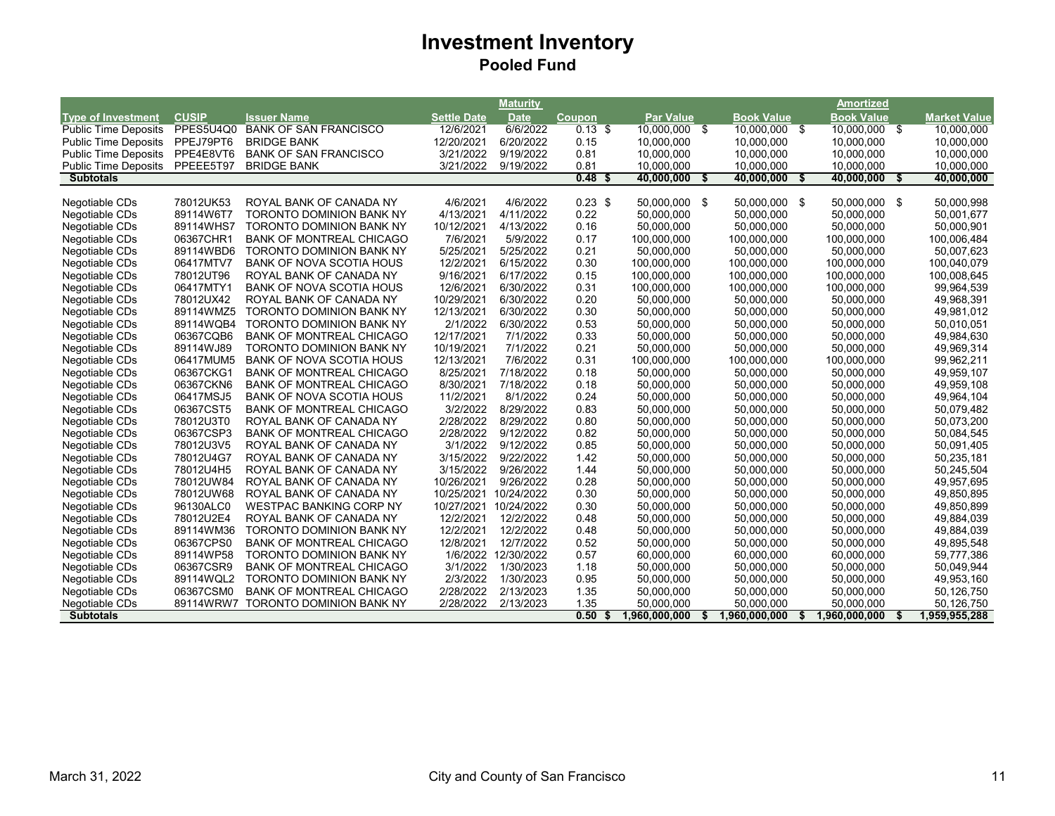|                             |              |                                 |                    | <b>Maturity</b>     |               |                  |                   |      | <b>Amortized</b>  |     |                     |
|-----------------------------|--------------|---------------------------------|--------------------|---------------------|---------------|------------------|-------------------|------|-------------------|-----|---------------------|
| <b>Type of Investment</b>   | <b>CUSIP</b> | <b>Issuer Name</b>              | <b>Settle Date</b> | <b>Date</b>         | <b>Coupon</b> | <b>Par Value</b> | <b>Book Value</b> |      | <b>Book Value</b> |     | <b>Market Value</b> |
| <b>Public Time Deposits</b> | PPES5U4Q0    | <b>BANK OF SAN FRANCISCO</b>    | 12/6/2021          | 6/6/2022            | $0.13$ \$     | 10,000,000 \$    | 10,000,000 \$     |      | 10,000,000 \$     |     | 10,000,000          |
| <b>Public Time Deposits</b> | PPEJ79PT6    | <b>BRIDGE BANK</b>              | 12/20/2021         | 6/20/2022           | 0.15          | 10.000.000       | 10.000.000        |      | 10.000.000        |     | 10.000.000          |
| <b>Public Time Deposits</b> | PPE4E8VT6    | <b>BANK OF SAN FRANCISCO</b>    | 3/21/2022          | 9/19/2022           | 0.81          | 10,000,000       | 10,000,000        |      | 10,000,000        |     | 10,000,000          |
| <b>Public Time Deposits</b> | PPEEE5T97    | <b>BRIDGE BANK</b>              | 3/21/2022          | 9/19/2022           | 0.81          | 10,000,000       | 10,000,000        |      | 10,000,000        |     | 10,000,000          |
| <b>Subtotals</b>            |              |                                 |                    |                     | $0.48$ \$     | 40,000,000       | 40,000,000<br>-\$ | - \$ | 40,000,000        | -\$ | 40,000,000          |
|                             |              |                                 |                    |                     |               |                  |                   |      |                   |     |                     |
| Negotiable CDs              | 78012UK53    | ROYAL BANK OF CANADA NY         | 4/6/2021           | 4/6/2022            | $0.23$ \$     | 50.000.000 \$    | 50.000.000 \$     |      | 50.000.000 \$     |     | 50.000.998          |
| Negotiable CDs              | 89114W6T7    | TORONTO DOMINION BANK NY        | 4/13/2021          | 4/11/2022           | 0.22          | 50,000,000       | 50,000,000        |      | 50,000,000        |     | 50,001,677          |
| Negotiable CDs              | 89114WHS7    | TORONTO DOMINION BANK NY        | 10/12/2021         | 4/13/2022           | 0.16          | 50.000.000       | 50.000.000        |      | 50.000.000        |     | 50.000.901          |
| Negotiable CDs              | 06367CHR1    | <b>BANK OF MONTREAL CHICAGO</b> | 7/6/2021           | 5/9/2022            | 0.17          | 100,000,000      | 100,000,000       |      | 100,000,000       |     | 100,006,484         |
| Negotiable CDs              | 89114WBD6    | <b>TORONTO DOMINION BANK NY</b> | 5/25/2021          | 5/25/2022           | 0.21          | 50,000,000       | 50,000,000        |      | 50,000,000        |     | 50,007,623          |
| Negotiable CDs              | 06417MTV7    | <b>BANK OF NOVA SCOTIA HOUS</b> | 12/2/2021          | 6/15/2022           | 0.30          | 100,000,000      | 100,000,000       |      | 100,000,000       |     | 100,040,079         |
| Negotiable CDs              | 78012UT96    | ROYAL BANK OF CANADA NY         | 9/16/2021          | 6/17/2022           | 0.15          | 100,000,000      | 100,000,000       |      | 100,000,000       |     | 100,008,645         |
| Negotiable CDs              | 06417MTY1    | <b>BANK OF NOVA SCOTIA HOUS</b> | 12/6/2021          | 6/30/2022           | 0.31          | 100,000,000      | 100,000,000       |      | 100,000,000       |     | 99,964,539          |
| Negotiable CDs              | 78012UX42    | ROYAL BANK OF CANADA NY         | 10/29/2021         | 6/30/2022           | 0.20          | 50,000,000       | 50,000,000        |      | 50,000,000        |     | 49,968,391          |
| Negotiable CDs              | 89114WMZ5    | <b>TORONTO DOMINION BANK NY</b> | 12/13/2021         | 6/30/2022           | 0.30          | 50,000,000       | 50,000,000        |      | 50,000,000        |     | 49,981,012          |
| Negotiable CDs              | 89114WQB4    | TORONTO DOMINION BANK NY        | 2/1/2022           | 6/30/2022           | 0.53          | 50,000,000       | 50,000,000        |      | 50,000,000        |     | 50,010,051          |
| Negotiable CDs              | 06367CQB6    | <b>BANK OF MONTREAL CHICAGO</b> | 12/17/2021         | 7/1/2022            | 0.33          | 50,000,000       | 50,000,000        |      | 50,000,000        |     | 49,984,630          |
| Negotiable CDs              | 89114WJ89    | TORONTO DOMINION BANK NY        | 10/19/2021         | 7/1/2022            | 0.21          | 50,000,000       | 50,000,000        |      | 50,000,000        |     | 49,969,314          |
| Negotiable CDs              | 06417MUM5    | <b>BANK OF NOVA SCOTIA HOUS</b> | 12/13/2021         | 7/6/2022            | 0.31          | 100,000,000      | 100,000,000       |      | 100,000,000       |     | 99,962,211          |
| Negotiable CDs              | 06367CKG1    | <b>BANK OF MONTREAL CHICAGO</b> | 8/25/2021          | 7/18/2022           | 0.18          | 50.000.000       | 50,000,000        |      | 50,000,000        |     | 49,959,107          |
| Negotiable CDs              | 06367CKN6    | <b>BANK OF MONTREAL CHICAGO</b> | 8/30/2021          | 7/18/2022           | 0.18          | 50,000,000       | 50,000,000        |      | 50,000,000        |     | 49,959,108          |
| Negotiable CDs              | 06417MSJ5    | <b>BANK OF NOVA SCOTIA HOUS</b> | 11/2/2021          | 8/1/2022            | 0.24          | 50,000,000       | 50,000,000        |      | 50,000,000        |     | 49,964,104          |
| Negotiable CDs              | 06367CST5    | <b>BANK OF MONTREAL CHICAGO</b> | 3/2/2022           | 8/29/2022           | 0.83          | 50,000,000       | 50,000,000        |      | 50,000,000        |     | 50,079,482          |
| Negotiable CDs              | 78012U3T0    | ROYAL BANK OF CANADA NY         | 2/28/2022          | 8/29/2022           | 0.80          | 50,000,000       | 50,000,000        |      | 50,000,000        |     | 50,073,200          |
| Negotiable CDs              | 06367CSP3    | <b>BANK OF MONTREAL CHICAGO</b> | 2/28/2022          | 9/12/2022           | 0.82          | 50,000,000       | 50,000,000        |      | 50,000,000        |     | 50,084,545          |
| Negotiable CDs              | 78012U3V5    | ROYAL BANK OF CANADA NY         | 3/1/2022           | 9/12/2022           | 0.85          | 50,000,000       | 50,000,000        |      | 50,000,000        |     | 50,091,405          |
| Negotiable CDs              | 78012U4G7    | ROYAL BANK OF CANADA NY         | 3/15/2022          | 9/22/2022           | 1.42          | 50,000,000       | 50,000,000        |      | 50,000,000        |     | 50,235,181          |
| Negotiable CDs              | 78012U4H5    | ROYAL BANK OF CANADA NY         | 3/15/2022          | 9/26/2022           | 1.44          | 50,000,000       | 50,000,000        |      | 50,000,000        |     | 50,245,504          |
| Negotiable CDs              | 78012UW84    | ROYAL BANK OF CANADA NY         | 10/26/2021         | 9/26/2022           | 0.28          | 50,000,000       | 50,000,000        |      | 50,000,000        |     | 49,957,695          |
| Negotiable CDs              | 78012UW68    | ROYAL BANK OF CANADA NY         | 10/25/2021         | 10/24/2022          | 0.30          | 50,000,000       | 50,000,000        |      | 50,000,000        |     | 49,850,895          |
| Negotiable CDs              | 96130ALC0    | <b>WESTPAC BANKING CORP NY</b>  | 10/27/2021         | 10/24/2022          | 0.30          | 50,000,000       | 50,000,000        |      | 50,000,000        |     | 49,850,899          |
| Negotiable CDs              | 78012U2E4    | ROYAL BANK OF CANADA NY         | 12/2/2021          | 12/2/2022           | 0.48          | 50,000,000       | 50,000,000        |      | 50,000,000        |     | 49,884,039          |
| Negotiable CDs              | 89114WM36    | <b>TORONTO DOMINION BANK NY</b> | 12/2/2021          | 12/2/2022           | 0.48          | 50,000,000       | 50,000,000        |      | 50,000,000        |     | 49,884,039          |
| Negotiable CDs              | 06367CPS0    | <b>BANK OF MONTREAL CHICAGO</b> | 12/8/2021          | 12/7/2022           | 0.52          | 50,000,000       | 50,000,000        |      | 50,000,000        |     | 49,895,548          |
| Negotiable CDs              | 89114WP58    | <b>TORONTO DOMINION BANK NY</b> |                    | 1/6/2022 12/30/2022 | 0.57          | 60,000,000       | 60,000,000        |      | 60,000,000        |     | 59,777,386          |
| Negotiable CDs              | 06367CSR9    | <b>BANK OF MONTREAL CHICAGO</b> | 3/1/2022           | 1/30/2023           | 1.18          | 50,000,000       | 50,000,000        |      | 50,000,000        |     | 50,049,944          |
| Negotiable CDs              | 89114WQL2    | <b>TORONTO DOMINION BANK NY</b> | 2/3/2022           | 1/30/2023           | 0.95          | 50,000,000       | 50,000,000        |      | 50,000,000        |     | 49,953,160          |
| Negotiable CDs              | 06367CSM0    | <b>BANK OF MONTREAL CHICAGO</b> | 2/28/2022          | 2/13/2023           | 1.35          | 50,000,000       | 50,000,000        |      | 50,000,000        |     | 50,126,750          |
| Negotiable CDs              | 89114WRW7    | <b>TORONTO DOMINION BANK NY</b> | 2/28/2022          | 2/13/2023           | 1.35          | 50,000,000       | 50,000,000        |      | 50,000,000        |     | 50,126,750          |
| <b>Subtotals</b>            |              |                                 |                    |                     | 0.50          | 1.960.000.000    | 1,960,000,000     | S.   | 1.960.000.000     | S   | 1,959,955,288       |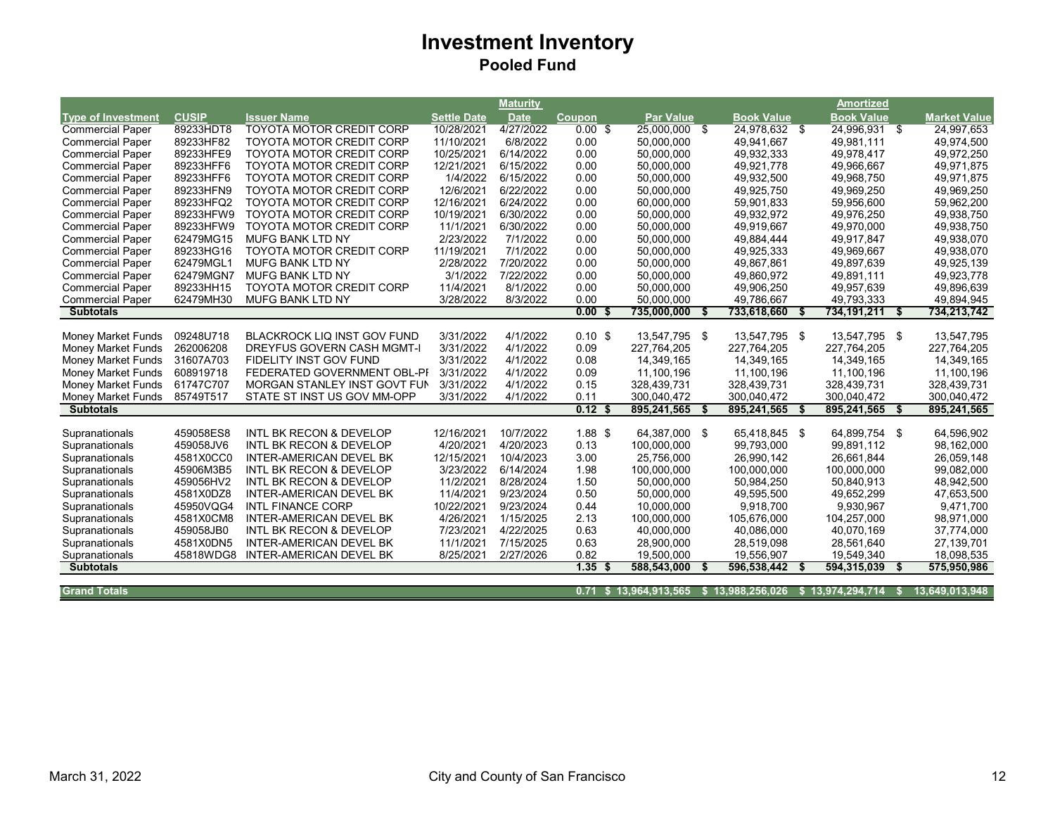| <b>CUSIP</b><br><b>Book Value</b><br><b>Book Value</b><br><b>Type of Investment</b><br><b>Issuer Name</b><br><b>Settle Date</b><br><b>Date</b><br>Coupon<br><b>Par Value</b><br><b>Market Value</b><br><b>TOYOTA MOTOR CREDIT CORP</b><br>4/27/2022<br><b>Commercial Paper</b><br>89233HDT8<br>10/28/2021<br>$0.00$ \$<br>25,000,000 \$<br>24,978,632 \$<br>24.996.931 \$<br>24,997,653<br>89233HF82<br><b>TOYOTA MOTOR CREDIT CORP</b><br>11/10/2021<br>6/8/2022<br>0.00<br>50,000,000<br>49,941,667<br>49,981,111<br><b>Commercial Paper</b><br>49,974,500<br>49,932,333<br><b>Commercial Paper</b><br>89233HFE9<br><b>TOYOTA MOTOR CREDIT CORP</b><br>10/25/2021<br>6/14/2022<br>0.00<br>50,000,000<br>49,978,417<br>49,972,250<br>89233HFF6<br>TOYOTA MOTOR CREDIT CORP<br>12/21/2021<br>50,000,000<br>49,921,778<br>49,966,667<br>49,971,875<br><b>Commercial Paper</b><br>6/15/2022<br>0.00<br>89233HFF6<br>1/4/2022<br>6/15/2022<br>0.00<br>50,000,000<br>49,932,500<br>49,968,750<br>49,971,875<br><b>Commercial Paper</b><br><b>TOYOTA MOTOR CREDIT CORP</b><br>12/6/2021<br>0.00<br>89233HFN9<br><b>TOYOTA MOTOR CREDIT CORP</b><br>6/22/2022<br>50,000,000<br>49,925,750<br>49,969,250<br>49,969,250<br><b>Commercial Paper</b><br>12/16/2021<br>89233HFQ2<br>6/24/2022<br>0.00<br>60,000,000<br>59,901,833<br>59,956,600<br>59,962,200<br><b>Commercial Paper</b><br><b>TOYOTA MOTOR CREDIT CORP</b><br>10/19/2021<br>49,938,750<br><b>Commercial Paper</b><br>89233HFW9<br><b>TOYOTA MOTOR CREDIT CORP</b><br>6/30/2022<br>0.00<br>50,000,000<br>49,932,972<br>49,976,250<br>89233HFW9<br><b>TOYOTA MOTOR CREDIT CORP</b><br>11/1/2021<br>6/30/2022<br>0.00<br>50,000,000<br>49,919,667<br>49,970,000<br>49,938,750<br><b>Commercial Paper</b><br>62479MG15<br><b>MUFG BANK LTD NY</b><br>2/23/2022<br>7/1/2022<br>0.00<br>50.000.000<br>49.884.444<br>49.917.847<br>49.938.070<br><b>Commercial Paper</b><br>11/19/2021<br>7/1/2022<br>0.00<br>89233HG16<br><b>TOYOTA MOTOR CREDIT CORP</b><br>50,000,000<br>49,925,333<br>49,969,667<br>49,938,070<br><b>Commercial Paper</b><br>2/28/2022<br>0.00<br>62479MGL1<br>7/20/2022<br>50,000,000<br>49,867,861<br>49,925,139<br><b>Commercial Paper</b><br><b>MUFG BANK LTD NY</b><br>49,897,639<br>3/1/2022<br>7/22/2022<br><b>Commercial Paper</b><br>62479MGN7<br><b>MUFG BANK LTD NY</b><br>0.00<br>50,000,000<br>49,860,972<br>49,891,111<br>49,923,778<br><b>TOYOTA MOTOR CREDIT CORP</b><br>11/4/2021<br>8/1/2022<br>0.00<br>50,000,000<br>49,906,250<br>49,957,639<br>49,896,639<br><b>Commercial Paper</b><br>89233HH15<br>3/28/2022<br>8/3/2022<br>49,786,667<br>49,894,945<br>62479MH30<br><b>MUFG BANK LTD NY</b><br>0.00<br>50.000.000<br>49,793,333<br><b>Commercial Paper</b><br>0.00 <sup>5</sup><br>735,000,000<br>733,618,660<br>734, 191, 211<br>734,213,742<br><b>Subtotals</b><br>- \$<br>- \$<br>09248U718<br>3/31/2022<br>13,547,795 \$<br>13,547,795 \$<br>13,547,795 \$<br>13,547,795<br>Money Market Funds<br><b>BLACKROCK LIQ INST GOV FUND</b><br>4/1/2022<br>$0.10$ \$<br>262006208<br>3/31/2022<br>4/1/2022<br>0.09<br>227,764,205<br>227,764,205<br>227,764,205<br>227,764,205<br>Money Market Funds<br><b>DREYFUS GOVERN CASH MGMT-I</b><br>3/31/2022<br>4/1/2022<br>14,349,165<br>Money Market Funds<br>31607A703<br>FIDELITY INST GOV FUND<br>0.08<br>14,349,165<br>14,349,165<br>14,349,165<br>3/31/2022<br>4/1/2022<br>Money Market Funds<br>608919718<br>FEDERATED GOVERNMENT OBL-PI<br>0.09<br>11,100,196<br>11,100,196<br>11,100,196<br>11,100,196<br>61747C707<br>MORGAN STANLEY INST GOVT FUN<br>3/31/2022<br>4/1/2022<br>0.15<br>Money Market Funds<br>328,439,731<br>328,439,731<br>328,439,731<br>328,439,731<br>0.11<br>300,040,472<br>85749T517<br>STATE ST INST US GOV MM-OPP<br>3/31/2022<br>4/1/2022<br>300,040,472<br>300,040,472<br>300,040,472<br><b>Money Market Funds</b><br>0.12 <sup>5</sup><br>895,241,565<br>895,241,565<br>895,241,565<br>895,241,565<br><b>Subtotals</b><br>Ŝ.<br>Ŝ.<br>459058ES8<br><b>INTL BK RECON &amp; DEVELOP</b><br>12/16/2021<br>10/7/2022<br>$1.88$ \$<br>64,387,000 \$<br>65,418,845 \$<br>64,899,754 \$<br>64,596,902<br>Supranationals<br>459058JV6<br><b>INTL BK RECON &amp; DEVELOP</b><br>4/20/2021<br>4/20/2023<br>0.13<br>100,000,000<br>99,793,000<br>99,891,112<br>98,162,000<br>Supranationals<br>12/15/2021<br>10/4/2023<br>3.00<br>26,990,142<br>26,661,844<br>26,059,148<br>4581X0CC0<br><b>INTER-AMERICAN DEVEL BK</b><br>25,756,000<br>Supranationals<br>3/23/2022<br>1.98<br>45906M3B5<br>6/14/2024<br>100,000,000<br>100,000,000<br>100,000,000<br>99,082,000<br>Supranationals<br>INTL BK RECON & DEVELOP<br>11/2/2021<br>8/28/2024<br>50,000,000<br>50,984,250<br>50,840,913<br>48,942,500<br>459056HV2<br>INTL BK RECON & DEVELOP<br>1.50<br>Supranationals<br>11/4/2021<br>9/23/2024<br>0.50<br>50.000.000<br>49.595.500<br>49,652,299<br>47,653,500<br>Supranationals<br>4581X0DZ8<br><b>INTER-AMERICAN DEVEL BK</b><br>45950VQG4<br><b>INTL FINANCE CORP</b><br>10/22/2021<br>9/23/2024<br>0.44<br>10,000,000<br>9,918,700<br>9,930,967<br>9,471,700<br>Supranationals<br>4581X0CM8<br><b>INTER-AMERICAN DEVEL BK</b><br>4/26/2021<br>1/15/2025<br>2.13<br>100,000,000<br>105,676,000<br>104,257,000<br>98,971,000<br>Supranationals<br>7/23/2021<br>0.63<br>459058JB0<br><b>INTL BK RECON &amp; DEVELOP</b><br>4/22/2025<br>40,000,000<br>40.086.000<br>40.070.169<br>37,774,000<br>Supranationals<br>7/15/2025<br>27,139,701<br>Supranationals<br>4581X0DN5<br><b>INTER-AMERICAN DEVEL BK</b><br>11/1/2021<br>0.63<br>28,900,000<br>28,519,098<br>28,561,640<br>8/25/2021<br>2/27/2026<br>0.82<br>19,556,907<br>19,549,340<br>18.098.535<br>Supranationals<br>45818WDG8<br>INTER-AMERICAN DEVEL BK<br>19,500,000<br>1.35<br>588,543,000<br>596,538,442<br>594,315,039<br>575,950,986<br><b>Subtotals</b><br>- \$<br>\$<br>\$13,964,913,565<br>\$13,988,256,026<br>\$13,974,294,714 |                     |  | <b>Maturity</b> |      |  |  | <b>Amortized</b> |    |                |
|------------------------------------------------------------------------------------------------------------------------------------------------------------------------------------------------------------------------------------------------------------------------------------------------------------------------------------------------------------------------------------------------------------------------------------------------------------------------------------------------------------------------------------------------------------------------------------------------------------------------------------------------------------------------------------------------------------------------------------------------------------------------------------------------------------------------------------------------------------------------------------------------------------------------------------------------------------------------------------------------------------------------------------------------------------------------------------------------------------------------------------------------------------------------------------------------------------------------------------------------------------------------------------------------------------------------------------------------------------------------------------------------------------------------------------------------------------------------------------------------------------------------------------------------------------------------------------------------------------------------------------------------------------------------------------------------------------------------------------------------------------------------------------------------------------------------------------------------------------------------------------------------------------------------------------------------------------------------------------------------------------------------------------------------------------------------------------------------------------------------------------------------------------------------------------------------------------------------------------------------------------------------------------------------------------------------------------------------------------------------------------------------------------------------------------------------------------------------------------------------------------------------------------------------------------------------------------------------------------------------------------------------------------------------------------------------------------------------------------------------------------------------------------------------------------------------------------------------------------------------------------------------------------------------------------------------------------------------------------------------------------------------------------------------------------------------------------------------------------------------------------------------------------------------------------------------------------------------------------------------------------------------------------------------------------------------------------------------------------------------------------------------------------------------------------------------------------------------------------------------------------------------------------------------------------------------------------------------------------------------------------------------------------------------------------------------------------------------------------------------------------------------------------------------------------------------------------------------------------------------------------------------------------------------------------------------------------------------------------------------------------------------------------------------------------------------------------------------------------------------------------------------------------------------------------------------------------------------------------------------------------------------------------------------------------------------------------------------------------------------------------------------------------------------------------------------------------------------------------------------------------------------------------------------------------------------------------------------------------------------------------------------------------------------------------------------------------------------------------------------------------------------------------------------------------------------------------------------------------------------------------------------------------------------------------------------------------------------------------------------------------------------------------------------------------------------------------------------------------------------------------------------------------------------------------------------------------------------------------------------------------------------------------------------------------------------------------------------------------------------------------------------------------------------------------------------------------------------------------------------------------------------------------------------------------------------------------------------------------------------------------------------------------------------------------------------------------------------------------------------------------------------------------------------------------------------------------------------------------------------------------------------------------------------------------------------------------|---------------------|--|-----------------|------|--|--|------------------|----|----------------|
|                                                                                                                                                                                                                                                                                                                                                                                                                                                                                                                                                                                                                                                                                                                                                                                                                                                                                                                                                                                                                                                                                                                                                                                                                                                                                                                                                                                                                                                                                                                                                                                                                                                                                                                                                                                                                                                                                                                                                                                                                                                                                                                                                                                                                                                                                                                                                                                                                                                                                                                                                                                                                                                                                                                                                                                                                                                                                                                                                                                                                                                                                                                                                                                                                                                                                                                                                                                                                                                                                                                                                                                                                                                                                                                                                                                                                                                                                                                                                                                                                                                                                                                                                                                                                                                                                                                                                                                                                                                                                                                                                                                                                                                                                                                                                                                                                                                                                                                                                                                                                                                                                                                                                                                                                                                                                                                                                                                                                                                                                                                                                                                                                                                                                                                                                                                                                                                                                                                                                            |                     |  |                 |      |  |  |                  |    |                |
|                                                                                                                                                                                                                                                                                                                                                                                                                                                                                                                                                                                                                                                                                                                                                                                                                                                                                                                                                                                                                                                                                                                                                                                                                                                                                                                                                                                                                                                                                                                                                                                                                                                                                                                                                                                                                                                                                                                                                                                                                                                                                                                                                                                                                                                                                                                                                                                                                                                                                                                                                                                                                                                                                                                                                                                                                                                                                                                                                                                                                                                                                                                                                                                                                                                                                                                                                                                                                                                                                                                                                                                                                                                                                                                                                                                                                                                                                                                                                                                                                                                                                                                                                                                                                                                                                                                                                                                                                                                                                                                                                                                                                                                                                                                                                                                                                                                                                                                                                                                                                                                                                                                                                                                                                                                                                                                                                                                                                                                                                                                                                                                                                                                                                                                                                                                                                                                                                                                                                            |                     |  |                 |      |  |  |                  |    |                |
|                                                                                                                                                                                                                                                                                                                                                                                                                                                                                                                                                                                                                                                                                                                                                                                                                                                                                                                                                                                                                                                                                                                                                                                                                                                                                                                                                                                                                                                                                                                                                                                                                                                                                                                                                                                                                                                                                                                                                                                                                                                                                                                                                                                                                                                                                                                                                                                                                                                                                                                                                                                                                                                                                                                                                                                                                                                                                                                                                                                                                                                                                                                                                                                                                                                                                                                                                                                                                                                                                                                                                                                                                                                                                                                                                                                                                                                                                                                                                                                                                                                                                                                                                                                                                                                                                                                                                                                                                                                                                                                                                                                                                                                                                                                                                                                                                                                                                                                                                                                                                                                                                                                                                                                                                                                                                                                                                                                                                                                                                                                                                                                                                                                                                                                                                                                                                                                                                                                                                            |                     |  |                 |      |  |  |                  |    |                |
|                                                                                                                                                                                                                                                                                                                                                                                                                                                                                                                                                                                                                                                                                                                                                                                                                                                                                                                                                                                                                                                                                                                                                                                                                                                                                                                                                                                                                                                                                                                                                                                                                                                                                                                                                                                                                                                                                                                                                                                                                                                                                                                                                                                                                                                                                                                                                                                                                                                                                                                                                                                                                                                                                                                                                                                                                                                                                                                                                                                                                                                                                                                                                                                                                                                                                                                                                                                                                                                                                                                                                                                                                                                                                                                                                                                                                                                                                                                                                                                                                                                                                                                                                                                                                                                                                                                                                                                                                                                                                                                                                                                                                                                                                                                                                                                                                                                                                                                                                                                                                                                                                                                                                                                                                                                                                                                                                                                                                                                                                                                                                                                                                                                                                                                                                                                                                                                                                                                                                            |                     |  |                 |      |  |  |                  |    |                |
|                                                                                                                                                                                                                                                                                                                                                                                                                                                                                                                                                                                                                                                                                                                                                                                                                                                                                                                                                                                                                                                                                                                                                                                                                                                                                                                                                                                                                                                                                                                                                                                                                                                                                                                                                                                                                                                                                                                                                                                                                                                                                                                                                                                                                                                                                                                                                                                                                                                                                                                                                                                                                                                                                                                                                                                                                                                                                                                                                                                                                                                                                                                                                                                                                                                                                                                                                                                                                                                                                                                                                                                                                                                                                                                                                                                                                                                                                                                                                                                                                                                                                                                                                                                                                                                                                                                                                                                                                                                                                                                                                                                                                                                                                                                                                                                                                                                                                                                                                                                                                                                                                                                                                                                                                                                                                                                                                                                                                                                                                                                                                                                                                                                                                                                                                                                                                                                                                                                                                            |                     |  |                 |      |  |  |                  |    |                |
|                                                                                                                                                                                                                                                                                                                                                                                                                                                                                                                                                                                                                                                                                                                                                                                                                                                                                                                                                                                                                                                                                                                                                                                                                                                                                                                                                                                                                                                                                                                                                                                                                                                                                                                                                                                                                                                                                                                                                                                                                                                                                                                                                                                                                                                                                                                                                                                                                                                                                                                                                                                                                                                                                                                                                                                                                                                                                                                                                                                                                                                                                                                                                                                                                                                                                                                                                                                                                                                                                                                                                                                                                                                                                                                                                                                                                                                                                                                                                                                                                                                                                                                                                                                                                                                                                                                                                                                                                                                                                                                                                                                                                                                                                                                                                                                                                                                                                                                                                                                                                                                                                                                                                                                                                                                                                                                                                                                                                                                                                                                                                                                                                                                                                                                                                                                                                                                                                                                                                            |                     |  |                 |      |  |  |                  |    |                |
|                                                                                                                                                                                                                                                                                                                                                                                                                                                                                                                                                                                                                                                                                                                                                                                                                                                                                                                                                                                                                                                                                                                                                                                                                                                                                                                                                                                                                                                                                                                                                                                                                                                                                                                                                                                                                                                                                                                                                                                                                                                                                                                                                                                                                                                                                                                                                                                                                                                                                                                                                                                                                                                                                                                                                                                                                                                                                                                                                                                                                                                                                                                                                                                                                                                                                                                                                                                                                                                                                                                                                                                                                                                                                                                                                                                                                                                                                                                                                                                                                                                                                                                                                                                                                                                                                                                                                                                                                                                                                                                                                                                                                                                                                                                                                                                                                                                                                                                                                                                                                                                                                                                                                                                                                                                                                                                                                                                                                                                                                                                                                                                                                                                                                                                                                                                                                                                                                                                                                            |                     |  |                 |      |  |  |                  |    |                |
|                                                                                                                                                                                                                                                                                                                                                                                                                                                                                                                                                                                                                                                                                                                                                                                                                                                                                                                                                                                                                                                                                                                                                                                                                                                                                                                                                                                                                                                                                                                                                                                                                                                                                                                                                                                                                                                                                                                                                                                                                                                                                                                                                                                                                                                                                                                                                                                                                                                                                                                                                                                                                                                                                                                                                                                                                                                                                                                                                                                                                                                                                                                                                                                                                                                                                                                                                                                                                                                                                                                                                                                                                                                                                                                                                                                                                                                                                                                                                                                                                                                                                                                                                                                                                                                                                                                                                                                                                                                                                                                                                                                                                                                                                                                                                                                                                                                                                                                                                                                                                                                                                                                                                                                                                                                                                                                                                                                                                                                                                                                                                                                                                                                                                                                                                                                                                                                                                                                                                            |                     |  |                 |      |  |  |                  |    |                |
|                                                                                                                                                                                                                                                                                                                                                                                                                                                                                                                                                                                                                                                                                                                                                                                                                                                                                                                                                                                                                                                                                                                                                                                                                                                                                                                                                                                                                                                                                                                                                                                                                                                                                                                                                                                                                                                                                                                                                                                                                                                                                                                                                                                                                                                                                                                                                                                                                                                                                                                                                                                                                                                                                                                                                                                                                                                                                                                                                                                                                                                                                                                                                                                                                                                                                                                                                                                                                                                                                                                                                                                                                                                                                                                                                                                                                                                                                                                                                                                                                                                                                                                                                                                                                                                                                                                                                                                                                                                                                                                                                                                                                                                                                                                                                                                                                                                                                                                                                                                                                                                                                                                                                                                                                                                                                                                                                                                                                                                                                                                                                                                                                                                                                                                                                                                                                                                                                                                                                            |                     |  |                 |      |  |  |                  |    |                |
|                                                                                                                                                                                                                                                                                                                                                                                                                                                                                                                                                                                                                                                                                                                                                                                                                                                                                                                                                                                                                                                                                                                                                                                                                                                                                                                                                                                                                                                                                                                                                                                                                                                                                                                                                                                                                                                                                                                                                                                                                                                                                                                                                                                                                                                                                                                                                                                                                                                                                                                                                                                                                                                                                                                                                                                                                                                                                                                                                                                                                                                                                                                                                                                                                                                                                                                                                                                                                                                                                                                                                                                                                                                                                                                                                                                                                                                                                                                                                                                                                                                                                                                                                                                                                                                                                                                                                                                                                                                                                                                                                                                                                                                                                                                                                                                                                                                                                                                                                                                                                                                                                                                                                                                                                                                                                                                                                                                                                                                                                                                                                                                                                                                                                                                                                                                                                                                                                                                                                            |                     |  |                 |      |  |  |                  |    |                |
|                                                                                                                                                                                                                                                                                                                                                                                                                                                                                                                                                                                                                                                                                                                                                                                                                                                                                                                                                                                                                                                                                                                                                                                                                                                                                                                                                                                                                                                                                                                                                                                                                                                                                                                                                                                                                                                                                                                                                                                                                                                                                                                                                                                                                                                                                                                                                                                                                                                                                                                                                                                                                                                                                                                                                                                                                                                                                                                                                                                                                                                                                                                                                                                                                                                                                                                                                                                                                                                                                                                                                                                                                                                                                                                                                                                                                                                                                                                                                                                                                                                                                                                                                                                                                                                                                                                                                                                                                                                                                                                                                                                                                                                                                                                                                                                                                                                                                                                                                                                                                                                                                                                                                                                                                                                                                                                                                                                                                                                                                                                                                                                                                                                                                                                                                                                                                                                                                                                                                            |                     |  |                 |      |  |  |                  |    |                |
|                                                                                                                                                                                                                                                                                                                                                                                                                                                                                                                                                                                                                                                                                                                                                                                                                                                                                                                                                                                                                                                                                                                                                                                                                                                                                                                                                                                                                                                                                                                                                                                                                                                                                                                                                                                                                                                                                                                                                                                                                                                                                                                                                                                                                                                                                                                                                                                                                                                                                                                                                                                                                                                                                                                                                                                                                                                                                                                                                                                                                                                                                                                                                                                                                                                                                                                                                                                                                                                                                                                                                                                                                                                                                                                                                                                                                                                                                                                                                                                                                                                                                                                                                                                                                                                                                                                                                                                                                                                                                                                                                                                                                                                                                                                                                                                                                                                                                                                                                                                                                                                                                                                                                                                                                                                                                                                                                                                                                                                                                                                                                                                                                                                                                                                                                                                                                                                                                                                                                            |                     |  |                 |      |  |  |                  |    |                |
|                                                                                                                                                                                                                                                                                                                                                                                                                                                                                                                                                                                                                                                                                                                                                                                                                                                                                                                                                                                                                                                                                                                                                                                                                                                                                                                                                                                                                                                                                                                                                                                                                                                                                                                                                                                                                                                                                                                                                                                                                                                                                                                                                                                                                                                                                                                                                                                                                                                                                                                                                                                                                                                                                                                                                                                                                                                                                                                                                                                                                                                                                                                                                                                                                                                                                                                                                                                                                                                                                                                                                                                                                                                                                                                                                                                                                                                                                                                                                                                                                                                                                                                                                                                                                                                                                                                                                                                                                                                                                                                                                                                                                                                                                                                                                                                                                                                                                                                                                                                                                                                                                                                                                                                                                                                                                                                                                                                                                                                                                                                                                                                                                                                                                                                                                                                                                                                                                                                                                            |                     |  |                 |      |  |  |                  |    |                |
|                                                                                                                                                                                                                                                                                                                                                                                                                                                                                                                                                                                                                                                                                                                                                                                                                                                                                                                                                                                                                                                                                                                                                                                                                                                                                                                                                                                                                                                                                                                                                                                                                                                                                                                                                                                                                                                                                                                                                                                                                                                                                                                                                                                                                                                                                                                                                                                                                                                                                                                                                                                                                                                                                                                                                                                                                                                                                                                                                                                                                                                                                                                                                                                                                                                                                                                                                                                                                                                                                                                                                                                                                                                                                                                                                                                                                                                                                                                                                                                                                                                                                                                                                                                                                                                                                                                                                                                                                                                                                                                                                                                                                                                                                                                                                                                                                                                                                                                                                                                                                                                                                                                                                                                                                                                                                                                                                                                                                                                                                                                                                                                                                                                                                                                                                                                                                                                                                                                                                            |                     |  |                 |      |  |  |                  |    |                |
|                                                                                                                                                                                                                                                                                                                                                                                                                                                                                                                                                                                                                                                                                                                                                                                                                                                                                                                                                                                                                                                                                                                                                                                                                                                                                                                                                                                                                                                                                                                                                                                                                                                                                                                                                                                                                                                                                                                                                                                                                                                                                                                                                                                                                                                                                                                                                                                                                                                                                                                                                                                                                                                                                                                                                                                                                                                                                                                                                                                                                                                                                                                                                                                                                                                                                                                                                                                                                                                                                                                                                                                                                                                                                                                                                                                                                                                                                                                                                                                                                                                                                                                                                                                                                                                                                                                                                                                                                                                                                                                                                                                                                                                                                                                                                                                                                                                                                                                                                                                                                                                                                                                                                                                                                                                                                                                                                                                                                                                                                                                                                                                                                                                                                                                                                                                                                                                                                                                                                            |                     |  |                 |      |  |  |                  |    |                |
|                                                                                                                                                                                                                                                                                                                                                                                                                                                                                                                                                                                                                                                                                                                                                                                                                                                                                                                                                                                                                                                                                                                                                                                                                                                                                                                                                                                                                                                                                                                                                                                                                                                                                                                                                                                                                                                                                                                                                                                                                                                                                                                                                                                                                                                                                                                                                                                                                                                                                                                                                                                                                                                                                                                                                                                                                                                                                                                                                                                                                                                                                                                                                                                                                                                                                                                                                                                                                                                                                                                                                                                                                                                                                                                                                                                                                                                                                                                                                                                                                                                                                                                                                                                                                                                                                                                                                                                                                                                                                                                                                                                                                                                                                                                                                                                                                                                                                                                                                                                                                                                                                                                                                                                                                                                                                                                                                                                                                                                                                                                                                                                                                                                                                                                                                                                                                                                                                                                                                            |                     |  |                 |      |  |  |                  |    |                |
|                                                                                                                                                                                                                                                                                                                                                                                                                                                                                                                                                                                                                                                                                                                                                                                                                                                                                                                                                                                                                                                                                                                                                                                                                                                                                                                                                                                                                                                                                                                                                                                                                                                                                                                                                                                                                                                                                                                                                                                                                                                                                                                                                                                                                                                                                                                                                                                                                                                                                                                                                                                                                                                                                                                                                                                                                                                                                                                                                                                                                                                                                                                                                                                                                                                                                                                                                                                                                                                                                                                                                                                                                                                                                                                                                                                                                                                                                                                                                                                                                                                                                                                                                                                                                                                                                                                                                                                                                                                                                                                                                                                                                                                                                                                                                                                                                                                                                                                                                                                                                                                                                                                                                                                                                                                                                                                                                                                                                                                                                                                                                                                                                                                                                                                                                                                                                                                                                                                                                            |                     |  |                 |      |  |  |                  |    |                |
|                                                                                                                                                                                                                                                                                                                                                                                                                                                                                                                                                                                                                                                                                                                                                                                                                                                                                                                                                                                                                                                                                                                                                                                                                                                                                                                                                                                                                                                                                                                                                                                                                                                                                                                                                                                                                                                                                                                                                                                                                                                                                                                                                                                                                                                                                                                                                                                                                                                                                                                                                                                                                                                                                                                                                                                                                                                                                                                                                                                                                                                                                                                                                                                                                                                                                                                                                                                                                                                                                                                                                                                                                                                                                                                                                                                                                                                                                                                                                                                                                                                                                                                                                                                                                                                                                                                                                                                                                                                                                                                                                                                                                                                                                                                                                                                                                                                                                                                                                                                                                                                                                                                                                                                                                                                                                                                                                                                                                                                                                                                                                                                                                                                                                                                                                                                                                                                                                                                                                            |                     |  |                 |      |  |  |                  |    |                |
|                                                                                                                                                                                                                                                                                                                                                                                                                                                                                                                                                                                                                                                                                                                                                                                                                                                                                                                                                                                                                                                                                                                                                                                                                                                                                                                                                                                                                                                                                                                                                                                                                                                                                                                                                                                                                                                                                                                                                                                                                                                                                                                                                                                                                                                                                                                                                                                                                                                                                                                                                                                                                                                                                                                                                                                                                                                                                                                                                                                                                                                                                                                                                                                                                                                                                                                                                                                                                                                                                                                                                                                                                                                                                                                                                                                                                                                                                                                                                                                                                                                                                                                                                                                                                                                                                                                                                                                                                                                                                                                                                                                                                                                                                                                                                                                                                                                                                                                                                                                                                                                                                                                                                                                                                                                                                                                                                                                                                                                                                                                                                                                                                                                                                                                                                                                                                                                                                                                                                            |                     |  |                 |      |  |  |                  |    |                |
|                                                                                                                                                                                                                                                                                                                                                                                                                                                                                                                                                                                                                                                                                                                                                                                                                                                                                                                                                                                                                                                                                                                                                                                                                                                                                                                                                                                                                                                                                                                                                                                                                                                                                                                                                                                                                                                                                                                                                                                                                                                                                                                                                                                                                                                                                                                                                                                                                                                                                                                                                                                                                                                                                                                                                                                                                                                                                                                                                                                                                                                                                                                                                                                                                                                                                                                                                                                                                                                                                                                                                                                                                                                                                                                                                                                                                                                                                                                                                                                                                                                                                                                                                                                                                                                                                                                                                                                                                                                                                                                                                                                                                                                                                                                                                                                                                                                                                                                                                                                                                                                                                                                                                                                                                                                                                                                                                                                                                                                                                                                                                                                                                                                                                                                                                                                                                                                                                                                                                            |                     |  |                 |      |  |  |                  |    |                |
|                                                                                                                                                                                                                                                                                                                                                                                                                                                                                                                                                                                                                                                                                                                                                                                                                                                                                                                                                                                                                                                                                                                                                                                                                                                                                                                                                                                                                                                                                                                                                                                                                                                                                                                                                                                                                                                                                                                                                                                                                                                                                                                                                                                                                                                                                                                                                                                                                                                                                                                                                                                                                                                                                                                                                                                                                                                                                                                                                                                                                                                                                                                                                                                                                                                                                                                                                                                                                                                                                                                                                                                                                                                                                                                                                                                                                                                                                                                                                                                                                                                                                                                                                                                                                                                                                                                                                                                                                                                                                                                                                                                                                                                                                                                                                                                                                                                                                                                                                                                                                                                                                                                                                                                                                                                                                                                                                                                                                                                                                                                                                                                                                                                                                                                                                                                                                                                                                                                                                            |                     |  |                 |      |  |  |                  |    |                |
|                                                                                                                                                                                                                                                                                                                                                                                                                                                                                                                                                                                                                                                                                                                                                                                                                                                                                                                                                                                                                                                                                                                                                                                                                                                                                                                                                                                                                                                                                                                                                                                                                                                                                                                                                                                                                                                                                                                                                                                                                                                                                                                                                                                                                                                                                                                                                                                                                                                                                                                                                                                                                                                                                                                                                                                                                                                                                                                                                                                                                                                                                                                                                                                                                                                                                                                                                                                                                                                                                                                                                                                                                                                                                                                                                                                                                                                                                                                                                                                                                                                                                                                                                                                                                                                                                                                                                                                                                                                                                                                                                                                                                                                                                                                                                                                                                                                                                                                                                                                                                                                                                                                                                                                                                                                                                                                                                                                                                                                                                                                                                                                                                                                                                                                                                                                                                                                                                                                                                            |                     |  |                 |      |  |  |                  |    |                |
|                                                                                                                                                                                                                                                                                                                                                                                                                                                                                                                                                                                                                                                                                                                                                                                                                                                                                                                                                                                                                                                                                                                                                                                                                                                                                                                                                                                                                                                                                                                                                                                                                                                                                                                                                                                                                                                                                                                                                                                                                                                                                                                                                                                                                                                                                                                                                                                                                                                                                                                                                                                                                                                                                                                                                                                                                                                                                                                                                                                                                                                                                                                                                                                                                                                                                                                                                                                                                                                                                                                                                                                                                                                                                                                                                                                                                                                                                                                                                                                                                                                                                                                                                                                                                                                                                                                                                                                                                                                                                                                                                                                                                                                                                                                                                                                                                                                                                                                                                                                                                                                                                                                                                                                                                                                                                                                                                                                                                                                                                                                                                                                                                                                                                                                                                                                                                                                                                                                                                            |                     |  |                 |      |  |  |                  |    |                |
|                                                                                                                                                                                                                                                                                                                                                                                                                                                                                                                                                                                                                                                                                                                                                                                                                                                                                                                                                                                                                                                                                                                                                                                                                                                                                                                                                                                                                                                                                                                                                                                                                                                                                                                                                                                                                                                                                                                                                                                                                                                                                                                                                                                                                                                                                                                                                                                                                                                                                                                                                                                                                                                                                                                                                                                                                                                                                                                                                                                                                                                                                                                                                                                                                                                                                                                                                                                                                                                                                                                                                                                                                                                                                                                                                                                                                                                                                                                                                                                                                                                                                                                                                                                                                                                                                                                                                                                                                                                                                                                                                                                                                                                                                                                                                                                                                                                                                                                                                                                                                                                                                                                                                                                                                                                                                                                                                                                                                                                                                                                                                                                                                                                                                                                                                                                                                                                                                                                                                            |                     |  |                 |      |  |  |                  |    |                |
|                                                                                                                                                                                                                                                                                                                                                                                                                                                                                                                                                                                                                                                                                                                                                                                                                                                                                                                                                                                                                                                                                                                                                                                                                                                                                                                                                                                                                                                                                                                                                                                                                                                                                                                                                                                                                                                                                                                                                                                                                                                                                                                                                                                                                                                                                                                                                                                                                                                                                                                                                                                                                                                                                                                                                                                                                                                                                                                                                                                                                                                                                                                                                                                                                                                                                                                                                                                                                                                                                                                                                                                                                                                                                                                                                                                                                                                                                                                                                                                                                                                                                                                                                                                                                                                                                                                                                                                                                                                                                                                                                                                                                                                                                                                                                                                                                                                                                                                                                                                                                                                                                                                                                                                                                                                                                                                                                                                                                                                                                                                                                                                                                                                                                                                                                                                                                                                                                                                                                            |                     |  |                 |      |  |  |                  |    |                |
|                                                                                                                                                                                                                                                                                                                                                                                                                                                                                                                                                                                                                                                                                                                                                                                                                                                                                                                                                                                                                                                                                                                                                                                                                                                                                                                                                                                                                                                                                                                                                                                                                                                                                                                                                                                                                                                                                                                                                                                                                                                                                                                                                                                                                                                                                                                                                                                                                                                                                                                                                                                                                                                                                                                                                                                                                                                                                                                                                                                                                                                                                                                                                                                                                                                                                                                                                                                                                                                                                                                                                                                                                                                                                                                                                                                                                                                                                                                                                                                                                                                                                                                                                                                                                                                                                                                                                                                                                                                                                                                                                                                                                                                                                                                                                                                                                                                                                                                                                                                                                                                                                                                                                                                                                                                                                                                                                                                                                                                                                                                                                                                                                                                                                                                                                                                                                                                                                                                                                            |                     |  |                 |      |  |  |                  |    |                |
|                                                                                                                                                                                                                                                                                                                                                                                                                                                                                                                                                                                                                                                                                                                                                                                                                                                                                                                                                                                                                                                                                                                                                                                                                                                                                                                                                                                                                                                                                                                                                                                                                                                                                                                                                                                                                                                                                                                                                                                                                                                                                                                                                                                                                                                                                                                                                                                                                                                                                                                                                                                                                                                                                                                                                                                                                                                                                                                                                                                                                                                                                                                                                                                                                                                                                                                                                                                                                                                                                                                                                                                                                                                                                                                                                                                                                                                                                                                                                                                                                                                                                                                                                                                                                                                                                                                                                                                                                                                                                                                                                                                                                                                                                                                                                                                                                                                                                                                                                                                                                                                                                                                                                                                                                                                                                                                                                                                                                                                                                                                                                                                                                                                                                                                                                                                                                                                                                                                                                            |                     |  |                 |      |  |  |                  |    |                |
|                                                                                                                                                                                                                                                                                                                                                                                                                                                                                                                                                                                                                                                                                                                                                                                                                                                                                                                                                                                                                                                                                                                                                                                                                                                                                                                                                                                                                                                                                                                                                                                                                                                                                                                                                                                                                                                                                                                                                                                                                                                                                                                                                                                                                                                                                                                                                                                                                                                                                                                                                                                                                                                                                                                                                                                                                                                                                                                                                                                                                                                                                                                                                                                                                                                                                                                                                                                                                                                                                                                                                                                                                                                                                                                                                                                                                                                                                                                                                                                                                                                                                                                                                                                                                                                                                                                                                                                                                                                                                                                                                                                                                                                                                                                                                                                                                                                                                                                                                                                                                                                                                                                                                                                                                                                                                                                                                                                                                                                                                                                                                                                                                                                                                                                                                                                                                                                                                                                                                            |                     |  |                 |      |  |  |                  |    |                |
|                                                                                                                                                                                                                                                                                                                                                                                                                                                                                                                                                                                                                                                                                                                                                                                                                                                                                                                                                                                                                                                                                                                                                                                                                                                                                                                                                                                                                                                                                                                                                                                                                                                                                                                                                                                                                                                                                                                                                                                                                                                                                                                                                                                                                                                                                                                                                                                                                                                                                                                                                                                                                                                                                                                                                                                                                                                                                                                                                                                                                                                                                                                                                                                                                                                                                                                                                                                                                                                                                                                                                                                                                                                                                                                                                                                                                                                                                                                                                                                                                                                                                                                                                                                                                                                                                                                                                                                                                                                                                                                                                                                                                                                                                                                                                                                                                                                                                                                                                                                                                                                                                                                                                                                                                                                                                                                                                                                                                                                                                                                                                                                                                                                                                                                                                                                                                                                                                                                                                            |                     |  |                 |      |  |  |                  |    |                |
|                                                                                                                                                                                                                                                                                                                                                                                                                                                                                                                                                                                                                                                                                                                                                                                                                                                                                                                                                                                                                                                                                                                                                                                                                                                                                                                                                                                                                                                                                                                                                                                                                                                                                                                                                                                                                                                                                                                                                                                                                                                                                                                                                                                                                                                                                                                                                                                                                                                                                                                                                                                                                                                                                                                                                                                                                                                                                                                                                                                                                                                                                                                                                                                                                                                                                                                                                                                                                                                                                                                                                                                                                                                                                                                                                                                                                                                                                                                                                                                                                                                                                                                                                                                                                                                                                                                                                                                                                                                                                                                                                                                                                                                                                                                                                                                                                                                                                                                                                                                                                                                                                                                                                                                                                                                                                                                                                                                                                                                                                                                                                                                                                                                                                                                                                                                                                                                                                                                                                            |                     |  |                 |      |  |  |                  |    |                |
|                                                                                                                                                                                                                                                                                                                                                                                                                                                                                                                                                                                                                                                                                                                                                                                                                                                                                                                                                                                                                                                                                                                                                                                                                                                                                                                                                                                                                                                                                                                                                                                                                                                                                                                                                                                                                                                                                                                                                                                                                                                                                                                                                                                                                                                                                                                                                                                                                                                                                                                                                                                                                                                                                                                                                                                                                                                                                                                                                                                                                                                                                                                                                                                                                                                                                                                                                                                                                                                                                                                                                                                                                                                                                                                                                                                                                                                                                                                                                                                                                                                                                                                                                                                                                                                                                                                                                                                                                                                                                                                                                                                                                                                                                                                                                                                                                                                                                                                                                                                                                                                                                                                                                                                                                                                                                                                                                                                                                                                                                                                                                                                                                                                                                                                                                                                                                                                                                                                                                            |                     |  |                 |      |  |  |                  |    |                |
|                                                                                                                                                                                                                                                                                                                                                                                                                                                                                                                                                                                                                                                                                                                                                                                                                                                                                                                                                                                                                                                                                                                                                                                                                                                                                                                                                                                                                                                                                                                                                                                                                                                                                                                                                                                                                                                                                                                                                                                                                                                                                                                                                                                                                                                                                                                                                                                                                                                                                                                                                                                                                                                                                                                                                                                                                                                                                                                                                                                                                                                                                                                                                                                                                                                                                                                                                                                                                                                                                                                                                                                                                                                                                                                                                                                                                                                                                                                                                                                                                                                                                                                                                                                                                                                                                                                                                                                                                                                                                                                                                                                                                                                                                                                                                                                                                                                                                                                                                                                                                                                                                                                                                                                                                                                                                                                                                                                                                                                                                                                                                                                                                                                                                                                                                                                                                                                                                                                                                            |                     |  |                 |      |  |  |                  |    |                |
|                                                                                                                                                                                                                                                                                                                                                                                                                                                                                                                                                                                                                                                                                                                                                                                                                                                                                                                                                                                                                                                                                                                                                                                                                                                                                                                                                                                                                                                                                                                                                                                                                                                                                                                                                                                                                                                                                                                                                                                                                                                                                                                                                                                                                                                                                                                                                                                                                                                                                                                                                                                                                                                                                                                                                                                                                                                                                                                                                                                                                                                                                                                                                                                                                                                                                                                                                                                                                                                                                                                                                                                                                                                                                                                                                                                                                                                                                                                                                                                                                                                                                                                                                                                                                                                                                                                                                                                                                                                                                                                                                                                                                                                                                                                                                                                                                                                                                                                                                                                                                                                                                                                                                                                                                                                                                                                                                                                                                                                                                                                                                                                                                                                                                                                                                                                                                                                                                                                                                            |                     |  |                 |      |  |  |                  |    |                |
|                                                                                                                                                                                                                                                                                                                                                                                                                                                                                                                                                                                                                                                                                                                                                                                                                                                                                                                                                                                                                                                                                                                                                                                                                                                                                                                                                                                                                                                                                                                                                                                                                                                                                                                                                                                                                                                                                                                                                                                                                                                                                                                                                                                                                                                                                                                                                                                                                                                                                                                                                                                                                                                                                                                                                                                                                                                                                                                                                                                                                                                                                                                                                                                                                                                                                                                                                                                                                                                                                                                                                                                                                                                                                                                                                                                                                                                                                                                                                                                                                                                                                                                                                                                                                                                                                                                                                                                                                                                                                                                                                                                                                                                                                                                                                                                                                                                                                                                                                                                                                                                                                                                                                                                                                                                                                                                                                                                                                                                                                                                                                                                                                                                                                                                                                                                                                                                                                                                                                            |                     |  |                 |      |  |  |                  |    |                |
|                                                                                                                                                                                                                                                                                                                                                                                                                                                                                                                                                                                                                                                                                                                                                                                                                                                                                                                                                                                                                                                                                                                                                                                                                                                                                                                                                                                                                                                                                                                                                                                                                                                                                                                                                                                                                                                                                                                                                                                                                                                                                                                                                                                                                                                                                                                                                                                                                                                                                                                                                                                                                                                                                                                                                                                                                                                                                                                                                                                                                                                                                                                                                                                                                                                                                                                                                                                                                                                                                                                                                                                                                                                                                                                                                                                                                                                                                                                                                                                                                                                                                                                                                                                                                                                                                                                                                                                                                                                                                                                                                                                                                                                                                                                                                                                                                                                                                                                                                                                                                                                                                                                                                                                                                                                                                                                                                                                                                                                                                                                                                                                                                                                                                                                                                                                                                                                                                                                                                            |                     |  |                 |      |  |  |                  |    |                |
|                                                                                                                                                                                                                                                                                                                                                                                                                                                                                                                                                                                                                                                                                                                                                                                                                                                                                                                                                                                                                                                                                                                                                                                                                                                                                                                                                                                                                                                                                                                                                                                                                                                                                                                                                                                                                                                                                                                                                                                                                                                                                                                                                                                                                                                                                                                                                                                                                                                                                                                                                                                                                                                                                                                                                                                                                                                                                                                                                                                                                                                                                                                                                                                                                                                                                                                                                                                                                                                                                                                                                                                                                                                                                                                                                                                                                                                                                                                                                                                                                                                                                                                                                                                                                                                                                                                                                                                                                                                                                                                                                                                                                                                                                                                                                                                                                                                                                                                                                                                                                                                                                                                                                                                                                                                                                                                                                                                                                                                                                                                                                                                                                                                                                                                                                                                                                                                                                                                                                            |                     |  |                 |      |  |  |                  |    |                |
|                                                                                                                                                                                                                                                                                                                                                                                                                                                                                                                                                                                                                                                                                                                                                                                                                                                                                                                                                                                                                                                                                                                                                                                                                                                                                                                                                                                                                                                                                                                                                                                                                                                                                                                                                                                                                                                                                                                                                                                                                                                                                                                                                                                                                                                                                                                                                                                                                                                                                                                                                                                                                                                                                                                                                                                                                                                                                                                                                                                                                                                                                                                                                                                                                                                                                                                                                                                                                                                                                                                                                                                                                                                                                                                                                                                                                                                                                                                                                                                                                                                                                                                                                                                                                                                                                                                                                                                                                                                                                                                                                                                                                                                                                                                                                                                                                                                                                                                                                                                                                                                                                                                                                                                                                                                                                                                                                                                                                                                                                                                                                                                                                                                                                                                                                                                                                                                                                                                                                            |                     |  |                 |      |  |  |                  |    |                |
|                                                                                                                                                                                                                                                                                                                                                                                                                                                                                                                                                                                                                                                                                                                                                                                                                                                                                                                                                                                                                                                                                                                                                                                                                                                                                                                                                                                                                                                                                                                                                                                                                                                                                                                                                                                                                                                                                                                                                                                                                                                                                                                                                                                                                                                                                                                                                                                                                                                                                                                                                                                                                                                                                                                                                                                                                                                                                                                                                                                                                                                                                                                                                                                                                                                                                                                                                                                                                                                                                                                                                                                                                                                                                                                                                                                                                                                                                                                                                                                                                                                                                                                                                                                                                                                                                                                                                                                                                                                                                                                                                                                                                                                                                                                                                                                                                                                                                                                                                                                                                                                                                                                                                                                                                                                                                                                                                                                                                                                                                                                                                                                                                                                                                                                                                                                                                                                                                                                                                            |                     |  |                 |      |  |  |                  |    |                |
|                                                                                                                                                                                                                                                                                                                                                                                                                                                                                                                                                                                                                                                                                                                                                                                                                                                                                                                                                                                                                                                                                                                                                                                                                                                                                                                                                                                                                                                                                                                                                                                                                                                                                                                                                                                                                                                                                                                                                                                                                                                                                                                                                                                                                                                                                                                                                                                                                                                                                                                                                                                                                                                                                                                                                                                                                                                                                                                                                                                                                                                                                                                                                                                                                                                                                                                                                                                                                                                                                                                                                                                                                                                                                                                                                                                                                                                                                                                                                                                                                                                                                                                                                                                                                                                                                                                                                                                                                                                                                                                                                                                                                                                                                                                                                                                                                                                                                                                                                                                                                                                                                                                                                                                                                                                                                                                                                                                                                                                                                                                                                                                                                                                                                                                                                                                                                                                                                                                                                            | <b>Grand Totals</b> |  |                 | 0.71 |  |  |                  | -S | 13,649,013,948 |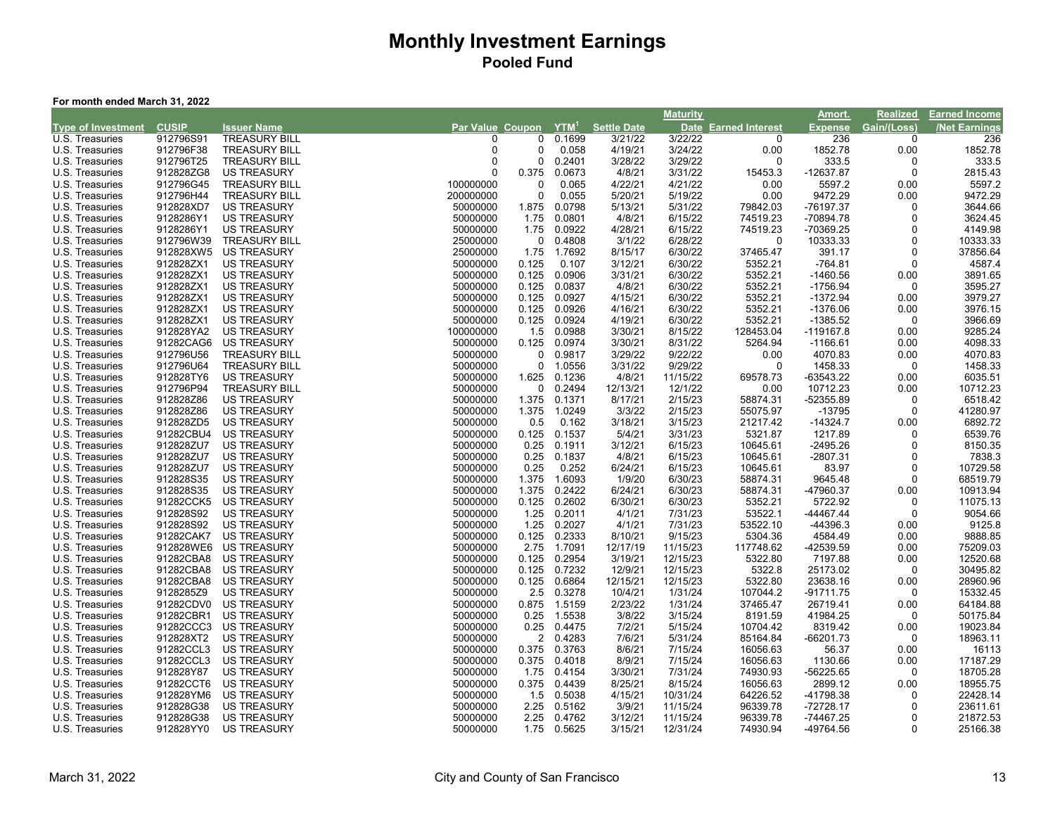#### **For month ended March 31, 2022**

|                           |              |                      |                         |                |         |                    | <b>Maturity</b> |                             | Amort.         | <b>Realized</b> | <b>Earned Income</b> |
|---------------------------|--------------|----------------------|-------------------------|----------------|---------|--------------------|-----------------|-----------------------------|----------------|-----------------|----------------------|
| <b>Type of Investment</b> | <b>CUSIP</b> | <b>Issuer Name</b>   | <b>Par Value Coupon</b> |                | $YTM^1$ | <b>Settle Date</b> |                 | <b>Date Earned Interest</b> | <b>Expense</b> | Gain/(Loss)     | <b>Net Earnings</b>  |
| U.S. Treasuries           | 912796S91    | <b>TREASURY BILL</b> | <sup>0</sup>            | 0              | 0.1699  | 3/21/22            | 3/22/22         | 0                           | 236            | $\Omega$        | 236                  |
| U.S. Treasuries           | 912796F38    | <b>TREASURY BILL</b> | $\Omega$                | 0              | 0.058   | 4/19/21            | 3/24/22         | 0.00                        | 1852.78        | 0.00            | 1852.78              |
| U.S. Treasuries           | 912796T25    | <b>TREASURY BILL</b> |                         | $\Omega$       | 0.2401  | 3/28/22            | 3/29/22         | $\Omega$                    | 333.5          | n               | 333.5                |
| U.S. Treasuries           | 912828ZG8    | <b>US TREASURY</b>   |                         | 0.375          | 0.0673  | 4/8/21             | 3/31/22         | 15453.3                     | -12637.87      | $\Omega$        | 2815.43              |
| U.S. Treasuries           | 912796G45    | <b>TREASURY BILL</b> | 100000000               | 0              | 0.065   | 4/22/21            | 4/21/22         | 0.00                        | 5597.2         | 0.00            | 5597.2               |
| U.S. Treasuries           | 912796H44    | <b>TREASURY BILL</b> | 200000000               | 0              | 0.055   | 5/20/21            | 5/19/22         | 0.00                        | 9472.29        | 0.00            | 9472.29              |
| U.S. Treasuries           | 912828XD7    | <b>US TREASURY</b>   | 50000000                | 1.875          | 0.0798  | 5/13/21            | 5/31/22         | 79842.03                    | -76197.37      | 0               | 3644.66              |
| U.S. Treasuries           | 9128286Y1    | <b>US TREASURY</b>   | 50000000                | 1.75           | 0.0801  | 4/8/21             | 6/15/22         | 74519.23                    | -70894.78      | $\Omega$        | 3624.45              |
| U.S. Treasuries           | 9128286Y1    | <b>US TREASURY</b>   | 50000000                | 1.75           | 0.0922  | 4/28/21            | 6/15/22         | 74519.23                    | -70369.25      | $\Omega$        | 4149.98              |
| U.S. Treasuries           | 912796W39    | <b>TREASURY BILL</b> | 25000000                | $\Omega$       | 0.4808  | 3/1/22             | 6/28/22         | $\mathbf 0$                 | 10333.33       | $\Omega$        | 10333.33             |
| U.S. Treasuries           | 912828XW5    | <b>US TREASURY</b>   | 25000000                | 1.75           | 1.7692  | 8/15/17            | 6/30/22         | 37465.47                    | 391.17         | $\Omega$        | 37856.64             |
| U.S. Treasuries           | 912828ZX1    | <b>US TREASURY</b>   | 50000000                | 0.125          | 0.107   | 3/12/21            | 6/30/22         | 5352.21                     | $-764.81$      | $\Omega$        | 4587.4               |
| U.S. Treasuries           | 912828ZX1    | <b>US TREASURY</b>   | 50000000                | 0.125          | 0.0906  | 3/31/21            | 6/30/22         | 5352.21                     | $-1460.56$     | 0.00            | 3891.65              |
| U.S. Treasuries           | 912828ZX1    | <b>US TREASURY</b>   | 50000000                | 0.125          | 0.0837  | 4/8/21             | 6/30/22         | 5352.21                     | $-1756.94$     | $\Omega$        | 3595.27              |
| U.S. Treasuries           | 912828ZX1    | <b>US TREASURY</b>   | 50000000                | 0.125          | 0.0927  | 4/15/21            | 6/30/22         | 5352.21                     | $-1372.94$     | 0.00            | 3979.27              |
| U.S. Treasuries           | 912828ZX1    | <b>US TREASURY</b>   | 50000000                | 0.125          | 0.0926  | 4/16/21            | 6/30/22         | 5352.21                     | $-1376.06$     | 0.00            | 3976.15              |
| U.S. Treasuries           | 912828ZX1    | <b>US TREASURY</b>   | 50000000                | 0.125          | 0.0924  | 4/19/21            | 6/30/22         | 5352.21                     | $-1385.52$     | $\Omega$        | 3966.69              |
| U.S. Treasuries           | 912828YA2    | <b>US TREASURY</b>   | 100000000               | 1.5            | 0.0988  | 3/30/21            | 8/15/22         | 128453.04                   | -119167.8      | 0.00            | 9285.24              |
| U.S. Treasuries           | 91282CAG6    | <b>US TREASURY</b>   | 50000000                | 0.125          | 0.0974  | 3/30/21            | 8/31/22         | 5264.94                     | $-1166.61$     | 0.00            | 4098.33              |
| U.S. Treasuries           | 912796U56    | <b>TREASURY BILL</b> | 50000000                | 0              | 0.9817  | 3/29/22            | 9/22/22         | 0.00                        | 4070.83        | 0.00            | 4070.83              |
| U.S. Treasuries           | 912796U64    | <b>TREASURY BILL</b> | 50000000                | 0              | 1.0556  | 3/31/22            | 9/29/22         | 0                           | 1458.33        | 0               | 1458.33              |
| U.S. Treasuries           | 912828TY6    | <b>US TREASURY</b>   | 50000000                | 1.625          | 0.1236  | 4/8/21             | 11/15/22        | 69578.73                    | -63543.22      | 0.00            | 6035.51              |
| U.S. Treasuries           | 912796P94    | <b>TREASURY BILL</b> | 50000000                | 0              | 0.2494  | 12/13/21           | 12/1/22         | 0.00                        | 10712.23       | 0.00            | 10712.23             |
| U.S. Treasuries           | 912828Z86    | <b>US TREASURY</b>   | 50000000                | 1.375          | 0.1371  | 8/17/21            | 2/15/23         | 58874.31                    | -52355.89      | 0               | 6518.42              |
| U.S. Treasuries           | 912828Z86    | <b>US TREASURY</b>   | 50000000                | 1.375          | 1.0249  | 3/3/22             | 2/15/23         | 55075.97                    | $-13795$       | $\Omega$        | 41280.97             |
| U.S. Treasuries           | 912828ZD5    | <b>US TREASURY</b>   | 50000000                | 0.5            | 0.162   | 3/18/21            | 3/15/23         | 21217.42                    | $-14324.7$     | 0.00            | 6892.72              |
| U.S. Treasuries           | 91282CBU4    | <b>US TREASURY</b>   | 50000000                | 0.125          | 0.1537  | 5/4/21             | 3/31/23         | 5321.87                     | 1217.89        | $\Omega$        | 6539.76              |
| U.S. Treasuries           | 912828ZU7    | <b>US TREASURY</b>   | 50000000                | 0.25           | 0.1911  | 3/12/21            | 6/15/23         | 10645.61                    | $-2495.26$     | $\Omega$        | 8150.35              |
| U.S. Treasuries           | 912828ZU7    | <b>US TREASURY</b>   | 50000000                | 0.25           | 0.1837  | 4/8/21             | 6/15/23         | 10645.61                    | $-2807.31$     | $\Omega$        | 7838.3               |
| U.S. Treasuries           | 912828ZU7    | <b>US TREASURY</b>   | 50000000                | 0.25           | 0.252   | 6/24/21            | 6/15/23         | 10645.61                    | 83.97          | $\Omega$        | 10729.58             |
| U.S. Treasuries           | 912828S35    | <b>US TREASURY</b>   | 50000000                | 1.375          | 1.6093  | 1/9/20             | 6/30/23         | 58874.31                    | 9645.48        | $\Omega$        | 68519.79             |
| U.S. Treasuries           | 912828S35    | <b>US TREASURY</b>   | 50000000                | 1.375          | 0.2422  | 6/24/21            | 6/30/23         | 58874.31                    | -47960.37      | 0.00            | 10913.94             |
| U.S. Treasuries           | 91282CCK5    | <b>US TREASURY</b>   | 50000000                | 0.125          | 0.2602  | 6/30/21            | 6/30/23         | 5352.21                     | 5722.92        | $\Omega$        | 11075.13             |
| U.S. Treasuries           | 912828S92    | <b>US TREASURY</b>   | 50000000                | 1.25           | 0.2011  | 4/1/21             | 7/31/23         | 53522.1                     | -44467.44      | $\Omega$        | 9054.66              |
| U.S. Treasuries           | 912828S92    | <b>US TREASURY</b>   | 50000000                | 1.25           | 0.2027  | 4/1/21             | 7/31/23         | 53522.10                    | -44396.3       | 0.00            | 9125.8               |
| U.S. Treasuries           | 91282CAK7    | <b>US TREASURY</b>   | 50000000                | 0.125          | 0.2333  | 8/10/21            | 9/15/23         | 5304.36                     | 4584.49        | 0.00            | 9888.85              |
| U.S. Treasuries           | 912828WE6    | <b>US TREASURY</b>   | 50000000                | 2.75           | 1.7091  | 12/17/19           | 11/15/23        | 117748.62                   | -42539.59      | 0.00            | 75209.03             |
| U.S. Treasuries           | 91282CBA8    | <b>US TREASURY</b>   | 50000000                | 0.125          | 0.2954  | 3/19/21            | 12/15/23        | 5322.80                     | 7197.88        | 0.00            | 12520.68             |
| U.S. Treasuries           | 91282CBA8    | <b>US TREASURY</b>   | 50000000                | 0.125          | 0.7232  | 12/9/21            | 12/15/23        | 5322.8                      | 25173.02       | $\Omega$        | 30495.82             |
| U.S. Treasuries           | 91282CBA8    | <b>US TREASURY</b>   | 50000000                | 0.125          | 0.6864  | 12/15/21           | 12/15/23        | 5322.80                     | 23638.16       | 0.00            | 28960.96             |
| U.S. Treasuries           | 9128285Z9    | <b>US TREASURY</b>   | 50000000                | 2.5            | 0.3278  | 10/4/21            | 1/31/24         | 107044.2                    | -91711.75      | ∩               | 15332.45             |
| U.S. Treasuries           | 91282CDV0    | <b>US TREASURY</b>   | 50000000                | 0.875          | 1.5159  | 2/23/22            | 1/31/24         | 37465.47                    | 26719.41       | 0.00            | 64184.88             |
| U.S. Treasuries           | 91282CBR1    | <b>US TREASURY</b>   | 50000000                | 0.25           | 1.5538  | 3/8/22             | 3/15/24         | 8191.59                     | 41984.25       | $\Omega$        | 50175.84             |
| U.S. Treasuries           | 91282CCC3    | <b>US TREASURY</b>   | 50000000                | 0.25           | 0.4475  | 7/2/21             | 5/15/24         | 10704.42                    | 8319.42        | 0.00            | 19023.84             |
| U.S. Treasuries           | 912828XT2    | <b>US TREASURY</b>   | 50000000                | $\overline{2}$ | 0.4283  | 7/6/21             | 5/31/24         | 85164.84                    | -66201.73      | $\Omega$        | 18963.11             |
| U.S. Treasuries           | 91282CCL3    | <b>US TREASURY</b>   | 50000000                | 0.375          | 0.3763  | 8/6/21             | 7/15/24         | 16056.63                    | 56.37          | 0.00            | 16113                |
| U.S. Treasuries           | 91282CCL3    | <b>US TREASURY</b>   | 50000000                | 0.375          | 0.4018  | 8/9/21             | 7/15/24         | 16056.63                    | 1130.66        | 0.00            | 17187.29             |
| U.S. Treasuries           | 912828Y87    | <b>US TREASURY</b>   | 50000000                | 1.75           | 0.4154  | 3/30/21            | 7/31/24         | 74930.93                    | -56225.65      | $\Omega$        | 18705.28             |
| U.S. Treasuries           | 91282CCT6    | <b>US TREASURY</b>   | 50000000                | 0.375          | 0.4439  | 8/25/21            | 8/15/24         | 16056.63                    | 2899.12        | 0.00            | 18955.75             |
| U.S. Treasuries           | 912828YM6    | <b>US TREASURY</b>   | 50000000                | 1.5            | 0.5038  | 4/15/21            | 10/31/24        | 64226.52                    | -41798.38      | ŋ               | 22428.14             |
| U.S. Treasuries           | 912828G38    | <b>US TREASURY</b>   | 50000000                | 2.25           | 0.5162  | 3/9/21             | 11/15/24        | 96339.78                    | -72728.17      |                 | 23611.61             |
| U.S. Treasuries           | 912828G38    | <b>US TREASURY</b>   | 50000000                | 2.25           | 0.4762  | 3/12/21            | 11/15/24        | 96339.78                    | $-74467.25$    | $\Omega$        | 21872.53             |
| U.S. Treasuries           | 912828YY0    | <b>US TREASURY</b>   | 50000000                | 1.75           | 0.5625  | 3/15/21            | 12/31/24        | 74930.94                    | -49764.56      | $\Omega$        | 25166.38             |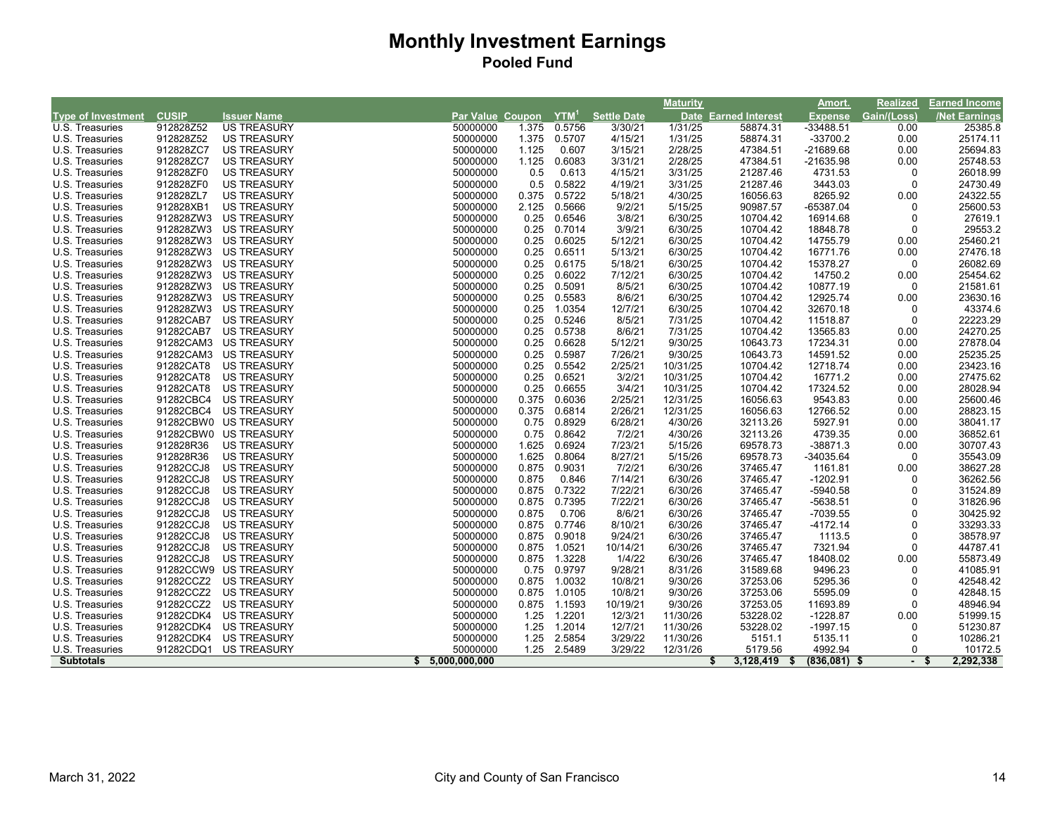|                           |              |                       |                         |       |         |                    | <b>Maturity</b> |                        | Amort.         | Realized    | <b>Earned Income</b> |
|---------------------------|--------------|-----------------------|-------------------------|-------|---------|--------------------|-----------------|------------------------|----------------|-------------|----------------------|
| <b>Type of Investment</b> | <b>CUSIP</b> | <b>Issuer Name</b>    | <b>Par Value Coupon</b> |       | $YTM^1$ | <b>Settle Date</b> | <b>Date</b>     | <b>Earned Interest</b> | <b>Expense</b> | Gain/(Loss) | <b>/Net Earnings</b> |
| U.S. Treasuries           | 912828Z52    | <b>US TREASURY</b>    | 50000000                | 1.375 | 0.5756  | 3/30/21            | 1/31/25         | 58874.31               | $-33488.51$    | 0.00        | 25385.8              |
| U.S. Treasuries           | 912828Z52    | <b>US TREASURY</b>    | 50000000                | 1.375 | 0.5707  | 4/15/21            | 1/31/25         | 58874.31               | $-33700.2$     | 0.00        | 25174.11             |
| U.S. Treasuries           | 912828ZC7    | <b>US TREASURY</b>    | 50000000                | 1.125 | 0.607   | 3/15/21            | 2/28/25         | 47384.51               | -21689.68      | 0.00        | 25694.83             |
| U.S. Treasuries           | 912828ZC7    | <b>US TREASURY</b>    | 50000000                | 1.125 | 0.6083  | 3/31/21            | 2/28/25         | 47384.51               | $-21635.98$    | 0.00        | 25748.53             |
| U.S. Treasuries           | 912828ZF0    | <b>US TREASURY</b>    | 50000000                | 0.5   | 0.613   | 4/15/21            | 3/31/25         | 21287.46               | 4731.53        | $\mathbf 0$ | 26018.99             |
| U.S. Treasuries           | 912828ZF0    | <b>US TREASURY</b>    | 50000000                | 0.5   | 0.5822  | 4/19/21            | 3/31/25         | 21287.46               | 3443.03        | $\mathbf 0$ | 24730.49             |
| U.S. Treasuries           | 912828ZL7    | <b>US TREASURY</b>    | 50000000                | 0.375 | 0.5722  | 5/18/21            | 4/30/25         | 16056.63               | 8265.92        | 0.00        | 24322.55             |
| U.S. Treasuries           | 912828XB1    | <b>US TREASURY</b>    | 50000000                | 2.125 | 0.5666  | 9/2/21             | 5/15/25         | 90987.57               | -65387.04      | $\Omega$    | 25600.53             |
| U.S. Treasuries           | 912828ZW3    | <b>US TREASURY</b>    | 50000000                | 0.25  | 0.6546  | 3/8/21             | 6/30/25         | 10704.42               | 16914.68       | $\mathbf 0$ | 27619.1              |
| U.S. Treasuries           | 912828ZW3    | <b>US TREASURY</b>    | 50000000                | 0.25  | 0.7014  | 3/9/21             | 6/30/25         | 10704.42               | 18848.78       | $\mathbf 0$ | 29553.2              |
| U.S. Treasuries           | 912828ZW3    | <b>US TREASURY</b>    | 50000000                | 0.25  | 0.6025  | 5/12/21            | 6/30/25         | 10704.42               | 14755.79       | 0.00        | 25460.21             |
| U.S. Treasuries           | 912828ZW3    | <b>US TREASURY</b>    | 50000000                | 0.25  | 0.6511  | 5/13/21            | 6/30/25         | 10704.42               | 16771.76       | 0.00        | 27476.18             |
| U.S. Treasuries           | 912828ZW3    | <b>US TREASURY</b>    | 50000000                | 0.25  | 0.6175  | 5/18/21            | 6/30/25         | 10704.42               | 15378.27       | $\mathbf 0$ | 26082.69             |
| U.S. Treasuries           | 912828ZW3    | <b>US TREASURY</b>    | 50000000                | 0.25  | 0.6022  | 7/12/21            | 6/30/25         | 10704.42               | 14750.2        | 0.00        | 25454.62             |
| U.S. Treasuries           | 912828ZW3    | US TREASURY           | 50000000                | 0.25  | 0.5091  | 8/5/21             | 6/30/25         | 10704.42               | 10877.19       | $\mathbf 0$ | 21581.61             |
| U.S. Treasuries           | 912828ZW3    | <b>US TREASURY</b>    | 50000000                | 0.25  | 0.5583  | 8/6/21             | 6/30/25         | 10704.42               | 12925.74       | 0.00        | 23630.16             |
| U.S. Treasuries           | 912828ZW3    | <b>US TREASURY</b>    | 50000000                | 0.25  | 1.0354  | 12/7/21            | 6/30/25         | 10704.42               | 32670.18       | 0           | 43374.6              |
| U.S. Treasuries           | 91282CAB7    | <b>US TREASURY</b>    | 50000000                | 0.25  | 0.5246  | 8/5/21             | 7/31/25         | 10704.42               | 11518.87       | $\mathbf 0$ | 22223.29             |
| U.S. Treasuries           | 91282CAB7    | <b>US TREASURY</b>    | 50000000                | 0.25  | 0.5738  | 8/6/21             | 7/31/25         | 10704.42               | 13565.83       | 0.00        | 24270.25             |
| U.S. Treasuries           | 91282CAM3    | <b>US TREASURY</b>    | 50000000                | 0.25  | 0.6628  | 5/12/21            | 9/30/25         | 10643.73               | 17234.31       | 0.00        | 27878.04             |
| U.S. Treasuries           | 91282CAM3    | <b>US TREASURY</b>    | 50000000                | 0.25  | 0.5987  | 7/26/21            | 9/30/25         | 10643.73               | 14591.52       | 0.00        | 25235.25             |
| U.S. Treasuries           | 91282CAT8    | <b>US TREASURY</b>    | 50000000                | 0.25  | 0.5542  | 2/25/21            | 10/31/25        | 10704.42               | 12718.74       | 0.00        | 23423.16             |
| U.S. Treasuries           | 91282CAT8    | <b>US TREASURY</b>    | 50000000                | 0.25  | 0.6521  | 3/2/21             | 10/31/25        | 10704.42               | 16771.2        | 0.00        | 27475.62             |
| U.S. Treasuries           | 91282CAT8    | <b>US TREASURY</b>    | 50000000                | 0.25  | 0.6655  | 3/4/21             | 10/31/25        | 10704.42               | 17324.52       | 0.00        | 28028.94             |
| U.S. Treasuries           | 91282CBC4    | <b>US TREASURY</b>    | 50000000                | 0.375 | 0.6036  | 2/25/21            | 12/31/25        | 16056.63               | 9543.83        | 0.00        | 25600.46             |
| U.S. Treasuries           | 91282CBC4    | <b>US TREASURY</b>    | 50000000                | 0.375 | 0.6814  | 2/26/21            | 12/31/25        | 16056.63               | 12766.52       | 0.00        | 28823.15             |
| U.S. Treasuries           |              | 91282CBW0 US TREASURY | 50000000                | 0.75  | 0.8929  | 6/28/21            | 4/30/26         | 32113.26               | 5927.91        | 0.00        | 38041.17             |
| U.S. Treasuries           |              | 91282CBW0 US TREASURY | 50000000                | 0.75  | 0.8642  | 7/2/21             | 4/30/26         | 32113.26               | 4739.35        | 0.00        | 36852.61             |
| U.S. Treasuries           | 912828R36    | <b>US TREASURY</b>    | 50000000                | 1.625 | 0.6924  | 7/23/21            | 5/15/26         | 69578.73               | $-38871.3$     | 0.00        | 30707.43             |
| U.S. Treasuries           | 912828R36    | <b>US TREASURY</b>    | 50000000                | 1.625 | 0.8064  | 8/27/21            | 5/15/26         | 69578.73               | -34035.64      | $\mathbf 0$ | 35543.09             |
| U.S. Treasuries           | 91282CCJ8    | <b>US TREASURY</b>    | 50000000                | 0.875 | 0.9031  | 7/2/21             | 6/30/26         | 37465.47               | 1161.81        | 0.00        | 38627.28             |
| U.S. Treasuries           | 91282CCJ8    | <b>US TREASURY</b>    | 50000000                | 0.875 | 0.846   | 7/14/21            | 6/30/26         | 37465.47               | $-1202.91$     | $\mathbf 0$ | 36262.56             |
| U.S. Treasuries           | 91282CCJ8    | <b>US TREASURY</b>    | 50000000                | 0.875 | 0.7322  | 7/22/21            | 6/30/26         | 37465.47               | $-5940.58$     | $\Omega$    | 31524.89             |
| U.S. Treasuries           | 91282CCJ8    | <b>US TREASURY</b>    | 50000000                | 0.875 | 0.7395  | 7/22/21            | 6/30/26         | 37465.47               | $-5638.51$     | $\Omega$    | 31826.96             |
| U.S. Treasuries           | 91282CCJ8    | <b>US TREASURY</b>    | 50000000                | 0.875 | 0.706   | 8/6/21             | 6/30/26         | 37465.47               | $-7039.55$     | $\Omega$    | 30425.92             |
| U.S. Treasuries           | 91282CCJ8    | <b>US TREASURY</b>    | 50000000                | 0.875 | 0.7746  | 8/10/21            | 6/30/26         | 37465.47               | $-4172.14$     | $\Omega$    | 33293.33             |
| U.S. Treasuries           | 91282CCJ8    | <b>US TREASURY</b>    | 50000000                | 0.875 | 0.9018  | 9/24/21            | 6/30/26         | 37465.47               | 1113.5         | $\Omega$    | 38578.97             |
| U.S. Treasuries           | 91282CCJ8    | <b>US TREASURY</b>    | 50000000                | 0.875 | 1.0521  | 10/14/21           | 6/30/26         | 37465.47               | 7321.94        | $\mathbf 0$ | 44787.41             |
| U.S. Treasuries           | 91282CCJ8    | <b>US TREASURY</b>    | 50000000                | 0.875 | 1.3228  | 1/4/22             | 6/30/26         | 37465.47               | 18408.02       | 0.00        | 55873.49             |
| U.S. Treasuries           |              | 91282CCW9 US TREASURY | 50000000                | 0.75  | 0.9797  | 9/28/21            | 8/31/26         | 31589.68               | 9496.23        | $\Omega$    | 41085.91             |
| U.S. Treasuries           | 91282CCZ2    | US TREASURY           | 50000000                | 0.875 | 1.0032  | 10/8/21            | 9/30/26         | 37253.06               | 5295.36        | $\Omega$    | 42548.42             |
| U.S. Treasuries           | 91282CCZ2    | US TREASURY           | 50000000                | 0.875 | 1.0105  | 10/8/21            | 9/30/26         | 37253.06               | 5595.09        | $\Omega$    | 42848.15             |
| U.S. Treasuries           | 91282CCZ2    | <b>US TREASURY</b>    | 50000000                | 0.875 | 1.1593  | 10/19/21           | 9/30/26         | 37253.05               | 11693.89       | 0           | 48946.94             |
| U.S. Treasuries           | 91282CDK4    | <b>US TREASURY</b>    | 50000000                | 1.25  | 1.2201  | 12/3/21            | 11/30/26        | 53228.02               | $-1228.87$     | 0.00        | 51999.15             |
| U.S. Treasuries           | 91282CDK4    | <b>US TREASURY</b>    | 50000000                | 1.25  | 1.2014  | 12/7/21            | 11/30/26        | 53228.02               | $-1997.15$     | $\Omega$    | 51230.87             |
| U.S. Treasuries           | 91282CDK4    | <b>US TREASURY</b>    | 50000000                | 1.25  | 2.5854  | 3/29/22            | 11/30/26        | 5151.1                 | 5135.11        | $\Omega$    | 10286.21             |
| U.S. Treasuries           | 91282CDQ1    | US TREASURY           | 50000000                | 1.25  | 2.5489  | 3/29/22            | 12/31/26        | 5179.56                | 4992.94        | $\Omega$    | 10172.5              |
| <b>Subtotals</b>          |              |                       | \$5,000,000,000         |       |         |                    |                 | 3,128,419              | $(836,081)$ \$ |             | 2,292,338            |
|                           |              |                       |                         |       |         |                    |                 |                        |                |             |                      |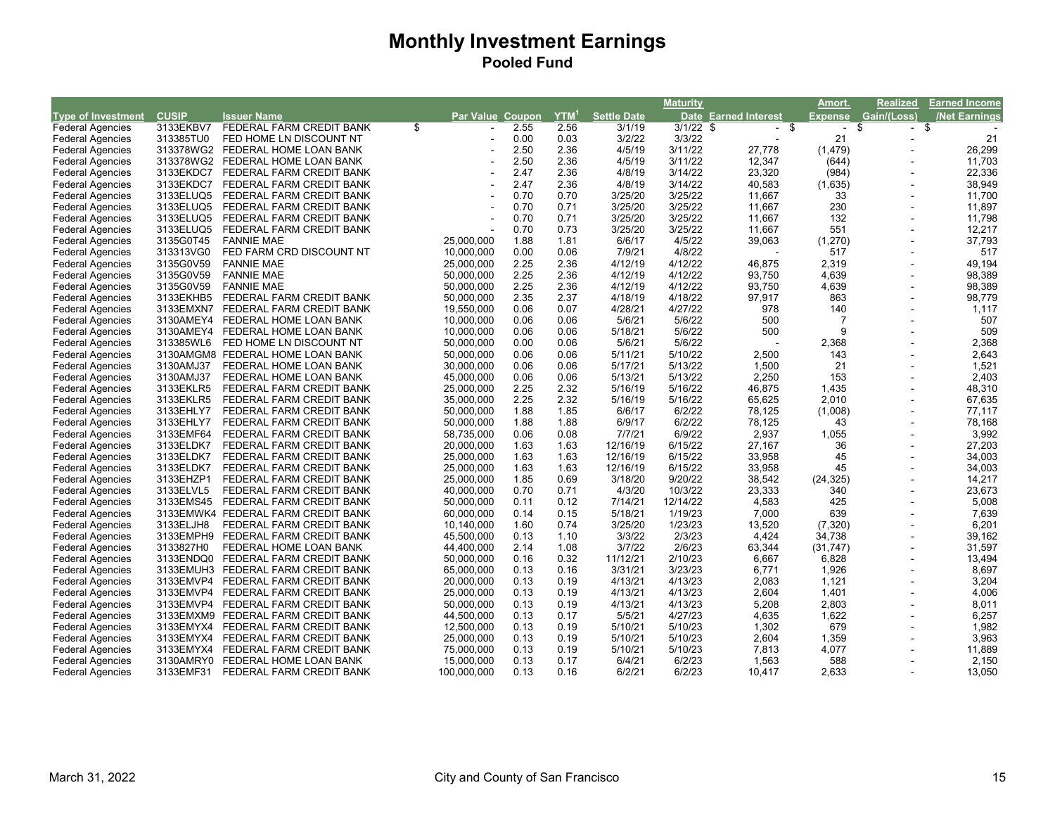|                           |              |                                    |                  |      |                  |                    | <b>Maturity</b> |                             | Amort.         | <b>Realized</b>          | <b>Earned Income</b> |
|---------------------------|--------------|------------------------------------|------------------|------|------------------|--------------------|-----------------|-----------------------------|----------------|--------------------------|----------------------|
| <b>Type of Investment</b> | <b>CUSIP</b> | <b>Issuer Name</b>                 | Par Value Coupon |      | YTM <sup>1</sup> | <b>Settle Date</b> |                 | <b>Date Earned Interest</b> | <b>Expense</b> | Gain/(Loss)              | /Net Earnings        |
| <b>Federal Agencies</b>   | 3133EKBV7    | FEDERAL FARM CREDIT BANK           | \$               | 2.55 | 2.56             | 3/1/19             | $3/1/22$ \$     | $-$ \$                      | $\sim$         | -\$<br>- \$              |                      |
| <b>Federal Agencies</b>   | 313385TU0    | FED HOME LN DISCOUNT NT            |                  | 0.00 | 0.03             | 3/2/22             | 3/3/22          |                             | 21             | $\blacksquare$           | 21                   |
| <b>Federal Agencies</b>   |              | 313378WG2 FEDERAL HOME LOAN BANK   |                  | 2.50 | 2.36             | 4/5/19             | 3/11/22         | 27,778                      | (1, 479)       |                          | 26,299               |
| <b>Federal Agencies</b>   |              | 313378WG2 FEDERAL HOME LOAN BANK   |                  | 2.50 | 2.36             | 4/5/19             | 3/11/22         | 12,347                      | (644)          |                          | 11,703               |
| <b>Federal Agencies</b>   | 3133EKDC7    | FEDERAL FARM CREDIT BANK           |                  | 2.47 | 2.36             | 4/8/19             | 3/14/22         | 23,320                      | (984)          |                          | 22,336               |
| <b>Federal Agencies</b>   | 3133EKDC7    | FEDERAL FARM CREDIT BANK           |                  | 2.47 | 2.36             | 4/8/19             | 3/14/22         | 40,583                      | (1,635)        |                          | 38,949               |
| <b>Federal Agencies</b>   | 3133ELUQ5    | FEDERAL FARM CREDIT BANK           |                  | 0.70 | 0.70             | 3/25/20            | 3/25/22         | 11,667                      | 33             | $\overline{a}$           | 11,700               |
| <b>Federal Agencies</b>   | 3133ELUQ5    | FEDERAL FARM CREDIT BANK           |                  | 0.70 | 0.71             | 3/25/20            | 3/25/22         | 11,667                      | 230            |                          | 11,897               |
| <b>Federal Agencies</b>   | 3133ELUQ5    | FEDERAL FARM CREDIT BANK           |                  | 0.70 | 0.71             | 3/25/20            | 3/25/22         | 11,667                      | 132            |                          | 11,798               |
| <b>Federal Agencies</b>   | 3133ELUQ5    | FEDERAL FARM CREDIT BANK           |                  | 0.70 | 0.73             | 3/25/20            | 3/25/22         | 11,667                      | 551            |                          | 12,217               |
| <b>Federal Agencies</b>   | 3135G0T45    | <b>FANNIE MAE</b>                  | 25,000,000       | 1.88 | 1.81             | 6/6/17             | 4/5/22          | 39,063                      | (1,270)        |                          | 37,793               |
| <b>Federal Agencies</b>   | 313313VG0    | FED FARM CRD DISCOUNT NT           | 10,000,000       | 0.00 | 0.06             | 7/9/21             | 4/8/22          |                             | 517            |                          | 517                  |
| <b>Federal Agencies</b>   | 3135G0V59    | <b>FANNIE MAE</b>                  | 25,000,000       | 2.25 | 2.36             | 4/12/19            | 4/12/22         | 46,875                      | 2,319          | $\blacksquare$           | 49,194               |
| <b>Federal Agencies</b>   | 3135G0V59    | <b>FANNIE MAE</b>                  | 50,000,000       | 2.25 | 2.36             | 4/12/19            | 4/12/22         | 93,750                      | 4,639          |                          | 98,389               |
| <b>Federal Agencies</b>   | 3135G0V59    | <b>FANNIE MAE</b>                  | 50,000,000       | 2.25 | 2.36             | 4/12/19            | 4/12/22         | 93,750                      | 4,639          | $\overline{\phantom{a}}$ | 98,389               |
| <b>Federal Agencies</b>   | 3133EKHB5    | FEDERAL FARM CREDIT BANK           | 50,000,000       | 2.35 | 2.37             | 4/18/19            | 4/18/22         | 97,917                      | 863            |                          | 98,779               |
| <b>Federal Agencies</b>   | 3133EMXN7    | FEDERAL FARM CREDIT BANK           | 19,550,000       | 0.06 | 0.07             | 4/28/21            | 4/27/22         | 978                         | 140            |                          | 1,117                |
| <b>Federal Agencies</b>   | 3130AMEY4    | FEDERAL HOME LOAN BANK             | 10,000,000       | 0.06 | 0.06             | 5/6/21             | 5/6/22          | 500                         | $\overline{7}$ |                          | 507                  |
| <b>Federal Agencies</b>   | 3130AMEY4    | FEDERAL HOME LOAN BANK             | 10,000,000       | 0.06 | 0.06             | 5/18/21            | 5/6/22          | 500                         | 9              |                          | 509                  |
| <b>Federal Agencies</b>   | 313385WL6    | FED HOME LN DISCOUNT NT            | 50,000,000       | 0.00 | 0.06             | 5/6/21             | 5/6/22          |                             | 2,368          |                          | 2,368                |
| <b>Federal Agencies</b>   |              | 3130AMGM8 FEDERAL HOME LOAN BANK   | 50,000,000       | 0.06 | 0.06             | 5/11/21            | 5/10/22         | 2,500                       | 143            |                          | 2,643                |
| <b>Federal Agencies</b>   | 3130AMJ37    | FEDERAL HOME LOAN BANK             | 30,000,000       | 0.06 | 0.06             | 5/17/21            | 5/13/22         | 1,500                       | 21             |                          | 1,521                |
| <b>Federal Agencies</b>   | 3130AMJ37    | FEDERAL HOME LOAN BANK             | 45,000,000       | 0.06 | 0.06             | 5/13/21            | 5/13/22         | 2,250                       | 153            |                          | 2,403                |
| <b>Federal Agencies</b>   | 3133EKLR5    | FEDERAL FARM CREDIT BANK           | 25,000,000       | 2.25 | 2.32             | 5/16/19            | 5/16/22         | 46,875                      | 1,435          | $\ddot{\phantom{1}}$     | 48,310               |
| <b>Federal Agencies</b>   | 3133EKLR5    | FEDERAL FARM CREDIT BANK           | 35,000,000       | 2.25 | 2.32             | 5/16/19            | 5/16/22         | 65,625                      | 2,010          |                          | 67,635               |
| <b>Federal Agencies</b>   | 3133EHLY7    | FEDERAL FARM CREDIT BANK           | 50,000,000       | 1.88 | 1.85             | 6/6/17             | 6/2/22          | 78,125                      | (1,008)        |                          | 77,117               |
| <b>Federal Agencies</b>   | 3133EHLY7    | FEDERAL FARM CREDIT BANK           | 50,000,000       | 1.88 | 1.88             | 6/9/17             | 6/2/22          | 78,125                      | 43             |                          | 78,168               |
| <b>Federal Agencies</b>   | 3133EMF64    | FEDERAL FARM CREDIT BANK           | 58,735,000       | 0.06 | 0.08             | 7/7/21             | 6/9/22          | 2,937                       | 1,055          |                          | 3,992                |
| <b>Federal Agencies</b>   | 3133ELDK7    | FEDERAL FARM CREDIT BANK           | 20,000,000       | 1.63 | 1.63             | 12/16/19           | 6/15/22         | 27,167                      | 36             |                          | 27,203               |
| <b>Federal Agencies</b>   | 3133ELDK7    | FEDERAL FARM CREDIT BANK           | 25,000,000       | 1.63 | 1.63             | 12/16/19           | 6/15/22         | 33,958                      | 45             |                          | 34,003               |
| <b>Federal Agencies</b>   | 3133ELDK7    | FEDERAL FARM CREDIT BANK           | 25,000,000       | 1.63 | 1.63             | 12/16/19           | 6/15/22         | 33,958                      | 45             |                          | 34,003               |
| <b>Federal Agencies</b>   | 3133EHZP1    | FEDERAL FARM CREDIT BANK           | 25,000,000       | 1.85 | 0.69             | 3/18/20            | 9/20/22         | 38,542                      | (24, 325)      |                          | 14,217               |
| <b>Federal Agencies</b>   | 3133ELVL5    | FEDERAL FARM CREDIT BANK           | 40,000,000       | 0.70 | 0.71             | 4/3/20             | 10/3/22         | 23,333                      | 340            |                          | 23,673               |
| <b>Federal Agencies</b>   | 3133EMS45    | FEDERAL FARM CREDIT BANK           | 50,000,000       | 0.11 | 0.12             | 7/14/21            | 12/14/22        | 4,583                       | 425            |                          | 5,008                |
| <b>Federal Agencies</b>   |              | 3133EMWK4 FEDERAL FARM CREDIT BANK | 60,000,000       | 0.14 | 0.15             | 5/18/21            | 1/19/23         | 7,000                       | 639            | $\overline{a}$           | 7,639                |
| <b>Federal Agencies</b>   | 3133ELJH8    | FEDERAL FARM CREDIT BANK           | 10,140,000       | 1.60 | 0.74             | 3/25/20            | 1/23/23         | 13,520                      | (7, 320)       |                          | 6,201                |
| <b>Federal Agencies</b>   |              | 3133EMPH9 FEDERAL FARM CREDIT BANK | 45,500,000       | 0.13 | 1.10             | 3/3/22             | 2/3/23          | 4,424                       | 34,738         |                          | 39,162               |
| <b>Federal Agencies</b>   | 3133827H0    | FEDERAL HOME LOAN BANK             | 44,400,000       | 2.14 | 1.08             | 3/7/22             | 2/6/23          | 63,344                      | (31, 747)      |                          | 31,597               |
| <b>Federal Agencies</b>   |              | 3133ENDQ0 FEDERAL FARM CREDIT BANK | 50,000,000       | 0.16 | 0.32             | 11/12/21           | 2/10/23         | 6,667                       | 6,828          | $\overline{a}$           | 13,494               |
| <b>Federal Agencies</b>   | 3133EMUH3    | FEDERAL FARM CREDIT BANK           | 65,000,000       | 0.13 | 0.16             | 3/31/21            | 3/23/23         | 6,771                       | 1,926          | $\overline{a}$           | 8,697                |
| <b>Federal Agencies</b>   | 3133EMVP4    | FEDERAL FARM CREDIT BANK           | 20,000,000       | 0.13 | 0.19             | 4/13/21            | 4/13/23         | 2,083                       | 1,121          |                          | 3,204                |
| <b>Federal Agencies</b>   | 3133EMVP4    | FEDERAL FARM CREDIT BANK           | 25,000,000       | 0.13 | 0.19             | 4/13/21            | 4/13/23         | 2,604                       | 1,401          |                          | 4,006                |
| <b>Federal Agencies</b>   | 3133EMVP4    | FEDERAL FARM CREDIT BANK           | 50,000,000       | 0.13 | 0.19             | 4/13/21            | 4/13/23         | 5,208                       | 2,803          |                          | 8,011                |
| <b>Federal Agencies</b>   | 3133EMXM9    | FEDERAL FARM CREDIT BANK           | 44,500,000       | 0.13 | 0.17             | 5/5/21             | 4/27/23         | 4,635                       | 1,622          |                          | 6,257                |
| <b>Federal Agencies</b>   | 3133EMYX4    | FEDERAL FARM CREDIT BANK           | 12,500,000       | 0.13 | 0.19             | 5/10/21            | 5/10/23         | 1,302                       | 679            |                          | 1,982                |
| <b>Federal Agencies</b>   | 3133EMYX4    | FEDERAL FARM CREDIT BANK           | 25,000,000       | 0.13 | 0.19             | 5/10/21            | 5/10/23         | 2,604                       | 1,359          |                          | 3,963                |
| <b>Federal Agencies</b>   | 3133EMYX4    | FEDERAL FARM CREDIT BANK           | 75,000,000       | 0.13 | 0.19             | 5/10/21            | 5/10/23         | 7,813                       | 4,077          |                          | 11,889               |
| <b>Federal Agencies</b>   |              | 3130AMRY0 FEDERAL HOME LOAN BANK   | 15,000,000       | 0.13 | 0.17             | 6/4/21             | 6/2/23          | 1,563                       | 588            |                          | 2,150                |
| <b>Federal Agencies</b>   | 3133EMF31    | FEDERAL FARM CREDIT BANK           | 100,000,000      | 0.13 | 0.16             | 6/2/21             | 6/2/23          | 10,417                      | 2,633          |                          | 13,050               |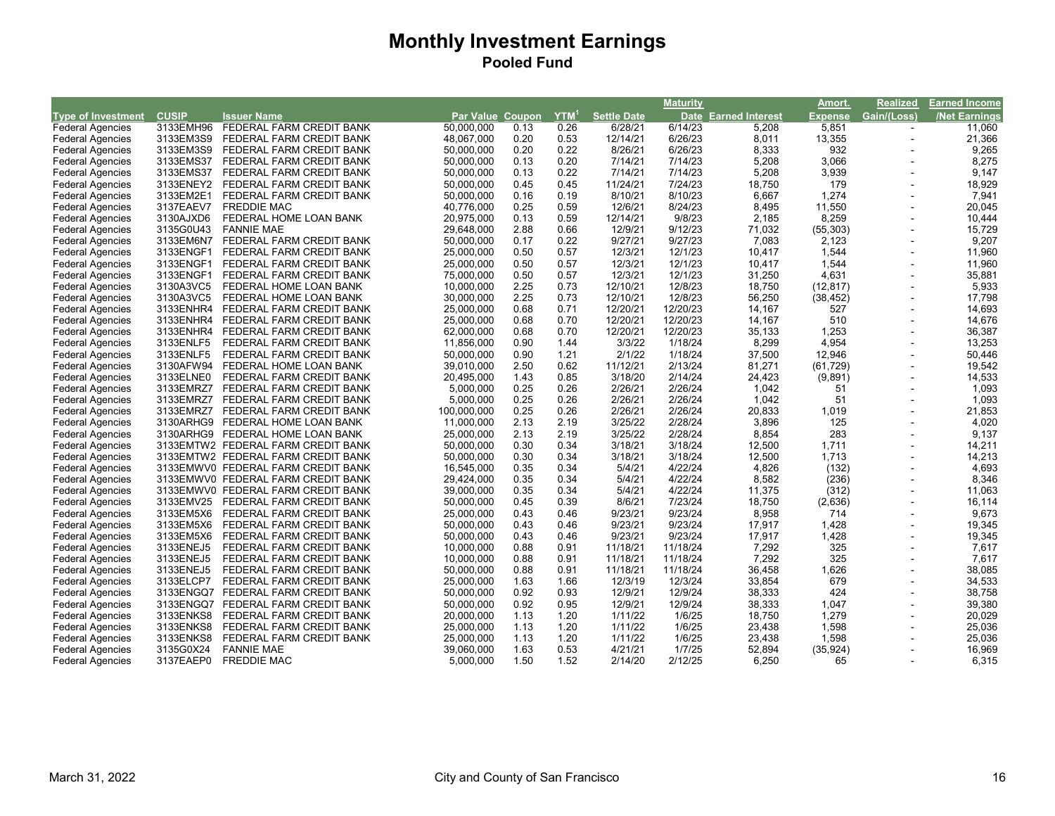|                           |              |                                    |                  |         |                  |                    | <b>Maturity</b> |                             | Amort.         | Realized    | <b>Earned Income</b> |
|---------------------------|--------------|------------------------------------|------------------|---------|------------------|--------------------|-----------------|-----------------------------|----------------|-------------|----------------------|
| <b>Type of Investment</b> | <b>CUSIP</b> | Issuer Name                        | <b>Par Value</b> | Coupon, | YTM <sup>1</sup> | <b>Settle Date</b> |                 | <b>Date Earned Interest</b> | <b>Expense</b> | Gain/(Loss) | /Net Earnings        |
| <b>Federal Agencies</b>   | 3133EMH96    | FEDERAL FARM CREDIT BANK           | 50.000.000       | 0.13    | 0.26             | 6/28/21            | 6/14/23         | 5,208                       | 5,851          |             | 11,060               |
| <b>Federal Agencies</b>   | 3133EM3S9    | FEDERAL FARM CREDIT BANK           | 48,067,000       | 0.20    | 0.53             | 12/14/21           | 6/26/23         | 8,011                       | 13,355         | $\sim$      | 21,366               |
| <b>Federal Agencies</b>   | 3133EM3S9    | FEDERAL FARM CREDIT BANK           | 50,000,000       | 0.20    | 0.22             | 8/26/21            | 6/26/23         | 8,333                       | 932            |             | 9,265                |
| <b>Federal Agencies</b>   | 3133EMS37    | FEDERAL FARM CREDIT BANK           | 50,000,000       | 0.13    | 0.20             | 7/14/21            | 7/14/23         | 5,208                       | 3,066          |             | 8,275                |
| <b>Federal Agencies</b>   | 3133EMS37    | FEDERAL FARM CREDIT BANK           | 50,000,000       | 0.13    | 0.22             | 7/14/21            | 7/14/23         | 5,208                       | 3,939          |             | 9,147                |
| <b>Federal Agencies</b>   | 3133ENEY2    | FEDERAL FARM CREDIT BANK           | 50,000,000       | 0.45    | 0.45             | 11/24/21           | 7/24/23         | 18,750                      | 179            |             | 18,929               |
| <b>Federal Agencies</b>   | 3133EM2E1    | FEDERAL FARM CREDIT BANK           | 50,000,000       | 0.16    | 0.19             | 8/10/21            | 8/10/23         | 6.667                       | 1,274          |             | 7,941                |
| <b>Federal Agencies</b>   | 3137EAEV7    | <b>FREDDIE MAC</b>                 | 40,776,000       | 0.25    | 0.59             | 12/6/21            | 8/24/23         | 8,495                       | 11,550         |             | 20,045               |
| <b>Federal Agencies</b>   | 3130AJXD6    | FEDERAL HOME LOAN BANK             | 20,975,000       | 0.13    | 0.59             | 12/14/21           | 9/8/23          | 2,185                       | 8,259          |             | 10,444               |
| <b>Federal Agencies</b>   | 3135G0U43    | <b>FANNIE MAE</b>                  | 29,648,000       | 2.88    | 0.66             | 12/9/21            | 9/12/23         | 71,032                      | (55, 303)      |             | 15,729               |
| <b>Federal Agencies</b>   | 3133EM6N7    | FEDERAL FARM CREDIT BANK           | 50,000,000       | 0.17    | 0.22             | 9/27/21            | 9/27/23         | 7,083                       | 2,123          |             | 9,207                |
| <b>Federal Agencies</b>   | 3133ENGF1    | FEDERAL FARM CREDIT BANK           | 25,000,000       | 0.50    | 0.57             | 12/3/21            | 12/1/23         | 10,417                      | 1,544          |             | 11,960               |
| <b>Federal Agencies</b>   | 3133ENGF1    | FEDERAL FARM CREDIT BANK           | 25,000,000       | 0.50    | 0.57             | 12/3/21            | 12/1/23         | 10,417                      | 1,544          |             | 11,960               |
| <b>Federal Agencies</b>   | 3133ENGF1    | FEDERAL FARM CREDIT BANK           | 75,000,000       | 0.50    | 0.57             | 12/3/21            | 12/1/23         | 31,250                      | 4,631          |             | 35,881               |
| <b>Federal Agencies</b>   | 3130A3VC5    | FEDERAL HOME LOAN BANK             | 10,000,000       | 2.25    | 0.73             | 12/10/21           | 12/8/23         | 18,750                      | (12, 817)      |             | 5,933                |
| <b>Federal Agencies</b>   | 3130A3VC5    | FEDERAL HOME LOAN BANK             | 30,000,000       | 2.25    | 0.73             | 12/10/21           | 12/8/23         | 56,250                      | (38, 452)      |             | 17,798               |
| <b>Federal Agencies</b>   | 3133ENHR4    | FEDERAL FARM CREDIT BANK           | 25,000,000       | 0.68    | 0.71             | 12/20/21           | 12/20/23        | 14,167                      | 527            |             | 14,693               |
| <b>Federal Agencies</b>   | 3133ENHR4    | FEDERAL FARM CREDIT BANK           | 25,000,000       | 0.68    | 0.70             | 12/20/21           | 12/20/23        | 14,167                      | 510            |             | 14,676               |
| <b>Federal Agencies</b>   | 3133ENHR4    | FEDERAL FARM CREDIT BANK           | 62,000,000       | 0.68    | 0.70             | 12/20/21           | 12/20/23        | 35,133                      | 1,253          |             | 36,387               |
| <b>Federal Agencies</b>   | 3133ENLF5    | FEDERAL FARM CREDIT BANK           | 11,856,000       | 0.90    | 1.44             | 3/3/22             | 1/18/24         | 8,299                       | 4,954          |             | 13,253               |
| <b>Federal Agencies</b>   | 3133ENLF5    | FEDERAL FARM CREDIT BANK           | 50,000,000       | 0.90    | 1.21             | 2/1/22             | 1/18/24         | 37,500                      | 12,946         |             | 50,446               |
| <b>Federal Agencies</b>   | 3130AFW94    | FEDERAL HOME LOAN BANK             | 39,010,000       | 2.50    | 0.62             | 11/12/21           | 2/13/24         | 81,271                      | (61, 729)      |             | 19,542               |
| <b>Federal Agencies</b>   | 3133ELNE0    | FEDERAL FARM CREDIT BANK           | 20,495,000       | 1.43    | 0.85             | 3/18/20            | 2/14/24         | 24,423                      | (9,891)        |             | 14,533               |
| <b>Federal Agencies</b>   | 3133EMRZ7    | FEDERAL FARM CREDIT BANK           | 5,000,000        | 0.25    | 0.26             | 2/26/21            | 2/26/24         | 1,042                       | 51             |             | 1,093                |
| <b>Federal Agencies</b>   | 3133EMRZ7    | FEDERAL FARM CREDIT BANK           | 5,000,000        | 0.25    | 0.26             | 2/26/21            | 2/26/24         | 1,042                       | 51             |             | 1,093                |
| <b>Federal Agencies</b>   | 3133EMRZ7    | FEDERAL FARM CREDIT BANK           | 100,000,000      | 0.25    | 0.26             | 2/26/21            | 2/26/24         | 20,833                      | 1,019          |             | 21,853               |
| <b>Federal Agencies</b>   | 3130ARHG9    | FEDERAL HOME LOAN BANK             | 11,000,000       | 2.13    | 2.19             | 3/25/22            | 2/28/24         | 3,896                       | 125            |             | 4,020                |
| <b>Federal Agencies</b>   | 3130ARHG9    | FEDERAL HOME LOAN BANK             | 25,000,000       | 2.13    | 2.19             | 3/25/22            | 2/28/24         | 8,854                       | 283            |             | 9,137                |
| <b>Federal Agencies</b>   |              | 3133EMTW2 FEDERAL FARM CREDIT BANK | 50,000,000       | 0.30    | 0.34             | 3/18/21            | 3/18/24         | 12,500                      | 1,711          |             | 14,211               |
| <b>Federal Agencies</b>   |              | 3133EMTW2 FEDERAL FARM CREDIT BANK | 50,000,000       | 0.30    | 0.34             | 3/18/21            | 3/18/24         | 12,500                      | 1,713          |             | 14,213               |
| <b>Federal Agencies</b>   |              | 3133EMWV0 FEDERAL FARM CREDIT BANK | 16,545,000       | 0.35    | 0.34             | 5/4/21             | 4/22/24         | 4,826                       | (132)          |             | 4,693                |
| <b>Federal Agencies</b>   |              | 3133EMWV0 FEDERAL FARM CREDIT BANK | 29,424,000       | 0.35    | 0.34             | 5/4/21             | 4/22/24         | 8,582                       | (236)          |             | 8,346                |
| <b>Federal Agencies</b>   |              | 3133EMWV0 FEDERAL FARM CREDIT BANK | 39,000,000       | 0.35    | 0.34             | 5/4/21             | 4/22/24         | 11,375                      | (312)          |             | 11,063               |
| <b>Federal Agencies</b>   | 3133EMV25    | FEDERAL FARM CREDIT BANK           | 50,000,000       | 0.45    | 0.39             | 8/6/21             | 7/23/24         | 18,750                      | (2,636)        |             | 16,114               |
| <b>Federal Agencies</b>   | 3133EM5X6    | FEDERAL FARM CREDIT BANK           | 25,000,000       | 0.43    | 0.46             | 9/23/21            | 9/23/24         | 8,958                       | 714            |             | 9,673                |
| <b>Federal Agencies</b>   | 3133EM5X6    | FEDERAL FARM CREDIT BANK           | 50,000,000       | 0.43    | 0.46             | 9/23/21            | 9/23/24         | 17,917                      | 1,428          |             | 19,345               |
| <b>Federal Agencies</b>   | 3133EM5X6    | FEDERAL FARM CREDIT BANK           | 50,000,000       | 0.43    | 0.46             | 9/23/21            | 9/23/24         | 17,917                      | 1,428          |             | 19,345               |
| <b>Federal Agencies</b>   | 3133ENEJ5    | FEDERAL FARM CREDIT BANK           | 10,000,000       | 0.88    | 0.91             | 11/18/21           | 11/18/24        | 7,292                       | 325            |             | 7,617                |
| <b>Federal Agencies</b>   | 3133ENEJ5    | FEDERAL FARM CREDIT BANK           | 10,000,000       | 0.88    | 0.91             | 11/18/21           | 11/18/24        | 7,292                       | 325            |             | 7,617                |
| <b>Federal Agencies</b>   | 3133ENEJ5    | FEDERAL FARM CREDIT BANK           | 50,000,000       | 0.88    | 0.91             | 11/18/21           | 11/18/24        | 36,458                      | 1,626          |             | 38,085               |
| <b>Federal Agencies</b>   | 3133ELCP7    | FEDERAL FARM CREDIT BANK           | 25,000,000       | 1.63    | 1.66             | 12/3/19            | 12/3/24         | 33,854                      | 679            |             | 34,533               |
| <b>Federal Agencies</b>   | 3133ENGQ7    | FEDERAL FARM CREDIT BANK           | 50,000,000       | 0.92    | 0.93             | 12/9/21            | 12/9/24         | 38,333                      | 424            |             | 38,758               |
| <b>Federal Agencies</b>   | 3133ENGQ7    | FEDERAL FARM CREDIT BANK           | 50,000,000       | 0.92    | 0.95             | 12/9/21            | 12/9/24         | 38,333                      | 1,047          |             | 39,380               |
| <b>Federal Agencies</b>   | 3133ENKS8    | FEDERAL FARM CREDIT BANK           | 20,000,000       | 1.13    | 1.20             | 1/11/22            | 1/6/25          | 18,750                      | 1,279          |             | 20,029               |
| <b>Federal Agencies</b>   | 3133ENKS8    | FEDERAL FARM CREDIT BANK           | 25,000,000       | 1.13    | 1.20             | 1/11/22            | 1/6/25          | 23,438                      | 1,598          |             | 25,036               |
| <b>Federal Agencies</b>   | 3133ENKS8    | FEDERAL FARM CREDIT BANK           | 25,000,000       | 1.13    | 1.20             | 1/11/22            | 1/6/25          | 23,438                      | 1,598          |             | 25,036               |
| <b>Federal Agencies</b>   | 3135G0X24    | <b>FANNIE MAE</b>                  | 39,060,000       | 1.63    | 0.53             | 4/21/21            | 1/7/25          | 52,894                      | (35, 924)      |             | 16,969               |
| <b>Federal Agencies</b>   | 3137EAEP0    | <b>FREDDIE MAC</b>                 | 5,000,000        | 1.50    | 1.52             | 2/14/20            | 2/12/25         | 6,250                       | 65             |             | 6,315                |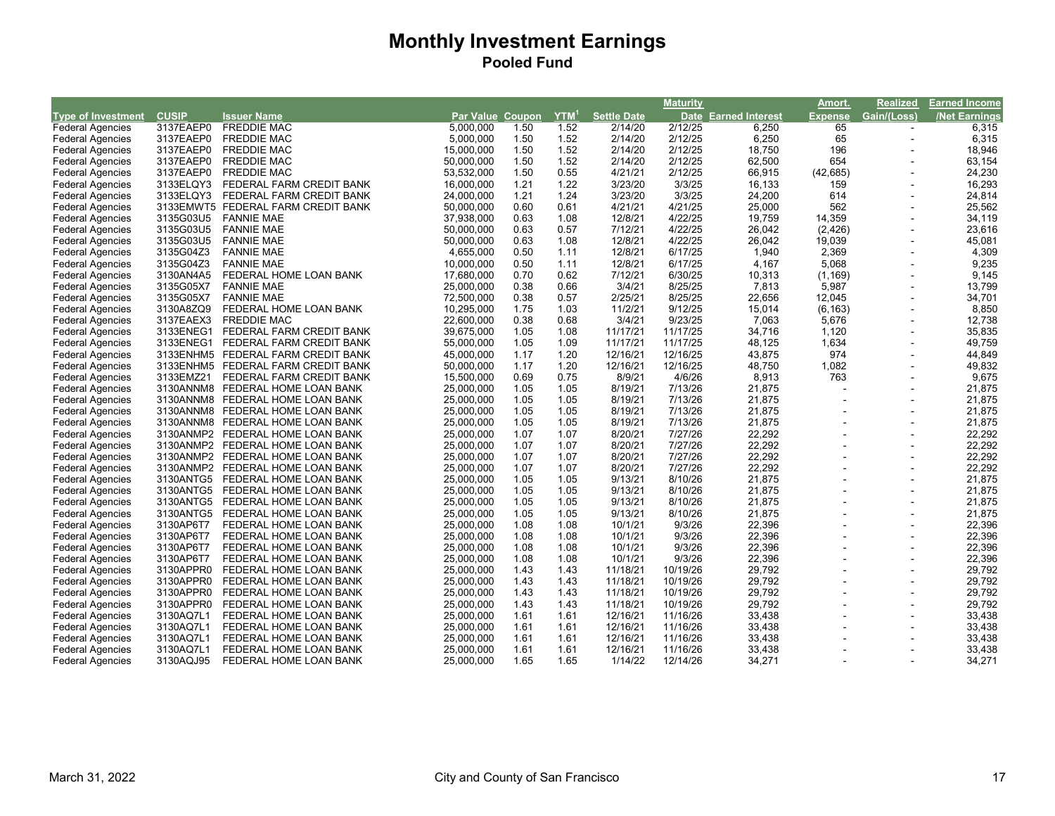|                           |              |                                    |                  |      |                  |                    | <b>Maturity</b> |                             | Amort.         | Realized       | <b>Earned Income</b> |
|---------------------------|--------------|------------------------------------|------------------|------|------------------|--------------------|-----------------|-----------------------------|----------------|----------------|----------------------|
| <b>Type of Investment</b> | <b>CUSIP</b> | <b>Issuer Name</b>                 | Par Value Coupon |      | YTM <sup>1</sup> | <b>Settle Date</b> |                 | <b>Date Earned Interest</b> | <b>Expense</b> | Gain/(Loss)    | <b>/Net Earnings</b> |
| <b>Federal Agencies</b>   | 3137EAEP0    | <b>FREDDIE MAC</b>                 | 5,000,000        | 1.50 | 1.52             | 2/14/20            | 2/12/25         | 6,250                       | 65             |                | 6,315                |
| <b>Federal Agencies</b>   | 3137EAEP0    | <b>FREDDIE MAC</b>                 | 5,000,000        | 1.50 | 1.52             | 2/14/20            | 2/12/25         | 6,250                       | 65             | $\sim$         | 6,315                |
| <b>Federal Agencies</b>   | 3137EAEP0    | <b>FREDDIE MAC</b>                 | 15,000,000       | 1.50 | 1.52             | 2/14/20            | 2/12/25         | 18,750                      | 196            |                | 18,946               |
| <b>Federal Agencies</b>   | 3137EAEP0    | <b>FREDDIE MAC</b>                 | 50,000,000       | 1.50 | 1.52             | 2/14/20            | 2/12/25         | 62,500                      | 654            |                | 63,154               |
| <b>Federal Agencies</b>   | 3137EAEP0    | <b>FREDDIE MAC</b>                 | 53,532,000       | 1.50 | 0.55             | 4/21/21            | 2/12/25         | 66,915                      | (42, 685)      |                | 24,230               |
| <b>Federal Agencies</b>   | 3133ELQY3    | FEDERAL FARM CREDIT BANK           | 16,000,000       | 1.21 | 1.22             | 3/23/20            | 3/3/25          | 16,133                      | 159            |                | 16,293               |
| <b>Federal Agencies</b>   | 3133ELQY3    | FEDERAL FARM CREDIT BANK           | 24,000,000       | 1.21 | 1.24             | 3/23/20            | 3/3/25          | 24,200                      | 614            |                | 24,814               |
| <b>Federal Agencies</b>   |              | 3133EMWT5 FEDERAL FARM CREDIT BANK | 50,000,000       | 0.60 | 0.61             | 4/21/21            | 4/21/25         | 25,000                      | 562            |                | 25,562               |
| <b>Federal Agencies</b>   | 3135G03U5    | <b>FANNIE MAE</b>                  | 37,938,000       | 0.63 | 1.08             | 12/8/21            | 4/22/25         | 19,759                      | 14,359         |                | 34,119               |
| <b>Federal Agencies</b>   | 3135G03U5    | <b>FANNIE MAE</b>                  | 50,000,000       | 0.63 | 0.57             | 7/12/21            | 4/22/25         | 26,042                      | (2, 426)       |                | 23,616               |
| <b>Federal Agencies</b>   | 3135G03U5    | <b>FANNIE MAE</b>                  | 50,000,000       | 0.63 | 1.08             | 12/8/21            | 4/22/25         | 26,042                      | 19,039         |                | 45,081               |
| <b>Federal Agencies</b>   | 3135G04Z3    | <b>FANNIE MAE</b>                  | 4,655,000        | 0.50 | 1.11             | 12/8/21            | 6/17/25         | 1,940                       | 2,369          |                | 4,309                |
| <b>Federal Agencies</b>   | 3135G04Z3    | <b>FANNIE MAE</b>                  | 10,000,000       | 0.50 | 1.11             | 12/8/21            | 6/17/25         | 4,167                       | 5,068          |                | 9,235                |
| <b>Federal Agencies</b>   | 3130AN4A5    | FEDERAL HOME LOAN BANK             | 17,680,000       | 0.70 | 0.62             | 7/12/21            | 6/30/25         | 10,313                      | (1, 169)       |                | 9,145                |
| <b>Federal Agencies</b>   | 3135G05X7    | <b>FANNIE MAE</b>                  | 25,000,000       | 0.38 | 0.66             | 3/4/21             | 8/25/25         | 7,813                       | 5,987          |                | 13,799               |
| <b>Federal Agencies</b>   | 3135G05X7    | <b>FANNIE MAE</b>                  | 72,500,000       | 0.38 | 0.57             | 2/25/21            | 8/25/25         | 22,656                      | 12,045         |                | 34,701               |
| <b>Federal Agencies</b>   | 3130A8ZQ9    | FEDERAL HOME LOAN BANK             | 10,295,000       | 1.75 | 1.03             | 11/2/21            | 9/12/25         | 15,014                      | (6, 163)       |                | 8,850                |
| <b>Federal Agencies</b>   | 3137EAEX3    | <b>FREDDIE MAC</b>                 | 22,600,000       | 0.38 | 0.68             | 3/4/21             | 9/23/25         | 7,063                       | 5,676          |                | 12,738               |
| <b>Federal Agencies</b>   | 3133ENEG1    | FEDERAL FARM CREDIT BANK           | 39,675,000       | 1.05 | 1.08             | 11/17/21           | 11/17/25        | 34,716                      | 1,120          |                | 35,835               |
| <b>Federal Agencies</b>   | 3133ENEG1    | FEDERAL FARM CREDIT BANK           | 55,000,000       | 1.05 | 1.09             | 11/17/21           | 11/17/25        | 48,125                      | 1,634          |                | 49,759               |
| <b>Federal Agencies</b>   |              | 3133ENHM5 FEDERAL FARM CREDIT BANK | 45,000,000       | 1.17 | 1.20             | 12/16/21           | 12/16/25        | 43,875                      | 974            |                | 44,849               |
| <b>Federal Agencies</b>   |              | 3133ENHM5 FEDERAL FARM CREDIT BANK | 50,000,000       | 1.17 | 1.20             | 12/16/21           | 12/16/25        | 48,750                      | 1,082          |                | 49,832               |
| <b>Federal Agencies</b>   | 3133EMZ21    | FEDERAL FARM CREDIT BANK           | 15,500,000       | 0.69 | 0.75             | 8/9/21             | 4/6/26          | 8,913                       | 763            |                | 9,675                |
| <b>Federal Agencies</b>   |              | 3130ANNM8 FEDERAL HOME LOAN BANK   | 25,000,000       | 1.05 | 1.05             | 8/19/21            | 7/13/26         | 21,875                      |                |                | 21,875               |
| <b>Federal Agencies</b>   | 3130ANNM8    | FEDERAL HOME LOAN BANK             | 25,000,000       | 1.05 | 1.05             | 8/19/21            | 7/13/26         | 21,875                      |                |                | 21,875               |
| <b>Federal Agencies</b>   |              | 3130ANNM8 FEDERAL HOME LOAN BANK   | 25,000,000       | 1.05 | 1.05             | 8/19/21            | 7/13/26         | 21,875                      |                | $\blacksquare$ | 21,875               |
| <b>Federal Agencies</b>   | 3130ANNM8    | FEDERAL HOME LOAN BANK             | 25,000,000       | 1.05 | 1.05             | 8/19/21            | 7/13/26         | 21,875                      |                | $\blacksquare$ | 21,875               |
| <b>Federal Agencies</b>   |              | 3130ANMP2 FEDERAL HOME LOAN BANK   | 25,000,000       | 1.07 | 1.07             | 8/20/21            | 7/27/26         | 22,292                      |                | $\blacksquare$ | 22,292               |
| <b>Federal Agencies</b>   | 3130ANMP2    | FEDERAL HOME LOAN BANK             | 25,000,000       | 1.07 | 1.07             | 8/20/21            | 7/27/26         | 22,292                      |                |                | 22,292               |
| <b>Federal Agencies</b>   |              | 3130ANMP2 FEDERAL HOME LOAN BANK   | 25,000,000       | 1.07 | 1.07             | 8/20/21            | 7/27/26         | 22,292                      |                | $\blacksquare$ | 22,292               |
| Federal Agencies          |              | 3130ANMP2 FEDERAL HOME LOAN BANK   | 25,000,000       | 1.07 | 1.07             | 8/20/21            | 7/27/26         | 22,292                      |                |                | 22,292               |
| <b>Federal Agencies</b>   | 3130ANTG5    | FEDERAL HOME LOAN BANK             | 25,000,000       | 1.05 | 1.05             | 9/13/21            | 8/10/26         | 21,875                      |                |                | 21,875               |
| <b>Federal Agencies</b>   | 3130ANTG5    | FEDERAL HOME LOAN BANK             | 25,000,000       | 1.05 | 1.05             | 9/13/21            | 8/10/26         | 21,875                      |                |                | 21,875               |
| <b>Federal Agencies</b>   | 3130ANTG5    | FEDERAL HOME LOAN BANK             | 25,000,000       | 1.05 | 1.05             | 9/13/21            | 8/10/26         | 21,875                      |                |                | 21,875               |
| <b>Federal Agencies</b>   | 3130ANTG5    | FEDERAL HOME LOAN BANK             | 25,000,000       | 1.05 | 1.05             | 9/13/21            | 8/10/26         | 21,875                      |                |                | 21,875               |
| <b>Federal Agencies</b>   | 3130AP6T7    | FEDERAL HOME LOAN BANK             | 25,000,000       | 1.08 | 1.08             | 10/1/21            | 9/3/26          | 22,396                      |                |                | 22,396               |
| Federal Agencies          | 3130AP6T7    | FEDERAL HOME LOAN BANK             | 25,000,000       | 1.08 | 1.08             | 10/1/21            | 9/3/26          | 22,396                      |                |                | 22,396               |
| <b>Federal Agencies</b>   | 3130AP6T7    | FEDERAL HOME LOAN BANK             | 25,000,000       | 1.08 | 1.08             | 10/1/21            | 9/3/26          | 22,396                      |                |                | 22,396               |
| <b>Federal Agencies</b>   | 3130AP6T7    | FEDERAL HOME LOAN BANK             | 25,000,000       | 1.08 | 1.08             | 10/1/21            | 9/3/26          | 22,396                      |                | $\sim$         | 22,396               |
| <b>Federal Agencies</b>   | 3130APPR0    | FEDERAL HOME LOAN BANK             | 25,000,000       | 1.43 | 1.43             | 11/18/21           | 10/19/26        | 29,792                      |                |                | 29,792               |
| <b>Federal Agencies</b>   | 3130APPR0    | FEDERAL HOME LOAN BANK             | 25,000,000       | 1.43 | 1.43             | 11/18/21           | 10/19/26        | 29,792                      |                | $\sim$         | 29,792               |
| <b>Federal Agencies</b>   | 3130APPR0    | FEDERAL HOME LOAN BANK             | 25,000,000       | 1.43 | 1.43             | 11/18/21           | 10/19/26        | 29,792                      |                |                | 29,792               |
| <b>Federal Agencies</b>   | 3130APPR0    | FEDERAL HOME LOAN BANK             | 25,000,000       | 1.43 | 1.43             | 11/18/21           | 10/19/26        | 29,792                      |                | $\sim$         | 29,792               |
| <b>Federal Agencies</b>   | 3130AQ7L1    | FEDERAL HOME LOAN BANK             | 25,000,000       | 1.61 | 1.61             | 12/16/21           | 11/16/26        | 33,438                      |                |                | 33,438               |
| <b>Federal Agencies</b>   | 3130AQ7L1    | FEDERAL HOME LOAN BANK             | 25,000,000       | 1.61 | 1.61             | 12/16/21           | 11/16/26        | 33,438                      |                | $\blacksquare$ | 33,438               |
| <b>Federal Agencies</b>   | 3130AQ7L1    | FEDERAL HOME LOAN BANK             | 25,000,000       | 1.61 | 1.61             | 12/16/21           | 11/16/26        | 33,438                      |                |                | 33,438               |
| <b>Federal Agencies</b>   | 3130AQ7L1    | FEDERAL HOME LOAN BANK             | 25,000,000       | 1.61 | 1.61             | 12/16/21           | 11/16/26        | 33,438                      |                |                | 33,438               |
| <b>Federal Agencies</b>   | 3130AQJ95    | FEDERAL HOME LOAN BANK             | 25,000,000       | 1.65 | 1.65             | 1/14/22            | 12/14/26        | 34,271                      |                |                | 34,271               |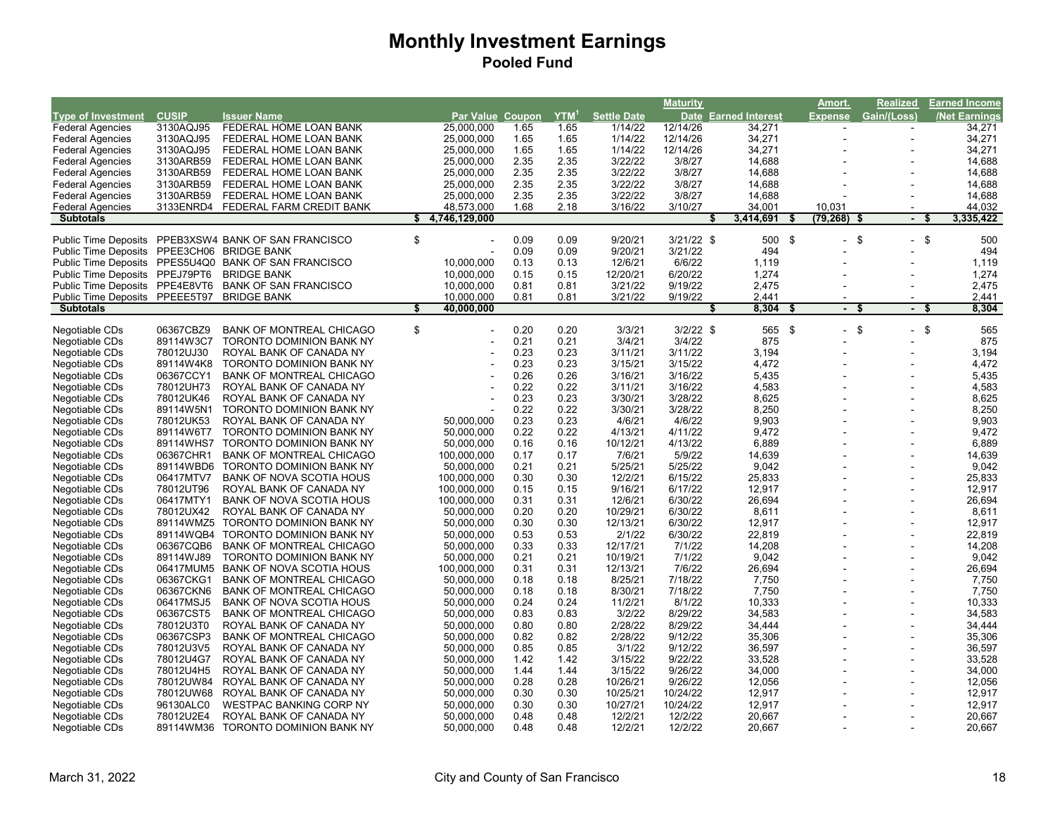|                                |              |                                                      |    |                  |      |                  |                    | <b>Maturity</b> |                      | Amort.               | <b>Realized</b>      |      | <b>Earned Income</b> |
|--------------------------------|--------------|------------------------------------------------------|----|------------------|------|------------------|--------------------|-----------------|----------------------|----------------------|----------------------|------|----------------------|
| <b>Type of Investment</b>      | <b>CUSIP</b> | <b>Issuer Name</b>                                   |    | Par Value Coupon |      | YTM <sup>1</sup> | <b>Settle Date</b> |                 | Date Earned Interest | Expense              | Gain/(Loss)          |      | <b>Net Earnings</b>  |
| <b>Federal Agencies</b>        | 3130AQJ95    | FEDERAL HOME LOAN BANK                               |    | 25.000.000       | 1.65 | 1.65             | 1/14/22            | 12/14/26        | 34,271               |                      |                      |      | 34,271               |
| <b>Federal Agencies</b>        | 3130AQJ95    | FEDERAL HOME LOAN BANK                               |    | 25,000,000       | 1.65 | 1.65             | 1/14/22            | 12/14/26        | 34,271               |                      |                      |      | 34,271               |
| <b>Federal Agencies</b>        | 3130AQJ95    | FEDERAL HOME LOAN BANK                               |    | 25,000,000       | 1.65 | 1.65             | 1/14/22            | 12/14/26        | 34,271               |                      |                      |      | 34,271               |
| <b>Federal Agencies</b>        | 3130ARB59    | FEDERAL HOME LOAN BANK                               |    | 25,000,000       | 2.35 | 2.35             | 3/22/22            | 3/8/27          | 14,688               |                      |                      |      | 14,688               |
| <b>Federal Agencies</b>        | 3130ARB59    | FEDERAL HOME LOAN BANK                               |    | 25,000,000       | 2.35 | 2.35             | 3/22/22            | 3/8/27          | 14,688               |                      |                      |      | 14,688               |
| <b>Federal Agencies</b>        | 3130ARB59    | FEDERAL HOME LOAN BANK                               |    | 25,000,000       | 2.35 | 2.35             | 3/22/22            | 3/8/27          | 14,688               |                      |                      |      | 14,688               |
| <b>Federal Agencies</b>        | 3130ARB59    | FEDERAL HOME LOAN BANK                               |    | 25,000,000       | 2.35 | 2.35             | 3/22/22            | 3/8/27          | 14,688               |                      |                      |      | 14,688               |
| <b>Federal Agencies</b>        | 3133ENRD4    | FEDERAL FARM CREDIT BANK                             |    | 48,573,000       | 1.68 | 2.18             | 3/16/22            | 3/10/27         | 34,001               | 10,031               |                      |      | 44,032               |
| <b>Subtotals</b>               |              |                                                      |    | \$4,746,129,000  |      |                  |                    |                 | 3,414,691            | \$<br>$(79, 268)$ \$ |                      | -\$  | 3,335,422            |
|                                |              |                                                      |    |                  |      |                  |                    |                 |                      |                      |                      |      |                      |
| <b>Public Time Deposits</b>    |              | PPEB3XSW4 BANK OF SAN FRANCISCO                      | \$ |                  | 0.09 | 0.09             | 9/20/21            | $3/21/22$ \$    | 500 \$               |                      | $-$ \$<br>\$         |      | 500                  |
| <b>Public Time Deposits</b>    |              | PPEE3CH06 BRIDGE BANK                                |    |                  | 0.09 | 0.09             | 9/20/21            | 3/21/22         | 494                  |                      |                      |      | 494                  |
|                                |              | Public Time Deposits PPES5U4Q0 BANK OF SAN FRANCISCO |    | 10,000,000       | 0.13 | 0.13             | 12/6/21            | 6/6/22          | 1,119                |                      |                      |      | 1,119                |
| Public Time Deposits PPEJ79PT6 |              | <b>BRIDGE BANK</b>                                   |    | 10,000,000       | 0.15 | 0.15             | 12/20/21           | 6/20/22         | 1,274                |                      |                      |      | 1,274                |
| Public Time Deposits PPE4E8VT6 |              | <b>BANK OF SAN FRANCISCO</b>                         |    | 10,000,000       | 0.81 | 0.81             | 3/21/22            | 9/19/22         | 2,475                |                      |                      |      | 2,475                |
| Public Time Deposits PPEEE5T97 |              | <b>BRIDGE BANK</b>                                   |    | 10,000,000       | 0.81 | 0.81             | 3/21/22            | 9/19/22         | 2,441                |                      |                      |      | 2,441                |
| <b>Subtotals</b>               |              |                                                      | Ŝ  | 40,000,000       |      |                  |                    |                 | 8,304                | \$<br>- \$           | $\blacksquare$       | - \$ | 8,304                |
|                                |              |                                                      |    |                  |      |                  |                    |                 |                      |                      |                      |      |                      |
| Negotiable CDs                 | 06367CBZ9    | <b>BANK OF MONTREAL CHICAGO</b>                      | \$ | $\sim$           | 0.20 | 0.20             | 3/3/21             | $3/2/22$ \$     | 565 \$               | $\blacksquare$       | \$<br>$\blacksquare$ | \$   | 565                  |
| Negotiable CDs                 | 89114W3C7    | TORONTO DOMINION BANK NY                             |    |                  | 0.21 | 0.21             | 3/4/21             | 3/4/22          | 875                  |                      |                      |      | 875                  |
| Negotiable CDs                 | 78012UJ30    | ROYAL BANK OF CANADA NY                              |    |                  | 0.23 | 0.23             | 3/11/21            | 3/11/22         | 3,194                |                      |                      |      | 3,194                |
| Negotiable CDs                 | 89114W4K8    | TORONTO DOMINION BANK NY                             |    |                  | 0.23 | 0.23             | 3/15/21            | 3/15/22         | 4,472                |                      |                      |      | 4,472                |
| Negotiable CDs                 | 06367CCY1    | <b>BANK OF MONTREAL CHICAGO</b>                      |    |                  | 0.26 | 0.26             | 3/16/21            | 3/16/22         | 5,435                |                      |                      |      | 5,435                |
| Negotiable CDs                 | 78012UH73    | ROYAL BANK OF CANADA NY                              |    |                  | 0.22 | 0.22             | 3/11/21            | 3/16/22         | 4,583                |                      |                      |      | 4,583                |
| Negotiable CDs                 | 78012UK46    | ROYAL BANK OF CANADA NY                              |    |                  | 0.23 | 0.23             | 3/30/21            | 3/28/22         | 8,625                |                      |                      |      | 8,625                |
| Negotiable CDs                 | 89114W5N1    | TORONTO DOMINION BANK NY                             |    |                  | 0.22 | 0.22             | 3/30/21            | 3/28/22         | 8,250                |                      |                      |      | 8,250                |
| Negotiable CDs                 | 78012UK53    | ROYAL BANK OF CANADA NY                              |    | 50,000,000       | 0.23 | 0.23             | 4/6/21             | 4/6/22          | 9,903                |                      |                      |      | 9,903                |
| Negotiable CDs                 | 89114W6T7    | <b>TORONTO DOMINION BANK NY</b>                      |    | 50,000,000       | 0.22 | 0.22             | 4/13/21            | 4/11/22         | 9,472                |                      |                      |      | 9,472                |
| Negotiable CDs                 | 89114WHS7    | TORONTO DOMINION BANK NY                             |    | 50,000,000       | 0.16 | 0.16             | 10/12/21           | 4/13/22         | 6,889                |                      |                      |      | 6,889                |
| Negotiable CDs                 | 06367CHR1    | <b>BANK OF MONTREAL CHICAGO</b>                      |    | 100,000,000      | 0.17 | 0.17             | 7/6/21             | 5/9/22          | 14,639               |                      |                      |      | 14,639               |
| Negotiable CDs                 | 89114WBD6    | TORONTO DOMINION BANK NY                             |    | 50,000,000       | 0.21 | 0.21             | 5/25/21            | 5/25/22         | 9,042                |                      |                      |      | 9,042                |
| Negotiable CDs                 | 06417MTV7    | BANK OF NOVA SCOTIA HOUS                             |    | 100,000,000      | 0.30 | 0.30             | 12/2/21            | 6/15/22         | 25,833               |                      |                      |      | 25,833               |
| Negotiable CDs                 | 78012UT96    | ROYAL BANK OF CANADA NY                              |    | 100,000,000      | 0.15 | 0.15             | 9/16/21            | 6/17/22         | 12,917               |                      |                      |      | 12,917               |
| Negotiable CDs                 | 06417MTY1    | <b>BANK OF NOVA SCOTIA HOUS</b>                      |    | 100,000,000      | 0.31 | 0.31             | 12/6/21            | 6/30/22         | 26,694               |                      |                      |      | 26,694               |
| Negotiable CDs                 | 78012UX42    | ROYAL BANK OF CANADA NY                              |    | 50,000,000       | 0.20 | 0.20             | 10/29/21           | 6/30/22         | 8,611                |                      |                      |      | 8,611                |
| Negotiable CDs                 | 89114WMZ5    | TORONTO DOMINION BANK NY                             |    | 50,000,000       | 0.30 | 0.30             | 12/13/21           | 6/30/22         | 12,917               |                      |                      |      | 12,917               |
|                                |              |                                                      |    |                  | 0.53 |                  |                    | 6/30/22         |                      |                      |                      |      | 22,819               |
| Negotiable CDs                 | 89114WQB4    | TORONTO DOMINION BANK NY                             |    | 50,000,000       |      | 0.53             | 2/1/22             |                 | 22,819               |                      |                      |      |                      |
| Negotiable CDs                 | 06367CQB6    | <b>BANK OF MONTREAL CHICAGO</b>                      |    | 50,000,000       | 0.33 | 0.33             | 12/17/21           | 7/1/22          | 14,208               |                      |                      |      | 14,208               |
| Negotiable CDs                 | 89114WJ89    | TORONTO DOMINION BANK NY                             |    | 50,000,000       | 0.21 | 0.21             | 10/19/21           | 7/1/22          | 9,042                |                      |                      |      | 9,042                |
| Negotiable CDs                 | 06417MUM5    | BANK OF NOVA SCOTIA HOUS                             |    | 100,000,000      | 0.31 | 0.31             | 12/13/21           | 7/6/22          | 26,694               |                      |                      |      | 26,694               |
| Negotiable CDs                 | 06367CKG1    | <b>BANK OF MONTREAL CHICAGO</b>                      |    | 50,000,000       | 0.18 | 0.18             | 8/25/21            | 7/18/22         | 7,750                |                      |                      |      | 7,750                |
| Negotiable CDs                 | 06367CKN6    | <b>BANK OF MONTREAL CHICAGO</b>                      |    | 50,000,000       | 0.18 | 0.18             | 8/30/21            | 7/18/22         | 7,750                |                      |                      |      | 7,750                |
| Negotiable CDs                 | 06417MSJ5    | BANK OF NOVA SCOTIA HOUS                             |    | 50,000,000       | 0.24 | 0.24             | 11/2/21            | 8/1/22          | 10,333               |                      |                      |      | 10,333               |
| Negotiable CDs                 | 06367CST5    | <b>BANK OF MONTREAL CHICAGO</b>                      |    | 50,000,000       | 0.83 | 0.83             | 3/2/22             | 8/29/22         | 34,583               |                      |                      |      | 34,583               |
| Negotiable CDs                 | 78012U3T0    | ROYAL BANK OF CANADA NY                              |    | 50,000,000       | 0.80 | 0.80             | 2/28/22            | 8/29/22         | 34,444               |                      |                      |      | 34,444               |
| Negotiable CDs                 | 06367CSP3    | <b>BANK OF MONTREAL CHICAGO</b>                      |    | 50,000,000       | 0.82 | 0.82             | 2/28/22            | 9/12/22         | 35,306               |                      |                      |      | 35,306               |
| Negotiable CDs                 | 78012U3V5    | ROYAL BANK OF CANADA NY                              |    | 50,000,000       | 0.85 | 0.85             | 3/1/22             | 9/12/22         | 36,597               |                      |                      |      | 36,597               |
| Negotiable CDs                 | 78012U4G7    | ROYAL BANK OF CANADA NY                              |    | 50,000,000       | 1.42 | 1.42             | 3/15/22            | 9/22/22         | 33,528               |                      |                      |      | 33,528               |
| Negotiable CDs                 | 78012U4H5    | ROYAL BANK OF CANADA NY                              |    | 50,000,000       | 1.44 | 1.44             | 3/15/22            | 9/26/22         | 34,000               |                      |                      |      | 34,000               |
| Negotiable CDs                 | 78012UW84    | ROYAL BANK OF CANADA NY                              |    | 50,000,000       | 0.28 | 0.28             | 10/26/21           | 9/26/22         | 12,056               |                      |                      |      | 12,056               |
| Negotiable CDs                 | 78012UW68    | ROYAL BANK OF CANADA NY                              |    | 50,000,000       | 0.30 | 0.30             | 10/25/21           | 10/24/22        | 12,917               |                      |                      |      | 12,917               |
| Negotiable CDs                 | 96130ALC0    | <b>WESTPAC BANKING CORP NY</b>                       |    | 50,000,000       | 0.30 | 0.30             | 10/27/21           | 10/24/22        | 12,917               |                      |                      |      | 12,917               |
| Negotiable CDs                 | 78012U2E4    | ROYAL BANK OF CANADA NY                              |    | 50,000,000       | 0.48 | 0.48             | 12/2/21            | 12/2/22         | 20,667               |                      |                      |      | 20,667               |
| Negotiable CDs                 | 89114WM36    | TORONTO DOMINION BANK NY                             |    | 50,000,000       | 0.48 | 0.48             | 12/2/21            | 12/2/22         | 20,667               |                      |                      |      | 20,667               |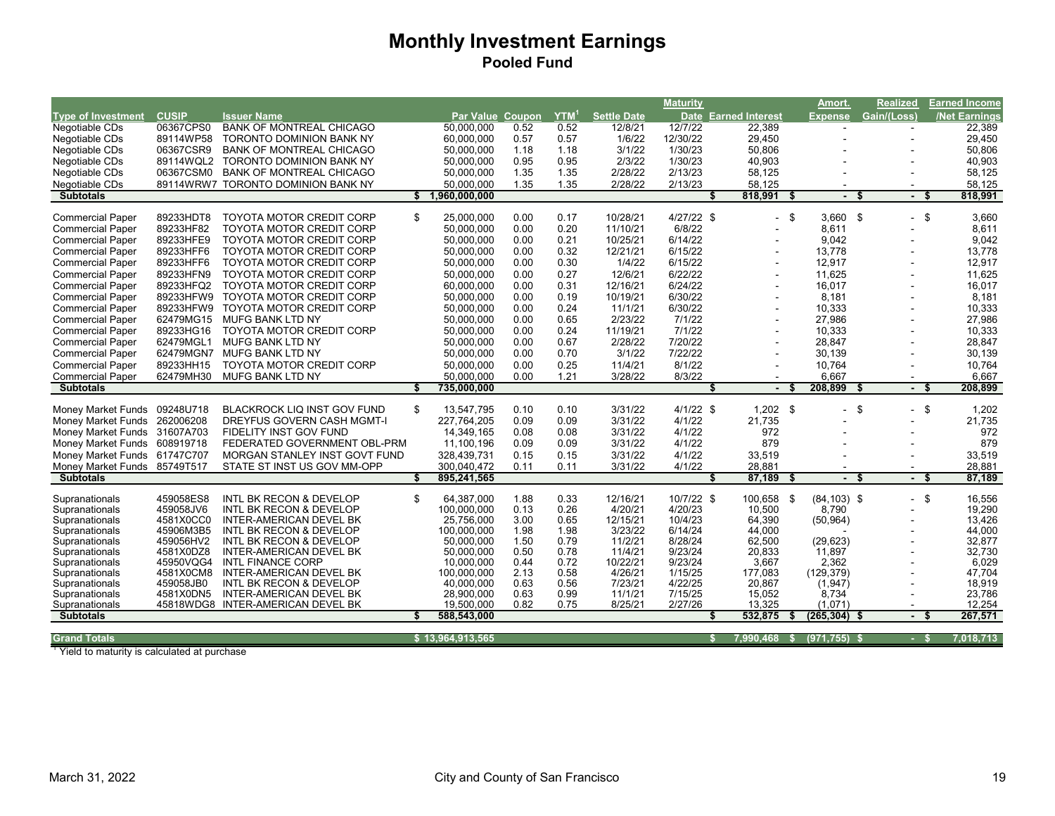|                              |              |                                    |                   |      |                  |                    | <b>Maturity</b> |                      |      | Amort.                   | <b>Realized</b>        |      | <b>Earned Income</b> |
|------------------------------|--------------|------------------------------------|-------------------|------|------------------|--------------------|-----------------|----------------------|------|--------------------------|------------------------|------|----------------------|
| <b>Type of Investment</b>    | <b>CUSIP</b> | <b>Issuer Name</b>                 | Par Value Coupon  |      | YTM <sup>1</sup> | <b>Settle Date</b> |                 | Date Earned Interest |      | <b>Expense</b>           | Gain/(Loss)            |      | <b>Net Earnings</b>  |
| Negotiable CDs               | 06367CPS0    | <b>BANK OF MONTREAL CHICAGO</b>    | 50,000,000        | 0.52 | 0.52             | 12/8/21            | 12/7/22         | 22,389               |      | $\overline{\phantom{a}}$ |                        |      | 22,389               |
| Negotiable CDs               | 89114WP58    | TORONTO DOMINION BANK NY           | 60,000,000        | 0.57 | 0.57             | 1/6/22             | 12/30/22        | 29,450               |      |                          |                        |      | 29,450               |
| Negotiable CDs               | 06367CSR9    | <b>BANK OF MONTREAL CHICAGO</b>    | 50,000,000        | 1.18 | 1.18             | 3/1/22             | 1/30/23         | 50,806               |      |                          |                        |      | 50,806               |
| Negotiable CDs               | 89114WQL2    | <b>TORONTO DOMINION BANK NY</b>    | 50.000.000        | 0.95 | 0.95             | 2/3/22             | 1/30/23         | 40.903               |      |                          |                        |      | 40,903               |
| Negotiable CDs               | 06367CSM0    | <b>BANK OF MONTREAL CHICAGO</b>    | 50.000.000        | 1.35 | 1.35             | 2/28/22            | 2/13/23         | 58,125               |      |                          |                        |      | 58,125               |
| Negotiable CDs               | 89114WRW7    | <b>TORONTO DOMINION BANK NY</b>    | 50,000,000        | 1.35 | 1.35             | 2/28/22            | 2/13/23         | 58,125               |      |                          |                        |      | 58,125               |
| <b>Subtotals</b>             |              |                                    | \$1,960,000,000   |      |                  |                    |                 | 818,991              | \$   |                          | \$                     | - \$ | 818,991              |
|                              |              |                                    |                   |      |                  |                    |                 |                      |      |                          |                        |      |                      |
| <b>Commercial Paper</b>      | 89233HDT8    | <b>TOYOTA MOTOR CREDIT CORP</b>    | \$<br>25.000.000  | 0.00 | 0.17             | 10/28/21           | $4/27/22$ \$    |                      | - \$ | $3.660$ \$               | $-$ \$                 |      | 3,660                |
| <b>Commercial Paper</b>      | 89233HF82    | TOYOTA MOTOR CREDIT CORP           | 50,000,000        | 0.00 | 0.20             | 11/10/21           | 6/8/22          |                      |      | 8,611                    |                        |      | 8,611                |
| <b>Commercial Paper</b>      | 89233HFE9    | <b>TOYOTA MOTOR CREDIT CORP</b>    | 50,000,000        | 0.00 | 0.21             | 10/25/21           | 6/14/22         |                      |      | 9,042                    |                        |      | 9,042                |
| <b>Commercial Paper</b>      | 89233HFF6    | <b>TOYOTA MOTOR CREDIT CORP</b>    | 50,000,000        | 0.00 | 0.32             | 12/21/21           | 6/15/22         |                      |      | 13,778                   |                        |      | 13,778               |
| <b>Commercial Paper</b>      | 89233HFF6    | <b>TOYOTA MOTOR CREDIT CORP</b>    | 50,000,000        | 0.00 | 0.30             | 1/4/22             | 6/15/22         |                      |      | 12,917                   |                        |      | 12,917               |
| <b>Commercial Paper</b>      | 89233HFN9    | <b>TOYOTA MOTOR CREDIT CORP</b>    | 50,000,000        | 0.00 | 0.27             | 12/6/21            | 6/22/22         |                      |      | 11,625                   |                        |      | 11,625               |
| <b>Commercial Paper</b>      | 89233HFQ2    | <b>TOYOTA MOTOR CREDIT CORP</b>    | 60,000,000        | 0.00 | 0.31             | 12/16/21           | 6/24/22         |                      |      | 16,017                   |                        |      | 16,017               |
| <b>Commercial Paper</b>      | 89233HFW9    | <b>TOYOTA MOTOR CREDIT CORP</b>    | 50.000.000        | 0.00 | 0.19             | 10/19/21           | 6/30/22         |                      |      | 8,181                    |                        |      | 8,181                |
| <b>Commercial Paper</b>      | 89233HFW9    | <b>TOYOTA MOTOR CREDIT CORP</b>    | 50,000,000        | 0.00 | 0.24             | 11/1/21            | 6/30/22         |                      |      | 10,333                   |                        |      | 10,333               |
| <b>Commercial Paper</b>      | 62479MG15    | <b>MUFG BANK LTD NY</b>            | 50.000.000        | 0.00 | 0.65             | 2/23/22            | 7/1/22          |                      |      | 27,986                   |                        |      | 27,986               |
| <b>Commercial Paper</b>      | 89233HG16    | <b>TOYOTA MOTOR CREDIT CORP</b>    | 50,000,000        | 0.00 | 0.24             | 11/19/21           | 7/1/22          |                      |      | 10,333                   |                        |      | 10,333               |
| <b>Commercial Paper</b>      | 62479MGL1    | <b>MUFG BANK LTD NY</b>            | 50,000,000        | 0.00 | 0.67             | 2/28/22            | 7/20/22         |                      |      | 28,847                   |                        |      | 28,847               |
| <b>Commercial Paper</b>      | 62479MGN7    | MUFG BANK LTD NY                   | 50,000,000        | 0.00 | 0.70             | 3/1/22             | 7/22/22         |                      |      | 30,139                   |                        |      | 30,139               |
| <b>Commercial Paper</b>      | 89233HH15    | TOYOTA MOTOR CREDIT CORP           | 50,000,000        | 0.00 | 0.25             | 11/4/21            | 8/1/22          |                      |      | 10,764                   |                        |      | 10,764               |
| <b>Commercial Paper</b>      | 62479MH30    | MUFG BANK LTD NY                   | 50,000,000        | 0.00 | 1.21             | 3/28/22            | 8/3/22          |                      |      | 6,667                    |                        |      | 6,667                |
| <b>Subtotals</b>             |              |                                    | \$<br>735,000,000 |      |                  |                    |                 |                      |      | 208,899                  | - \$<br>$\blacksquare$ | - \$ | 208,899              |
|                              |              |                                    |                   |      |                  |                    |                 |                      |      |                          |                        |      |                      |
| Money Market Funds 09248U718 |              | <b>BLACKROCK LIQ INST GOV FUND</b> | \$<br>13,547,795  | 0.10 | 0.10             | 3/31/22            | $4/1/22$ \$     | $1,202$ \$           |      |                          | \$                     | \$   | 1,202                |
| Money Market Funds 262006208 |              | DREYFUS GOVERN CASH MGMT-I         | 227,764,205       | 0.09 | 0.09             | 3/31/22            | 4/1/22          | 21,735               |      |                          |                        |      | 21,735               |
| Money Market Funds 31607A703 |              | <b>FIDELITY INST GOV FUND</b>      | 14,349,165        | 0.08 | 0.08             | 3/31/22            | 4/1/22          | 972                  |      |                          |                        |      | 972                  |
| Money Market Funds 608919718 |              | FEDERATED GOVERNMENT OBL-PRM       | 11,100,196        | 0.09 | 0.09             | 3/31/22            | 4/1/22          | 879                  |      |                          |                        |      | 879                  |
| Money Market Funds 61747C707 |              | MORGAN STANLEY INST GOVT FUND      | 328,439,731       | 0.15 | 0.15             | 3/31/22            | 4/1/22          | 33,519               |      |                          |                        |      | 33,519               |
| Money Market Funds 85749T517 |              | STATE ST INST US GOV MM-OPP        | 300,040,472       | 0.11 | 0.11             | 3/31/22            | 4/1/22          | 28,881               |      |                          |                        |      | 28,881               |
| <b>Subtotals</b>             |              |                                    | 895,241,565       |      |                  |                    |                 | 87,189<br>S          | £.   | $\blacksquare$           | - \$<br>- S            |      | 87,189               |
|                              |              |                                    |                   |      |                  |                    |                 |                      |      |                          |                        |      |                      |
| Supranationals               | 459058ES8    | <b>INTL BK RECON &amp; DEVELOP</b> | \$<br>64,387,000  | 1.88 | 0.33             | 12/16/21           | 10/7/22 \$      | 100,658              | \$   | $(84, 103)$ \$           |                        | - \$ | 16,556               |
| Supranationals               | 459058JV6    | <b>INTL BK RECON &amp; DEVELOP</b> | 100.000.000       | 0.13 | 0.26             | 4/20/21            | 4/20/23         | 10.500               |      | 8.790                    |                        |      | 19,290               |
| Supranationals               | 4581X0CC0    | INTER-AMERICAN DEVEL BK            | 25,756,000        | 3.00 | 0.65             | 12/15/21           | 10/4/23         | 64,390               |      | (50, 964)                |                        |      | 13,426               |
| Supranationals               | 45906M3B5    | INTL BK RECON & DEVELOP            | 100,000,000       | 1.98 | 1.98             | 3/23/22            | 6/14/24         | 44,000               |      |                          |                        |      | 44,000               |
| Supranationals               | 459056HV2    | INTL BK RECON & DEVELOP            | 50,000,000        | 1.50 | 0.79             | 11/2/21            | 8/28/24         | 62,500               |      | (29, 623)                |                        |      | 32,877               |
| Supranationals               | 4581X0DZ8    | INTER-AMERICAN DEVEL BK            | 50,000,000        | 0.50 | 0.78             | 11/4/21            | 9/23/24         | 20,833               |      | 11,897                   |                        |      | 32,730               |
| Supranationals               | 45950VQG4    | <b>INTL FINANCE CORP</b>           | 10,000,000        | 0.44 | 0.72             | 10/22/21           | 9/23/24         | 3,667                |      | 2,362                    |                        |      | 6,029                |
| Supranationals               | 4581X0CM8    | INTER-AMERICAN DEVEL BK            | 100,000,000       | 2.13 | 0.58             | 4/26/21            | 1/15/25         | 177,083              |      | (129, 379)               |                        |      | 47,704               |
| Supranationals               | 459058JB0    | INTL BK RECON & DEVELOP            | 40,000,000        | 0.63 | 0.56             | 7/23/21            | 4/22/25         | 20,867               |      | (1, 947)                 |                        |      | 18,919               |
| Supranationals               | 4581X0DN5    | INTER-AMERICAN DEVEL BK            | 28,900,000        | 0.63 | 0.99             | 11/1/21            | 7/15/25         | 15,052               |      | 8,734                    |                        |      | 23,786               |
| Supranationals               | 45818WDG8    | INTER-AMERICAN DEVEL BK            | 19,500,000        | 0.82 | 0.75             | 8/25/21            | 2/27/26         | 13,325               |      | (1,071)                  |                        |      | 12,254               |
| <b>Subtotals</b>             |              |                                    | 588,543,000       |      |                  |                    |                 | 532,875              |      | (265, 304)               |                        |      | 267,571              |
| <b>Grand Totals</b>          |              |                                    | \$13,964,913,565  |      |                  |                    |                 | 7.990.468 \$         |      | $(971, 755)$ \$          | - \$                   |      | 7,018,713            |
|                              |              |                                    |                   |      |                  |                    |                 |                      |      |                          |                        |      |                      |

<sup>1</sup> Yield to maturity is calculated at purchase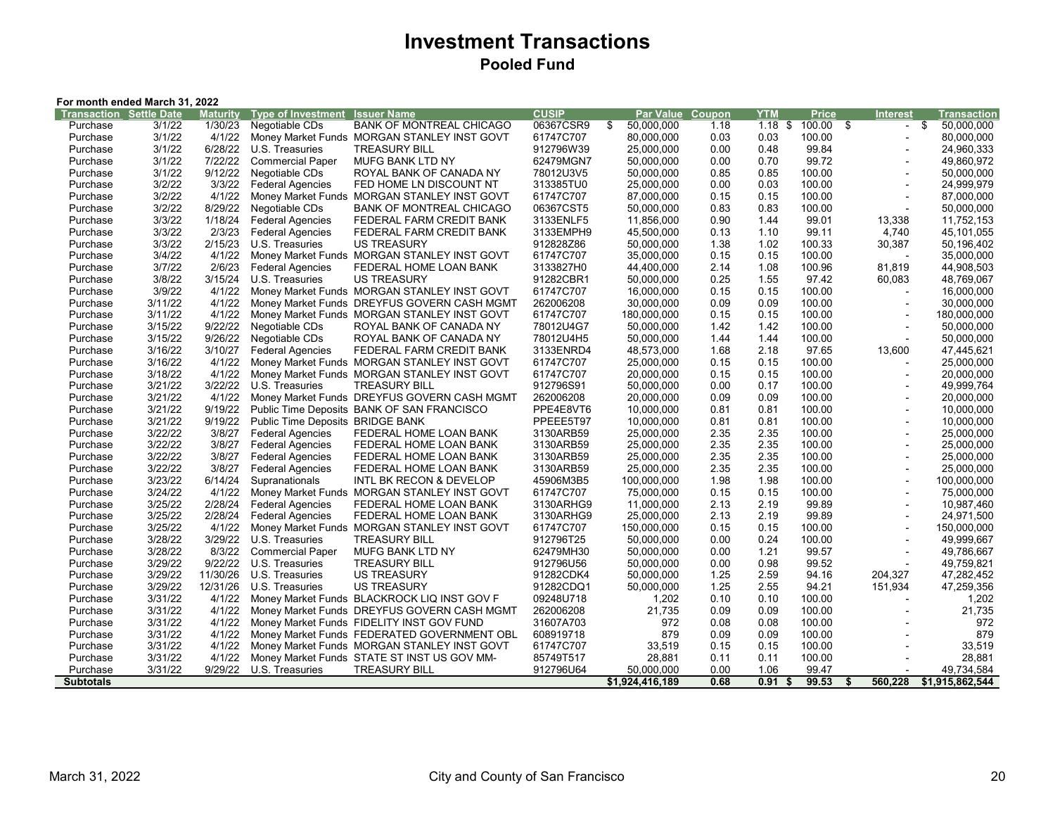## **Investment Transactions Pooled Fund**

| Maturity<br><b>Type of Investment</b><br><b>Issuer Name</b><br>YTM<br><b>Price</b><br><b>Transaction Settle Date</b><br>Par Value<br>Coupon<br><b>Interest</b><br>1/30/23<br>Negotiable CDs<br><b>BANK OF MONTREAL CHICAGO</b><br>06367CSR9<br>\$<br>50,000,000<br>$1.18$ \$ 100.00 \$<br>\$<br>50,000,000<br>Purchase<br>3/1/22<br>1.18<br>$\overline{\phantom{a}}$<br>4/1/22<br>3/1/22<br>61747C707<br>80,000,000<br>0.03<br>0.03<br>100.00<br>Purchase<br>Money Market Funds MORGAN STANLEY INST GOVT<br>80,000,000<br>$\blacksquare$<br>3/1/22<br>6/28/22<br>912796W39<br>99.84<br>U.S. Treasuries<br><b>TREASURY BILL</b><br>25,000,000<br>0.00<br>0.48<br>24,960,333<br>Purchase<br>3/1/22<br>7/22/22<br><b>MUFG BANK LTD NY</b><br>62479MGN7<br>99.72<br>49,860,972<br>Purchase<br><b>Commercial Paper</b><br>50,000,000<br>0.00<br>0.70<br>3/1/22<br>9/12/22<br>Negotiable CDs<br>78012U3V5<br>0.85<br>0.85<br>100.00<br>50,000,000<br>ROYAL BANK OF CANADA NY<br>50.000.000<br>Purchase<br>3/3/22<br>313385TU0<br>24,999,979<br>3/2/22<br><b>Federal Agencies</b><br>FED HOME LN DISCOUNT NT<br>25,000,000<br>0.00<br>0.03<br>100.00<br>Purchase<br>$\blacksquare$<br>4/1/22<br>61747C707<br>3/2/22<br><b>Money Market Funds</b><br>MORGAN STANLEY INST GOVT<br>87,000,000<br>0.15<br>0.15<br>100.00<br>87,000,000<br>Purchase<br>$\blacksquare$<br>8/29/22<br>06367CST5<br>50,000,000<br>Purchase<br>3/2/22<br>Negotiable CDs<br><b>BANK OF MONTREAL CHICAGO</b><br>50,000,000<br>0.83<br>0.83<br>100.00<br>$\overline{a}$<br>3/3/22<br>1/18/24<br>99.01<br><b>Federal Agencies</b><br>3133ENLF5<br>11,856,000<br>0.90<br>1.44<br>13,338<br>11,752,153<br>Purchase<br>FEDERAL FARM CREDIT BANK<br>3/3/22<br>2/3/23<br>99.11<br><b>Federal Agencies</b><br>3133EMPH9<br>45,500,000<br>0.13<br>4,740<br>45,101,055<br>Purchase<br>FEDERAL FARM CREDIT BANK<br>1.10<br>3/3/22<br>2/15/23<br>912828Z86<br>50,000,000<br>100.33<br>50,196,402<br>U.S. Treasuries<br><b>US TREASURY</b><br>1.38<br>1.02<br>30,387<br>Purchase<br>3/4/22<br>4/1/22<br>61747C707<br>35,000,000<br>35,000,000<br>Money Market Funds MORGAN STANLEY INST GOVT<br>0.15<br>0.15<br>100.00<br>Purchase<br>$\overline{\phantom{a}}$<br>3/7/22<br>2/6/23<br>3133827H0<br>2.14<br>1.08<br>100.96<br>44,908,503<br><b>Federal Agencies</b><br>FEDERAL HOME LOAN BANK<br>44,400,000<br>81,819<br>Purchase<br>3/8/22<br>3/15/24<br>91282CBR1<br>50,000,000<br>0.25<br>48,769,067<br>Purchase<br>U.S. Treasuries<br><b>US TREASURY</b><br>1.55<br>97.42<br>60,083<br>3/9/22<br>4/1/22<br>61747C707<br>100.00<br>Money Market Funds MORGAN STANLEY INST GOVT<br>16,000,000<br>0.15<br>0.15<br>16,000,000<br>Purchase<br>3/11/22<br>4/1/22<br>262006208<br>Purchase<br>Money Market Funds DREYFUS GOVERN CASH MGMT<br>30,000,000<br>0.09<br>0.09<br>100.00<br>30,000,000<br>$\overline{a}$<br>3/11/22<br>4/1/22<br>61747C707<br>Money Market Funds MORGAN STANLEY INST GOVT<br>180,000,000<br>0.15<br>0.15<br>100.00<br>180,000,000<br>Purchase<br>9/22/22<br>3/15/22<br>Negotiable CDs<br>78012U4G7<br>50,000,000<br>1.42<br>1.42<br>100.00<br>50,000,000<br>Purchase<br>ROYAL BANK OF CANADA NY<br>$\overline{a}$<br>9/26/22<br>3/15/22<br>Negotiable CDs<br>ROYAL BANK OF CANADA NY<br>78012U4H5<br>50,000,000<br>1.44<br>1.44<br>100.00<br>50,000,000<br>Purchase<br>$\overline{a}$<br>3/10/27<br>3/16/22<br><b>Federal Agencies</b><br>FEDERAL FARM CREDIT BANK<br>3133ENRD4<br>48,573,000<br>1.68<br>2.18<br>97.65<br>13,600<br>47,445,621<br>Purchase<br>4/1/22<br>3/16/22<br>61747C707<br>0.15<br>100.00<br>Purchase<br>Money Market Funds MORGAN STANLEY INST GOVT<br>25,000,000<br>0.15<br>25,000,000<br>4/1/22<br>3/18/22<br>61747C707<br>100.00<br>20,000,000<br>Purchase<br>Money Market Funds MORGAN STANLEY INST GOVT<br>20,000,000<br>0.15<br>0.15<br>$\overline{\phantom{a}}$<br>3/22/22<br>912796S91<br>3/21/22<br>U.S. Treasuries<br><b>TREASURY BILL</b><br>50,000,000<br>0.00<br>100.00<br>49,999,764<br>Purchase<br>0.17<br>4/1/22<br>3/21/22<br>Money Market Funds DREYFUS GOVERN CASH MGMT<br>262006208<br>0.09<br>0.09<br>100.00<br>20,000,000<br>Purchase<br>20,000,000<br>$\overline{a}$<br>9/19/22<br>PPE4E8VT6<br>3/21/22<br>Public Time Deposits BANK OF SAN FRANCISCO<br>0.81<br>100.00<br>10,000,000<br>10,000,000<br>0.81<br>Purchase<br>3/21/22<br>9/19/22<br>PPEEE5T97<br>Public Time Deposits BRIDGE BANK<br>0.81<br>0.81<br>100.00<br>10,000,000<br>Purchase<br>10,000,000<br>$\blacksquare$<br>3/22/22<br>3/8/27<br>3130ARB59<br>2.35<br>FEDERAL HOME LOAN BANK<br>25,000,000<br>2.35<br>100.00<br>25,000,000<br>Purchase<br><b>Federal Agencies</b><br>$\blacksquare$<br>3/8/27<br>3130ARB59<br>3/22/22<br><b>Federal Agencies</b><br>25,000,000<br>2.35<br>2.35<br>100.00<br>25,000,000<br>Purchase<br>FEDERAL HOME LOAN BANK<br>$\overline{a}$<br>3/8/27<br>3/22/22<br><b>Federal Agencies</b><br>3130ARB59<br>25,000,000<br>2.35<br>2.35<br>100.00<br>25,000,000<br>Purchase<br>FEDERAL HOME LOAN BANK<br>3/22/22<br>3/8/27<br><b>Federal Agencies</b><br>3130ARB59<br>25,000,000<br>2.35<br>2.35<br>100.00<br>25,000,000<br>Purchase<br>FEDERAL HOME LOAN BANK<br>$\blacksquare$<br>6/14/24<br>3/23/22<br>45906M3B5<br>100,000,000<br>1.98<br>1.98<br>100.00<br>100,000,000<br>Purchase<br>Supranationals<br>INTL BK RECON & DEVELOP<br>$\overline{a}$<br>4/1/22<br>3/24/22<br>61747C707<br>75,000,000<br>0.15<br>0.15<br>100.00<br>75,000,000<br>Purchase<br>Money Market Funds MORGAN STANLEY INST GOVT<br>$\overline{a}$<br>2/28/24<br>3/25/22<br>3130ARHG9<br>11,000,000<br>2.13<br>2.19<br>99.89<br>10,987,460<br>Purchase<br><b>Federal Agencies</b><br>FEDERAL HOME LOAN BANK<br>$\overline{a}$<br>3/25/22<br>2/28/24<br>3130ARHG9<br>99.89<br>24,971,500<br><b>Federal Agencies</b><br>FEDERAL HOME LOAN BANK<br>25,000,000<br>2.13<br>2.19<br>Purchase<br>$\overline{\phantom{a}}$<br>4/1/22<br>3/25/22<br>Money Market Funds MORGAN STANLEY INST GOVT<br>61747C707<br>100.00<br>150,000,000<br>Purchase<br>150,000,000<br>0.15<br>0.15<br>$\overline{a}$<br>3/28/22<br>3/29/22<br>U.S. Treasuries<br>912796T25<br>50,000,000<br>0.24<br>100.00<br>49,999,667<br>Purchase<br><b>TREASURY BILL</b><br>0.00<br>3/28/22<br>8/3/22<br>62479MH30<br>50,000,000<br>0.00<br>1.21<br>99.57<br>49,786,667<br>Purchase<br><b>Commercial Paper</b><br><b>MUFG BANK LTD NY</b><br>$\blacksquare$<br>3/29/22<br>9/22/22<br>99.52<br><b>TREASURY BILL</b><br>912796U56<br>50,000,000<br>0.00<br>0.98<br>49,759,821<br>Purchase<br>U.S. Treasuries<br>3/29/22<br>11/30/26<br>U.S. Treasuries<br><b>US TREASURY</b><br>91282CDK4<br>50,000,000<br>1.25<br>2.59<br>94.16<br>204,327<br>47,282,452<br>Purchase<br>3/29/22<br>12/31/26<br><b>US TREASURY</b><br>91282CDQ1<br>50,000,000<br>1.25<br>2.55<br>94.21<br>151,934<br>47,259,356<br>U.S. Treasuries<br>Purchase<br>3/31/22<br>4/1/22<br>Money Market Funds BLACKROCK LIQ INST GOV F<br>09248U718<br>1,202<br>0.10<br>100.00<br>1,202<br>Purchase<br>0.10<br>$\overline{\phantom{a}}$<br>21,735<br>3/31/22<br>4/1/22<br>Money Market Funds DREYFUS GOVERN CASH MGMT<br>262006208<br>21,735<br>0.09<br>0.09<br>100.00<br>Purchase<br>$\overline{a}$<br>972<br>3/31/22<br>4/1/22<br>31607A703<br>972<br>100.00<br>Purchase<br>Money Market Funds FIDELITY INST GOV FUND<br>0.08<br>0.08<br>$\overline{a}$<br>879<br>3/31/22<br>4/1/22<br>608919718<br>879<br>0.09<br>0.09<br>100.00<br>Purchase<br>Money Market Funds FEDERATED GOVERNMENT OBL<br>33,519<br>3/31/22<br>4/1/22<br>Money Market Funds MORGAN STANLEY INST GOVT<br>33,519<br>100.00<br>Purchase<br>61747C707<br>0.15<br>0.15<br>4/1/22<br>28,881<br>Purchase<br>3/31/22<br>Money Market Funds STATE ST INST US GOV MM-<br>85749T517<br>28,881<br>0.11<br>0.11<br>100.00<br>9/29/22<br>49,734,584<br>Purchase<br>3/31/22<br>U.S. Treasuries<br><b>TREASURY BILL</b><br>912796U64<br>50,000,000<br>0.00<br>1.06<br>99.47<br>0.68<br><b>Subtotals</b><br>\$1,924,416,189<br>0.91<br>99.53<br>560,228<br>\$1,915,862,544<br>\$<br>S. | For month ended March 31, 2022 |  |  |  |  |              |  |  |  |  |  |  |             |
|----------------------------------------------------------------------------------------------------------------------------------------------------------------------------------------------------------------------------------------------------------------------------------------------------------------------------------------------------------------------------------------------------------------------------------------------------------------------------------------------------------------------------------------------------------------------------------------------------------------------------------------------------------------------------------------------------------------------------------------------------------------------------------------------------------------------------------------------------------------------------------------------------------------------------------------------------------------------------------------------------------------------------------------------------------------------------------------------------------------------------------------------------------------------------------------------------------------------------------------------------------------------------------------------------------------------------------------------------------------------------------------------------------------------------------------------------------------------------------------------------------------------------------------------------------------------------------------------------------------------------------------------------------------------------------------------------------------------------------------------------------------------------------------------------------------------------------------------------------------------------------------------------------------------------------------------------------------------------------------------------------------------------------------------------------------------------------------------------------------------------------------------------------------------------------------------------------------------------------------------------------------------------------------------------------------------------------------------------------------------------------------------------------------------------------------------------------------------------------------------------------------------------------------------------------------------------------------------------------------------------------------------------------------------------------------------------------------------------------------------------------------------------------------------------------------------------------------------------------------------------------------------------------------------------------------------------------------------------------------------------------------------------------------------------------------------------------------------------------------------------------------------------------------------------------------------------------------------------------------------------------------------------------------------------------------------------------------------------------------------------------------------------------------------------------------------------------------------------------------------------------------------------------------------------------------------------------------------------------------------------------------------------------------------------------------------------------------------------------------------------------------------------------------------------------------------------------------------------------------------------------------------------------------------------------------------------------------------------------------------------------------------------------------------------------------------------------------------------------------------------------------------------------------------------------------------------------------------------------------------------------------------------------------------------------------------------------------------------------------------------------------------------------------------------------------------------------------------------------------------------------------------------------------------------------------------------------------------------------------------------------------------------------------------------------------------------------------------------------------------------------------------------------------------------------------------------------------------------------------------------------------------------------------------------------------------------------------------------------------------------------------------------------------------------------------------------------------------------------------------------------------------------------------------------------------------------------------------------------------------------------------------------------------------------------------------------------------------------------------------------------------------------------------------------------------------------------------------------------------------------------------------------------------------------------------------------------------------------------------------------------------------------------------------------------------------------------------------------------------------------------------------------------------------------------------------------------------------------------------------------------------------------------------------------------------------------------------------------------------------------------------------------------------------------------------------------------------------------------------------------------------------------------------------------------------------------------------------------------------------------------------------------------------------------------------------------------------------------------------------------------------------------------------------------------------------------------------------------------------------------------------------------------------------------------------------------------------------------------------------------------------------------------------------------------------------------------------------------------------------------------------------------------------------------------------------------------------------------------------------------------------------------------------------------------------------------------------------------------------------------------------------------------------------------------------------------------------------------------------------------------------------------------------------------------------------------------------------------------------------------------------------------------------------------------------------------------------------------------------------------------------------------------------------------------------------------------------------------------------------------------------------------------------------------------------------------------------------------------------------------------------------------------------------------------------------------------------------------------------------------------------------------------------------------------------------------------------------------------------------------------------------------------------------------------------------------------------------------------------------------------------------------------------------------------|--------------------------------|--|--|--|--|--------------|--|--|--|--|--|--|-------------|
|                                                                                                                                                                                                                                                                                                                                                                                                                                                                                                                                                                                                                                                                                                                                                                                                                                                                                                                                                                                                                                                                                                                                                                                                                                                                                                                                                                                                                                                                                                                                                                                                                                                                                                                                                                                                                                                                                                                                                                                                                                                                                                                                                                                                                                                                                                                                                                                                                                                                                                                                                                                                                                                                                                                                                                                                                                                                                                                                                                                                                                                                                                                                                                                                                                                                                                                                                                                                                                                                                                                                                                                                                                                                                                                                                                                                                                                                                                                                                                                                                                                                                                                                                                                                                                                                                                                                                                                                                                                                                                                                                                                                                                                                                                                                                                                                                                                                                                                                                                                                                                                                                                                                                                                                                                                                                                                                                                                                                                                                                                                                                                                                                                                                                                                                                                                                                                                                                                                                                                                                                                                                                                                                                                                                                                                                                                                                                                                                                                                                                                                                                                                                                                                                                                                                                                                                                                                                                                                                                                                                                                                                                                                                                                                                                                                                                                                                                                                                                                                                                                                                                                                                                                                                                                                                                                                                                                                                                                                                                                                                                                                          |                                |  |  |  |  | <b>CUSIP</b> |  |  |  |  |  |  | Transaction |
|                                                                                                                                                                                                                                                                                                                                                                                                                                                                                                                                                                                                                                                                                                                                                                                                                                                                                                                                                                                                                                                                                                                                                                                                                                                                                                                                                                                                                                                                                                                                                                                                                                                                                                                                                                                                                                                                                                                                                                                                                                                                                                                                                                                                                                                                                                                                                                                                                                                                                                                                                                                                                                                                                                                                                                                                                                                                                                                                                                                                                                                                                                                                                                                                                                                                                                                                                                                                                                                                                                                                                                                                                                                                                                                                                                                                                                                                                                                                                                                                                                                                                                                                                                                                                                                                                                                                                                                                                                                                                                                                                                                                                                                                                                                                                                                                                                                                                                                                                                                                                                                                                                                                                                                                                                                                                                                                                                                                                                                                                                                                                                                                                                                                                                                                                                                                                                                                                                                                                                                                                                                                                                                                                                                                                                                                                                                                                                                                                                                                                                                                                                                                                                                                                                                                                                                                                                                                                                                                                                                                                                                                                                                                                                                                                                                                                                                                                                                                                                                                                                                                                                                                                                                                                                                                                                                                                                                                                                                                                                                                                                                          |                                |  |  |  |  |              |  |  |  |  |  |  |             |
|                                                                                                                                                                                                                                                                                                                                                                                                                                                                                                                                                                                                                                                                                                                                                                                                                                                                                                                                                                                                                                                                                                                                                                                                                                                                                                                                                                                                                                                                                                                                                                                                                                                                                                                                                                                                                                                                                                                                                                                                                                                                                                                                                                                                                                                                                                                                                                                                                                                                                                                                                                                                                                                                                                                                                                                                                                                                                                                                                                                                                                                                                                                                                                                                                                                                                                                                                                                                                                                                                                                                                                                                                                                                                                                                                                                                                                                                                                                                                                                                                                                                                                                                                                                                                                                                                                                                                                                                                                                                                                                                                                                                                                                                                                                                                                                                                                                                                                                                                                                                                                                                                                                                                                                                                                                                                                                                                                                                                                                                                                                                                                                                                                                                                                                                                                                                                                                                                                                                                                                                                                                                                                                                                                                                                                                                                                                                                                                                                                                                                                                                                                                                                                                                                                                                                                                                                                                                                                                                                                                                                                                                                                                                                                                                                                                                                                                                                                                                                                                                                                                                                                                                                                                                                                                                                                                                                                                                                                                                                                                                                                                          |                                |  |  |  |  |              |  |  |  |  |  |  |             |
|                                                                                                                                                                                                                                                                                                                                                                                                                                                                                                                                                                                                                                                                                                                                                                                                                                                                                                                                                                                                                                                                                                                                                                                                                                                                                                                                                                                                                                                                                                                                                                                                                                                                                                                                                                                                                                                                                                                                                                                                                                                                                                                                                                                                                                                                                                                                                                                                                                                                                                                                                                                                                                                                                                                                                                                                                                                                                                                                                                                                                                                                                                                                                                                                                                                                                                                                                                                                                                                                                                                                                                                                                                                                                                                                                                                                                                                                                                                                                                                                                                                                                                                                                                                                                                                                                                                                                                                                                                                                                                                                                                                                                                                                                                                                                                                                                                                                                                                                                                                                                                                                                                                                                                                                                                                                                                                                                                                                                                                                                                                                                                                                                                                                                                                                                                                                                                                                                                                                                                                                                                                                                                                                                                                                                                                                                                                                                                                                                                                                                                                                                                                                                                                                                                                                                                                                                                                                                                                                                                                                                                                                                                                                                                                                                                                                                                                                                                                                                                                                                                                                                                                                                                                                                                                                                                                                                                                                                                                                                                                                                                                          |                                |  |  |  |  |              |  |  |  |  |  |  |             |
|                                                                                                                                                                                                                                                                                                                                                                                                                                                                                                                                                                                                                                                                                                                                                                                                                                                                                                                                                                                                                                                                                                                                                                                                                                                                                                                                                                                                                                                                                                                                                                                                                                                                                                                                                                                                                                                                                                                                                                                                                                                                                                                                                                                                                                                                                                                                                                                                                                                                                                                                                                                                                                                                                                                                                                                                                                                                                                                                                                                                                                                                                                                                                                                                                                                                                                                                                                                                                                                                                                                                                                                                                                                                                                                                                                                                                                                                                                                                                                                                                                                                                                                                                                                                                                                                                                                                                                                                                                                                                                                                                                                                                                                                                                                                                                                                                                                                                                                                                                                                                                                                                                                                                                                                                                                                                                                                                                                                                                                                                                                                                                                                                                                                                                                                                                                                                                                                                                                                                                                                                                                                                                                                                                                                                                                                                                                                                                                                                                                                                                                                                                                                                                                                                                                                                                                                                                                                                                                                                                                                                                                                                                                                                                                                                                                                                                                                                                                                                                                                                                                                                                                                                                                                                                                                                                                                                                                                                                                                                                                                                                                          |                                |  |  |  |  |              |  |  |  |  |  |  |             |
|                                                                                                                                                                                                                                                                                                                                                                                                                                                                                                                                                                                                                                                                                                                                                                                                                                                                                                                                                                                                                                                                                                                                                                                                                                                                                                                                                                                                                                                                                                                                                                                                                                                                                                                                                                                                                                                                                                                                                                                                                                                                                                                                                                                                                                                                                                                                                                                                                                                                                                                                                                                                                                                                                                                                                                                                                                                                                                                                                                                                                                                                                                                                                                                                                                                                                                                                                                                                                                                                                                                                                                                                                                                                                                                                                                                                                                                                                                                                                                                                                                                                                                                                                                                                                                                                                                                                                                                                                                                                                                                                                                                                                                                                                                                                                                                                                                                                                                                                                                                                                                                                                                                                                                                                                                                                                                                                                                                                                                                                                                                                                                                                                                                                                                                                                                                                                                                                                                                                                                                                                                                                                                                                                                                                                                                                                                                                                                                                                                                                                                                                                                                                                                                                                                                                                                                                                                                                                                                                                                                                                                                                                                                                                                                                                                                                                                                                                                                                                                                                                                                                                                                                                                                                                                                                                                                                                                                                                                                                                                                                                                                          |                                |  |  |  |  |              |  |  |  |  |  |  |             |
|                                                                                                                                                                                                                                                                                                                                                                                                                                                                                                                                                                                                                                                                                                                                                                                                                                                                                                                                                                                                                                                                                                                                                                                                                                                                                                                                                                                                                                                                                                                                                                                                                                                                                                                                                                                                                                                                                                                                                                                                                                                                                                                                                                                                                                                                                                                                                                                                                                                                                                                                                                                                                                                                                                                                                                                                                                                                                                                                                                                                                                                                                                                                                                                                                                                                                                                                                                                                                                                                                                                                                                                                                                                                                                                                                                                                                                                                                                                                                                                                                                                                                                                                                                                                                                                                                                                                                                                                                                                                                                                                                                                                                                                                                                                                                                                                                                                                                                                                                                                                                                                                                                                                                                                                                                                                                                                                                                                                                                                                                                                                                                                                                                                                                                                                                                                                                                                                                                                                                                                                                                                                                                                                                                                                                                                                                                                                                                                                                                                                                                                                                                                                                                                                                                                                                                                                                                                                                                                                                                                                                                                                                                                                                                                                                                                                                                                                                                                                                                                                                                                                                                                                                                                                                                                                                                                                                                                                                                                                                                                                                                                          |                                |  |  |  |  |              |  |  |  |  |  |  |             |
|                                                                                                                                                                                                                                                                                                                                                                                                                                                                                                                                                                                                                                                                                                                                                                                                                                                                                                                                                                                                                                                                                                                                                                                                                                                                                                                                                                                                                                                                                                                                                                                                                                                                                                                                                                                                                                                                                                                                                                                                                                                                                                                                                                                                                                                                                                                                                                                                                                                                                                                                                                                                                                                                                                                                                                                                                                                                                                                                                                                                                                                                                                                                                                                                                                                                                                                                                                                                                                                                                                                                                                                                                                                                                                                                                                                                                                                                                                                                                                                                                                                                                                                                                                                                                                                                                                                                                                                                                                                                                                                                                                                                                                                                                                                                                                                                                                                                                                                                                                                                                                                                                                                                                                                                                                                                                                                                                                                                                                                                                                                                                                                                                                                                                                                                                                                                                                                                                                                                                                                                                                                                                                                                                                                                                                                                                                                                                                                                                                                                                                                                                                                                                                                                                                                                                                                                                                                                                                                                                                                                                                                                                                                                                                                                                                                                                                                                                                                                                                                                                                                                                                                                                                                                                                                                                                                                                                                                                                                                                                                                                                                          |                                |  |  |  |  |              |  |  |  |  |  |  |             |
|                                                                                                                                                                                                                                                                                                                                                                                                                                                                                                                                                                                                                                                                                                                                                                                                                                                                                                                                                                                                                                                                                                                                                                                                                                                                                                                                                                                                                                                                                                                                                                                                                                                                                                                                                                                                                                                                                                                                                                                                                                                                                                                                                                                                                                                                                                                                                                                                                                                                                                                                                                                                                                                                                                                                                                                                                                                                                                                                                                                                                                                                                                                                                                                                                                                                                                                                                                                                                                                                                                                                                                                                                                                                                                                                                                                                                                                                                                                                                                                                                                                                                                                                                                                                                                                                                                                                                                                                                                                                                                                                                                                                                                                                                                                                                                                                                                                                                                                                                                                                                                                                                                                                                                                                                                                                                                                                                                                                                                                                                                                                                                                                                                                                                                                                                                                                                                                                                                                                                                                                                                                                                                                                                                                                                                                                                                                                                                                                                                                                                                                                                                                                                                                                                                                                                                                                                                                                                                                                                                                                                                                                                                                                                                                                                                                                                                                                                                                                                                                                                                                                                                                                                                                                                                                                                                                                                                                                                                                                                                                                                                                          |                                |  |  |  |  |              |  |  |  |  |  |  |             |
|                                                                                                                                                                                                                                                                                                                                                                                                                                                                                                                                                                                                                                                                                                                                                                                                                                                                                                                                                                                                                                                                                                                                                                                                                                                                                                                                                                                                                                                                                                                                                                                                                                                                                                                                                                                                                                                                                                                                                                                                                                                                                                                                                                                                                                                                                                                                                                                                                                                                                                                                                                                                                                                                                                                                                                                                                                                                                                                                                                                                                                                                                                                                                                                                                                                                                                                                                                                                                                                                                                                                                                                                                                                                                                                                                                                                                                                                                                                                                                                                                                                                                                                                                                                                                                                                                                                                                                                                                                                                                                                                                                                                                                                                                                                                                                                                                                                                                                                                                                                                                                                                                                                                                                                                                                                                                                                                                                                                                                                                                                                                                                                                                                                                                                                                                                                                                                                                                                                                                                                                                                                                                                                                                                                                                                                                                                                                                                                                                                                                                                                                                                                                                                                                                                                                                                                                                                                                                                                                                                                                                                                                                                                                                                                                                                                                                                                                                                                                                                                                                                                                                                                                                                                                                                                                                                                                                                                                                                                                                                                                                                                          |                                |  |  |  |  |              |  |  |  |  |  |  |             |
|                                                                                                                                                                                                                                                                                                                                                                                                                                                                                                                                                                                                                                                                                                                                                                                                                                                                                                                                                                                                                                                                                                                                                                                                                                                                                                                                                                                                                                                                                                                                                                                                                                                                                                                                                                                                                                                                                                                                                                                                                                                                                                                                                                                                                                                                                                                                                                                                                                                                                                                                                                                                                                                                                                                                                                                                                                                                                                                                                                                                                                                                                                                                                                                                                                                                                                                                                                                                                                                                                                                                                                                                                                                                                                                                                                                                                                                                                                                                                                                                                                                                                                                                                                                                                                                                                                                                                                                                                                                                                                                                                                                                                                                                                                                                                                                                                                                                                                                                                                                                                                                                                                                                                                                                                                                                                                                                                                                                                                                                                                                                                                                                                                                                                                                                                                                                                                                                                                                                                                                                                                                                                                                                                                                                                                                                                                                                                                                                                                                                                                                                                                                                                                                                                                                                                                                                                                                                                                                                                                                                                                                                                                                                                                                                                                                                                                                                                                                                                                                                                                                                                                                                                                                                                                                                                                                                                                                                                                                                                                                                                                                          |                                |  |  |  |  |              |  |  |  |  |  |  |             |
|                                                                                                                                                                                                                                                                                                                                                                                                                                                                                                                                                                                                                                                                                                                                                                                                                                                                                                                                                                                                                                                                                                                                                                                                                                                                                                                                                                                                                                                                                                                                                                                                                                                                                                                                                                                                                                                                                                                                                                                                                                                                                                                                                                                                                                                                                                                                                                                                                                                                                                                                                                                                                                                                                                                                                                                                                                                                                                                                                                                                                                                                                                                                                                                                                                                                                                                                                                                                                                                                                                                                                                                                                                                                                                                                                                                                                                                                                                                                                                                                                                                                                                                                                                                                                                                                                                                                                                                                                                                                                                                                                                                                                                                                                                                                                                                                                                                                                                                                                                                                                                                                                                                                                                                                                                                                                                                                                                                                                                                                                                                                                                                                                                                                                                                                                                                                                                                                                                                                                                                                                                                                                                                                                                                                                                                                                                                                                                                                                                                                                                                                                                                                                                                                                                                                                                                                                                                                                                                                                                                                                                                                                                                                                                                                                                                                                                                                                                                                                                                                                                                                                                                                                                                                                                                                                                                                                                                                                                                                                                                                                                                          |                                |  |  |  |  |              |  |  |  |  |  |  |             |
|                                                                                                                                                                                                                                                                                                                                                                                                                                                                                                                                                                                                                                                                                                                                                                                                                                                                                                                                                                                                                                                                                                                                                                                                                                                                                                                                                                                                                                                                                                                                                                                                                                                                                                                                                                                                                                                                                                                                                                                                                                                                                                                                                                                                                                                                                                                                                                                                                                                                                                                                                                                                                                                                                                                                                                                                                                                                                                                                                                                                                                                                                                                                                                                                                                                                                                                                                                                                                                                                                                                                                                                                                                                                                                                                                                                                                                                                                                                                                                                                                                                                                                                                                                                                                                                                                                                                                                                                                                                                                                                                                                                                                                                                                                                                                                                                                                                                                                                                                                                                                                                                                                                                                                                                                                                                                                                                                                                                                                                                                                                                                                                                                                                                                                                                                                                                                                                                                                                                                                                                                                                                                                                                                                                                                                                                                                                                                                                                                                                                                                                                                                                                                                                                                                                                                                                                                                                                                                                                                                                                                                                                                                                                                                                                                                                                                                                                                                                                                                                                                                                                                                                                                                                                                                                                                                                                                                                                                                                                                                                                                                                          |                                |  |  |  |  |              |  |  |  |  |  |  |             |
|                                                                                                                                                                                                                                                                                                                                                                                                                                                                                                                                                                                                                                                                                                                                                                                                                                                                                                                                                                                                                                                                                                                                                                                                                                                                                                                                                                                                                                                                                                                                                                                                                                                                                                                                                                                                                                                                                                                                                                                                                                                                                                                                                                                                                                                                                                                                                                                                                                                                                                                                                                                                                                                                                                                                                                                                                                                                                                                                                                                                                                                                                                                                                                                                                                                                                                                                                                                                                                                                                                                                                                                                                                                                                                                                                                                                                                                                                                                                                                                                                                                                                                                                                                                                                                                                                                                                                                                                                                                                                                                                                                                                                                                                                                                                                                                                                                                                                                                                                                                                                                                                                                                                                                                                                                                                                                                                                                                                                                                                                                                                                                                                                                                                                                                                                                                                                                                                                                                                                                                                                                                                                                                                                                                                                                                                                                                                                                                                                                                                                                                                                                                                                                                                                                                                                                                                                                                                                                                                                                                                                                                                                                                                                                                                                                                                                                                                                                                                                                                                                                                                                                                                                                                                                                                                                                                                                                                                                                                                                                                                                                                          |                                |  |  |  |  |              |  |  |  |  |  |  |             |
|                                                                                                                                                                                                                                                                                                                                                                                                                                                                                                                                                                                                                                                                                                                                                                                                                                                                                                                                                                                                                                                                                                                                                                                                                                                                                                                                                                                                                                                                                                                                                                                                                                                                                                                                                                                                                                                                                                                                                                                                                                                                                                                                                                                                                                                                                                                                                                                                                                                                                                                                                                                                                                                                                                                                                                                                                                                                                                                                                                                                                                                                                                                                                                                                                                                                                                                                                                                                                                                                                                                                                                                                                                                                                                                                                                                                                                                                                                                                                                                                                                                                                                                                                                                                                                                                                                                                                                                                                                                                                                                                                                                                                                                                                                                                                                                                                                                                                                                                                                                                                                                                                                                                                                                                                                                                                                                                                                                                                                                                                                                                                                                                                                                                                                                                                                                                                                                                                                                                                                                                                                                                                                                                                                                                                                                                                                                                                                                                                                                                                                                                                                                                                                                                                                                                                                                                                                                                                                                                                                                                                                                                                                                                                                                                                                                                                                                                                                                                                                                                                                                                                                                                                                                                                                                                                                                                                                                                                                                                                                                                                                                          |                                |  |  |  |  |              |  |  |  |  |  |  |             |
|                                                                                                                                                                                                                                                                                                                                                                                                                                                                                                                                                                                                                                                                                                                                                                                                                                                                                                                                                                                                                                                                                                                                                                                                                                                                                                                                                                                                                                                                                                                                                                                                                                                                                                                                                                                                                                                                                                                                                                                                                                                                                                                                                                                                                                                                                                                                                                                                                                                                                                                                                                                                                                                                                                                                                                                                                                                                                                                                                                                                                                                                                                                                                                                                                                                                                                                                                                                                                                                                                                                                                                                                                                                                                                                                                                                                                                                                                                                                                                                                                                                                                                                                                                                                                                                                                                                                                                                                                                                                                                                                                                                                                                                                                                                                                                                                                                                                                                                                                                                                                                                                                                                                                                                                                                                                                                                                                                                                                                                                                                                                                                                                                                                                                                                                                                                                                                                                                                                                                                                                                                                                                                                                                                                                                                                                                                                                                                                                                                                                                                                                                                                                                                                                                                                                                                                                                                                                                                                                                                                                                                                                                                                                                                                                                                                                                                                                                                                                                                                                                                                                                                                                                                                                                                                                                                                                                                                                                                                                                                                                                                                          |                                |  |  |  |  |              |  |  |  |  |  |  |             |
|                                                                                                                                                                                                                                                                                                                                                                                                                                                                                                                                                                                                                                                                                                                                                                                                                                                                                                                                                                                                                                                                                                                                                                                                                                                                                                                                                                                                                                                                                                                                                                                                                                                                                                                                                                                                                                                                                                                                                                                                                                                                                                                                                                                                                                                                                                                                                                                                                                                                                                                                                                                                                                                                                                                                                                                                                                                                                                                                                                                                                                                                                                                                                                                                                                                                                                                                                                                                                                                                                                                                                                                                                                                                                                                                                                                                                                                                                                                                                                                                                                                                                                                                                                                                                                                                                                                                                                                                                                                                                                                                                                                                                                                                                                                                                                                                                                                                                                                                                                                                                                                                                                                                                                                                                                                                                                                                                                                                                                                                                                                                                                                                                                                                                                                                                                                                                                                                                                                                                                                                                                                                                                                                                                                                                                                                                                                                                                                                                                                                                                                                                                                                                                                                                                                                                                                                                                                                                                                                                                                                                                                                                                                                                                                                                                                                                                                                                                                                                                                                                                                                                                                                                                                                                                                                                                                                                                                                                                                                                                                                                                                          |                                |  |  |  |  |              |  |  |  |  |  |  |             |
|                                                                                                                                                                                                                                                                                                                                                                                                                                                                                                                                                                                                                                                                                                                                                                                                                                                                                                                                                                                                                                                                                                                                                                                                                                                                                                                                                                                                                                                                                                                                                                                                                                                                                                                                                                                                                                                                                                                                                                                                                                                                                                                                                                                                                                                                                                                                                                                                                                                                                                                                                                                                                                                                                                                                                                                                                                                                                                                                                                                                                                                                                                                                                                                                                                                                                                                                                                                                                                                                                                                                                                                                                                                                                                                                                                                                                                                                                                                                                                                                                                                                                                                                                                                                                                                                                                                                                                                                                                                                                                                                                                                                                                                                                                                                                                                                                                                                                                                                                                                                                                                                                                                                                                                                                                                                                                                                                                                                                                                                                                                                                                                                                                                                                                                                                                                                                                                                                                                                                                                                                                                                                                                                                                                                                                                                                                                                                                                                                                                                                                                                                                                                                                                                                                                                                                                                                                                                                                                                                                                                                                                                                                                                                                                                                                                                                                                                                                                                                                                                                                                                                                                                                                                                                                                                                                                                                                                                                                                                                                                                                                                          |                                |  |  |  |  |              |  |  |  |  |  |  |             |
|                                                                                                                                                                                                                                                                                                                                                                                                                                                                                                                                                                                                                                                                                                                                                                                                                                                                                                                                                                                                                                                                                                                                                                                                                                                                                                                                                                                                                                                                                                                                                                                                                                                                                                                                                                                                                                                                                                                                                                                                                                                                                                                                                                                                                                                                                                                                                                                                                                                                                                                                                                                                                                                                                                                                                                                                                                                                                                                                                                                                                                                                                                                                                                                                                                                                                                                                                                                                                                                                                                                                                                                                                                                                                                                                                                                                                                                                                                                                                                                                                                                                                                                                                                                                                                                                                                                                                                                                                                                                                                                                                                                                                                                                                                                                                                                                                                                                                                                                                                                                                                                                                                                                                                                                                                                                                                                                                                                                                                                                                                                                                                                                                                                                                                                                                                                                                                                                                                                                                                                                                                                                                                                                                                                                                                                                                                                                                                                                                                                                                                                                                                                                                                                                                                                                                                                                                                                                                                                                                                                                                                                                                                                                                                                                                                                                                                                                                                                                                                                                                                                                                                                                                                                                                                                                                                                                                                                                                                                                                                                                                                                          |                                |  |  |  |  |              |  |  |  |  |  |  |             |
|                                                                                                                                                                                                                                                                                                                                                                                                                                                                                                                                                                                                                                                                                                                                                                                                                                                                                                                                                                                                                                                                                                                                                                                                                                                                                                                                                                                                                                                                                                                                                                                                                                                                                                                                                                                                                                                                                                                                                                                                                                                                                                                                                                                                                                                                                                                                                                                                                                                                                                                                                                                                                                                                                                                                                                                                                                                                                                                                                                                                                                                                                                                                                                                                                                                                                                                                                                                                                                                                                                                                                                                                                                                                                                                                                                                                                                                                                                                                                                                                                                                                                                                                                                                                                                                                                                                                                                                                                                                                                                                                                                                                                                                                                                                                                                                                                                                                                                                                                                                                                                                                                                                                                                                                                                                                                                                                                                                                                                                                                                                                                                                                                                                                                                                                                                                                                                                                                                                                                                                                                                                                                                                                                                                                                                                                                                                                                                                                                                                                                                                                                                                                                                                                                                                                                                                                                                                                                                                                                                                                                                                                                                                                                                                                                                                                                                                                                                                                                                                                                                                                                                                                                                                                                                                                                                                                                                                                                                                                                                                                                                                          |                                |  |  |  |  |              |  |  |  |  |  |  |             |
|                                                                                                                                                                                                                                                                                                                                                                                                                                                                                                                                                                                                                                                                                                                                                                                                                                                                                                                                                                                                                                                                                                                                                                                                                                                                                                                                                                                                                                                                                                                                                                                                                                                                                                                                                                                                                                                                                                                                                                                                                                                                                                                                                                                                                                                                                                                                                                                                                                                                                                                                                                                                                                                                                                                                                                                                                                                                                                                                                                                                                                                                                                                                                                                                                                                                                                                                                                                                                                                                                                                                                                                                                                                                                                                                                                                                                                                                                                                                                                                                                                                                                                                                                                                                                                                                                                                                                                                                                                                                                                                                                                                                                                                                                                                                                                                                                                                                                                                                                                                                                                                                                                                                                                                                                                                                                                                                                                                                                                                                                                                                                                                                                                                                                                                                                                                                                                                                                                                                                                                                                                                                                                                                                                                                                                                                                                                                                                                                                                                                                                                                                                                                                                                                                                                                                                                                                                                                                                                                                                                                                                                                                                                                                                                                                                                                                                                                                                                                                                                                                                                                                                                                                                                                                                                                                                                                                                                                                                                                                                                                                                                          |                                |  |  |  |  |              |  |  |  |  |  |  |             |
|                                                                                                                                                                                                                                                                                                                                                                                                                                                                                                                                                                                                                                                                                                                                                                                                                                                                                                                                                                                                                                                                                                                                                                                                                                                                                                                                                                                                                                                                                                                                                                                                                                                                                                                                                                                                                                                                                                                                                                                                                                                                                                                                                                                                                                                                                                                                                                                                                                                                                                                                                                                                                                                                                                                                                                                                                                                                                                                                                                                                                                                                                                                                                                                                                                                                                                                                                                                                                                                                                                                                                                                                                                                                                                                                                                                                                                                                                                                                                                                                                                                                                                                                                                                                                                                                                                                                                                                                                                                                                                                                                                                                                                                                                                                                                                                                                                                                                                                                                                                                                                                                                                                                                                                                                                                                                                                                                                                                                                                                                                                                                                                                                                                                                                                                                                                                                                                                                                                                                                                                                                                                                                                                                                                                                                                                                                                                                                                                                                                                                                                                                                                                                                                                                                                                                                                                                                                                                                                                                                                                                                                                                                                                                                                                                                                                                                                                                                                                                                                                                                                                                                                                                                                                                                                                                                                                                                                                                                                                                                                                                                                          |                                |  |  |  |  |              |  |  |  |  |  |  |             |
|                                                                                                                                                                                                                                                                                                                                                                                                                                                                                                                                                                                                                                                                                                                                                                                                                                                                                                                                                                                                                                                                                                                                                                                                                                                                                                                                                                                                                                                                                                                                                                                                                                                                                                                                                                                                                                                                                                                                                                                                                                                                                                                                                                                                                                                                                                                                                                                                                                                                                                                                                                                                                                                                                                                                                                                                                                                                                                                                                                                                                                                                                                                                                                                                                                                                                                                                                                                                                                                                                                                                                                                                                                                                                                                                                                                                                                                                                                                                                                                                                                                                                                                                                                                                                                                                                                                                                                                                                                                                                                                                                                                                                                                                                                                                                                                                                                                                                                                                                                                                                                                                                                                                                                                                                                                                                                                                                                                                                                                                                                                                                                                                                                                                                                                                                                                                                                                                                                                                                                                                                                                                                                                                                                                                                                                                                                                                                                                                                                                                                                                                                                                                                                                                                                                                                                                                                                                                                                                                                                                                                                                                                                                                                                                                                                                                                                                                                                                                                                                                                                                                                                                                                                                                                                                                                                                                                                                                                                                                                                                                                                                          |                                |  |  |  |  |              |  |  |  |  |  |  |             |
|                                                                                                                                                                                                                                                                                                                                                                                                                                                                                                                                                                                                                                                                                                                                                                                                                                                                                                                                                                                                                                                                                                                                                                                                                                                                                                                                                                                                                                                                                                                                                                                                                                                                                                                                                                                                                                                                                                                                                                                                                                                                                                                                                                                                                                                                                                                                                                                                                                                                                                                                                                                                                                                                                                                                                                                                                                                                                                                                                                                                                                                                                                                                                                                                                                                                                                                                                                                                                                                                                                                                                                                                                                                                                                                                                                                                                                                                                                                                                                                                                                                                                                                                                                                                                                                                                                                                                                                                                                                                                                                                                                                                                                                                                                                                                                                                                                                                                                                                                                                                                                                                                                                                                                                                                                                                                                                                                                                                                                                                                                                                                                                                                                                                                                                                                                                                                                                                                                                                                                                                                                                                                                                                                                                                                                                                                                                                                                                                                                                                                                                                                                                                                                                                                                                                                                                                                                                                                                                                                                                                                                                                                                                                                                                                                                                                                                                                                                                                                                                                                                                                                                                                                                                                                                                                                                                                                                                                                                                                                                                                                                                          |                                |  |  |  |  |              |  |  |  |  |  |  |             |
|                                                                                                                                                                                                                                                                                                                                                                                                                                                                                                                                                                                                                                                                                                                                                                                                                                                                                                                                                                                                                                                                                                                                                                                                                                                                                                                                                                                                                                                                                                                                                                                                                                                                                                                                                                                                                                                                                                                                                                                                                                                                                                                                                                                                                                                                                                                                                                                                                                                                                                                                                                                                                                                                                                                                                                                                                                                                                                                                                                                                                                                                                                                                                                                                                                                                                                                                                                                                                                                                                                                                                                                                                                                                                                                                                                                                                                                                                                                                                                                                                                                                                                                                                                                                                                                                                                                                                                                                                                                                                                                                                                                                                                                                                                                                                                                                                                                                                                                                                                                                                                                                                                                                                                                                                                                                                                                                                                                                                                                                                                                                                                                                                                                                                                                                                                                                                                                                                                                                                                                                                                                                                                                                                                                                                                                                                                                                                                                                                                                                                                                                                                                                                                                                                                                                                                                                                                                                                                                                                                                                                                                                                                                                                                                                                                                                                                                                                                                                                                                                                                                                                                                                                                                                                                                                                                                                                                                                                                                                                                                                                                                          |                                |  |  |  |  |              |  |  |  |  |  |  |             |
|                                                                                                                                                                                                                                                                                                                                                                                                                                                                                                                                                                                                                                                                                                                                                                                                                                                                                                                                                                                                                                                                                                                                                                                                                                                                                                                                                                                                                                                                                                                                                                                                                                                                                                                                                                                                                                                                                                                                                                                                                                                                                                                                                                                                                                                                                                                                                                                                                                                                                                                                                                                                                                                                                                                                                                                                                                                                                                                                                                                                                                                                                                                                                                                                                                                                                                                                                                                                                                                                                                                                                                                                                                                                                                                                                                                                                                                                                                                                                                                                                                                                                                                                                                                                                                                                                                                                                                                                                                                                                                                                                                                                                                                                                                                                                                                                                                                                                                                                                                                                                                                                                                                                                                                                                                                                                                                                                                                                                                                                                                                                                                                                                                                                                                                                                                                                                                                                                                                                                                                                                                                                                                                                                                                                                                                                                                                                                                                                                                                                                                                                                                                                                                                                                                                                                                                                                                                                                                                                                                                                                                                                                                                                                                                                                                                                                                                                                                                                                                                                                                                                                                                                                                                                                                                                                                                                                                                                                                                                                                                                                                                          |                                |  |  |  |  |              |  |  |  |  |  |  |             |
|                                                                                                                                                                                                                                                                                                                                                                                                                                                                                                                                                                                                                                                                                                                                                                                                                                                                                                                                                                                                                                                                                                                                                                                                                                                                                                                                                                                                                                                                                                                                                                                                                                                                                                                                                                                                                                                                                                                                                                                                                                                                                                                                                                                                                                                                                                                                                                                                                                                                                                                                                                                                                                                                                                                                                                                                                                                                                                                                                                                                                                                                                                                                                                                                                                                                                                                                                                                                                                                                                                                                                                                                                                                                                                                                                                                                                                                                                                                                                                                                                                                                                                                                                                                                                                                                                                                                                                                                                                                                                                                                                                                                                                                                                                                                                                                                                                                                                                                                                                                                                                                                                                                                                                                                                                                                                                                                                                                                                                                                                                                                                                                                                                                                                                                                                                                                                                                                                                                                                                                                                                                                                                                                                                                                                                                                                                                                                                                                                                                                                                                                                                                                                                                                                                                                                                                                                                                                                                                                                                                                                                                                                                                                                                                                                                                                                                                                                                                                                                                                                                                                                                                                                                                                                                                                                                                                                                                                                                                                                                                                                                                          |                                |  |  |  |  |              |  |  |  |  |  |  |             |
|                                                                                                                                                                                                                                                                                                                                                                                                                                                                                                                                                                                                                                                                                                                                                                                                                                                                                                                                                                                                                                                                                                                                                                                                                                                                                                                                                                                                                                                                                                                                                                                                                                                                                                                                                                                                                                                                                                                                                                                                                                                                                                                                                                                                                                                                                                                                                                                                                                                                                                                                                                                                                                                                                                                                                                                                                                                                                                                                                                                                                                                                                                                                                                                                                                                                                                                                                                                                                                                                                                                                                                                                                                                                                                                                                                                                                                                                                                                                                                                                                                                                                                                                                                                                                                                                                                                                                                                                                                                                                                                                                                                                                                                                                                                                                                                                                                                                                                                                                                                                                                                                                                                                                                                                                                                                                                                                                                                                                                                                                                                                                                                                                                                                                                                                                                                                                                                                                                                                                                                                                                                                                                                                                                                                                                                                                                                                                                                                                                                                                                                                                                                                                                                                                                                                                                                                                                                                                                                                                                                                                                                                                                                                                                                                                                                                                                                                                                                                                                                                                                                                                                                                                                                                                                                                                                                                                                                                                                                                                                                                                                                          |                                |  |  |  |  |              |  |  |  |  |  |  |             |
|                                                                                                                                                                                                                                                                                                                                                                                                                                                                                                                                                                                                                                                                                                                                                                                                                                                                                                                                                                                                                                                                                                                                                                                                                                                                                                                                                                                                                                                                                                                                                                                                                                                                                                                                                                                                                                                                                                                                                                                                                                                                                                                                                                                                                                                                                                                                                                                                                                                                                                                                                                                                                                                                                                                                                                                                                                                                                                                                                                                                                                                                                                                                                                                                                                                                                                                                                                                                                                                                                                                                                                                                                                                                                                                                                                                                                                                                                                                                                                                                                                                                                                                                                                                                                                                                                                                                                                                                                                                                                                                                                                                                                                                                                                                                                                                                                                                                                                                                                                                                                                                                                                                                                                                                                                                                                                                                                                                                                                                                                                                                                                                                                                                                                                                                                                                                                                                                                                                                                                                                                                                                                                                                                                                                                                                                                                                                                                                                                                                                                                                                                                                                                                                                                                                                                                                                                                                                                                                                                                                                                                                                                                                                                                                                                                                                                                                                                                                                                                                                                                                                                                                                                                                                                                                                                                                                                                                                                                                                                                                                                                                          |                                |  |  |  |  |              |  |  |  |  |  |  |             |
|                                                                                                                                                                                                                                                                                                                                                                                                                                                                                                                                                                                                                                                                                                                                                                                                                                                                                                                                                                                                                                                                                                                                                                                                                                                                                                                                                                                                                                                                                                                                                                                                                                                                                                                                                                                                                                                                                                                                                                                                                                                                                                                                                                                                                                                                                                                                                                                                                                                                                                                                                                                                                                                                                                                                                                                                                                                                                                                                                                                                                                                                                                                                                                                                                                                                                                                                                                                                                                                                                                                                                                                                                                                                                                                                                                                                                                                                                                                                                                                                                                                                                                                                                                                                                                                                                                                                                                                                                                                                                                                                                                                                                                                                                                                                                                                                                                                                                                                                                                                                                                                                                                                                                                                                                                                                                                                                                                                                                                                                                                                                                                                                                                                                                                                                                                                                                                                                                                                                                                                                                                                                                                                                                                                                                                                                                                                                                                                                                                                                                                                                                                                                                                                                                                                                                                                                                                                                                                                                                                                                                                                                                                                                                                                                                                                                                                                                                                                                                                                                                                                                                                                                                                                                                                                                                                                                                                                                                                                                                                                                                                                          |                                |  |  |  |  |              |  |  |  |  |  |  |             |
|                                                                                                                                                                                                                                                                                                                                                                                                                                                                                                                                                                                                                                                                                                                                                                                                                                                                                                                                                                                                                                                                                                                                                                                                                                                                                                                                                                                                                                                                                                                                                                                                                                                                                                                                                                                                                                                                                                                                                                                                                                                                                                                                                                                                                                                                                                                                                                                                                                                                                                                                                                                                                                                                                                                                                                                                                                                                                                                                                                                                                                                                                                                                                                                                                                                                                                                                                                                                                                                                                                                                                                                                                                                                                                                                                                                                                                                                                                                                                                                                                                                                                                                                                                                                                                                                                                                                                                                                                                                                                                                                                                                                                                                                                                                                                                                                                                                                                                                                                                                                                                                                                                                                                                                                                                                                                                                                                                                                                                                                                                                                                                                                                                                                                                                                                                                                                                                                                                                                                                                                                                                                                                                                                                                                                                                                                                                                                                                                                                                                                                                                                                                                                                                                                                                                                                                                                                                                                                                                                                                                                                                                                                                                                                                                                                                                                                                                                                                                                                                                                                                                                                                                                                                                                                                                                                                                                                                                                                                                                                                                                                                          |                                |  |  |  |  |              |  |  |  |  |  |  |             |
|                                                                                                                                                                                                                                                                                                                                                                                                                                                                                                                                                                                                                                                                                                                                                                                                                                                                                                                                                                                                                                                                                                                                                                                                                                                                                                                                                                                                                                                                                                                                                                                                                                                                                                                                                                                                                                                                                                                                                                                                                                                                                                                                                                                                                                                                                                                                                                                                                                                                                                                                                                                                                                                                                                                                                                                                                                                                                                                                                                                                                                                                                                                                                                                                                                                                                                                                                                                                                                                                                                                                                                                                                                                                                                                                                                                                                                                                                                                                                                                                                                                                                                                                                                                                                                                                                                                                                                                                                                                                                                                                                                                                                                                                                                                                                                                                                                                                                                                                                                                                                                                                                                                                                                                                                                                                                                                                                                                                                                                                                                                                                                                                                                                                                                                                                                                                                                                                                                                                                                                                                                                                                                                                                                                                                                                                                                                                                                                                                                                                                                                                                                                                                                                                                                                                                                                                                                                                                                                                                                                                                                                                                                                                                                                                                                                                                                                                                                                                                                                                                                                                                                                                                                                                                                                                                                                                                                                                                                                                                                                                                                                          |                                |  |  |  |  |              |  |  |  |  |  |  |             |
|                                                                                                                                                                                                                                                                                                                                                                                                                                                                                                                                                                                                                                                                                                                                                                                                                                                                                                                                                                                                                                                                                                                                                                                                                                                                                                                                                                                                                                                                                                                                                                                                                                                                                                                                                                                                                                                                                                                                                                                                                                                                                                                                                                                                                                                                                                                                                                                                                                                                                                                                                                                                                                                                                                                                                                                                                                                                                                                                                                                                                                                                                                                                                                                                                                                                                                                                                                                                                                                                                                                                                                                                                                                                                                                                                                                                                                                                                                                                                                                                                                                                                                                                                                                                                                                                                                                                                                                                                                                                                                                                                                                                                                                                                                                                                                                                                                                                                                                                                                                                                                                                                                                                                                                                                                                                                                                                                                                                                                                                                                                                                                                                                                                                                                                                                                                                                                                                                                                                                                                                                                                                                                                                                                                                                                                                                                                                                                                                                                                                                                                                                                                                                                                                                                                                                                                                                                                                                                                                                                                                                                                                                                                                                                                                                                                                                                                                                                                                                                                                                                                                                                                                                                                                                                                                                                                                                                                                                                                                                                                                                                                          |                                |  |  |  |  |              |  |  |  |  |  |  |             |
|                                                                                                                                                                                                                                                                                                                                                                                                                                                                                                                                                                                                                                                                                                                                                                                                                                                                                                                                                                                                                                                                                                                                                                                                                                                                                                                                                                                                                                                                                                                                                                                                                                                                                                                                                                                                                                                                                                                                                                                                                                                                                                                                                                                                                                                                                                                                                                                                                                                                                                                                                                                                                                                                                                                                                                                                                                                                                                                                                                                                                                                                                                                                                                                                                                                                                                                                                                                                                                                                                                                                                                                                                                                                                                                                                                                                                                                                                                                                                                                                                                                                                                                                                                                                                                                                                                                                                                                                                                                                                                                                                                                                                                                                                                                                                                                                                                                                                                                                                                                                                                                                                                                                                                                                                                                                                                                                                                                                                                                                                                                                                                                                                                                                                                                                                                                                                                                                                                                                                                                                                                                                                                                                                                                                                                                                                                                                                                                                                                                                                                                                                                                                                                                                                                                                                                                                                                                                                                                                                                                                                                                                                                                                                                                                                                                                                                                                                                                                                                                                                                                                                                                                                                                                                                                                                                                                                                                                                                                                                                                                                                                          |                                |  |  |  |  |              |  |  |  |  |  |  |             |
|                                                                                                                                                                                                                                                                                                                                                                                                                                                                                                                                                                                                                                                                                                                                                                                                                                                                                                                                                                                                                                                                                                                                                                                                                                                                                                                                                                                                                                                                                                                                                                                                                                                                                                                                                                                                                                                                                                                                                                                                                                                                                                                                                                                                                                                                                                                                                                                                                                                                                                                                                                                                                                                                                                                                                                                                                                                                                                                                                                                                                                                                                                                                                                                                                                                                                                                                                                                                                                                                                                                                                                                                                                                                                                                                                                                                                                                                                                                                                                                                                                                                                                                                                                                                                                                                                                                                                                                                                                                                                                                                                                                                                                                                                                                                                                                                                                                                                                                                                                                                                                                                                                                                                                                                                                                                                                                                                                                                                                                                                                                                                                                                                                                                                                                                                                                                                                                                                                                                                                                                                                                                                                                                                                                                                                                                                                                                                                                                                                                                                                                                                                                                                                                                                                                                                                                                                                                                                                                                                                                                                                                                                                                                                                                                                                                                                                                                                                                                                                                                                                                                                                                                                                                                                                                                                                                                                                                                                                                                                                                                                                                          |                                |  |  |  |  |              |  |  |  |  |  |  |             |
|                                                                                                                                                                                                                                                                                                                                                                                                                                                                                                                                                                                                                                                                                                                                                                                                                                                                                                                                                                                                                                                                                                                                                                                                                                                                                                                                                                                                                                                                                                                                                                                                                                                                                                                                                                                                                                                                                                                                                                                                                                                                                                                                                                                                                                                                                                                                                                                                                                                                                                                                                                                                                                                                                                                                                                                                                                                                                                                                                                                                                                                                                                                                                                                                                                                                                                                                                                                                                                                                                                                                                                                                                                                                                                                                                                                                                                                                                                                                                                                                                                                                                                                                                                                                                                                                                                                                                                                                                                                                                                                                                                                                                                                                                                                                                                                                                                                                                                                                                                                                                                                                                                                                                                                                                                                                                                                                                                                                                                                                                                                                                                                                                                                                                                                                                                                                                                                                                                                                                                                                                                                                                                                                                                                                                                                                                                                                                                                                                                                                                                                                                                                                                                                                                                                                                                                                                                                                                                                                                                                                                                                                                                                                                                                                                                                                                                                                                                                                                                                                                                                                                                                                                                                                                                                                                                                                                                                                                                                                                                                                                                                          |                                |  |  |  |  |              |  |  |  |  |  |  |             |
|                                                                                                                                                                                                                                                                                                                                                                                                                                                                                                                                                                                                                                                                                                                                                                                                                                                                                                                                                                                                                                                                                                                                                                                                                                                                                                                                                                                                                                                                                                                                                                                                                                                                                                                                                                                                                                                                                                                                                                                                                                                                                                                                                                                                                                                                                                                                                                                                                                                                                                                                                                                                                                                                                                                                                                                                                                                                                                                                                                                                                                                                                                                                                                                                                                                                                                                                                                                                                                                                                                                                                                                                                                                                                                                                                                                                                                                                                                                                                                                                                                                                                                                                                                                                                                                                                                                                                                                                                                                                                                                                                                                                                                                                                                                                                                                                                                                                                                                                                                                                                                                                                                                                                                                                                                                                                                                                                                                                                                                                                                                                                                                                                                                                                                                                                                                                                                                                                                                                                                                                                                                                                                                                                                                                                                                                                                                                                                                                                                                                                                                                                                                                                                                                                                                                                                                                                                                                                                                                                                                                                                                                                                                                                                                                                                                                                                                                                                                                                                                                                                                                                                                                                                                                                                                                                                                                                                                                                                                                                                                                                                                          |                                |  |  |  |  |              |  |  |  |  |  |  |             |
|                                                                                                                                                                                                                                                                                                                                                                                                                                                                                                                                                                                                                                                                                                                                                                                                                                                                                                                                                                                                                                                                                                                                                                                                                                                                                                                                                                                                                                                                                                                                                                                                                                                                                                                                                                                                                                                                                                                                                                                                                                                                                                                                                                                                                                                                                                                                                                                                                                                                                                                                                                                                                                                                                                                                                                                                                                                                                                                                                                                                                                                                                                                                                                                                                                                                                                                                                                                                                                                                                                                                                                                                                                                                                                                                                                                                                                                                                                                                                                                                                                                                                                                                                                                                                                                                                                                                                                                                                                                                                                                                                                                                                                                                                                                                                                                                                                                                                                                                                                                                                                                                                                                                                                                                                                                                                                                                                                                                                                                                                                                                                                                                                                                                                                                                                                                                                                                                                                                                                                                                                                                                                                                                                                                                                                                                                                                                                                                                                                                                                                                                                                                                                                                                                                                                                                                                                                                                                                                                                                                                                                                                                                                                                                                                                                                                                                                                                                                                                                                                                                                                                                                                                                                                                                                                                                                                                                                                                                                                                                                                                                                          |                                |  |  |  |  |              |  |  |  |  |  |  |             |
|                                                                                                                                                                                                                                                                                                                                                                                                                                                                                                                                                                                                                                                                                                                                                                                                                                                                                                                                                                                                                                                                                                                                                                                                                                                                                                                                                                                                                                                                                                                                                                                                                                                                                                                                                                                                                                                                                                                                                                                                                                                                                                                                                                                                                                                                                                                                                                                                                                                                                                                                                                                                                                                                                                                                                                                                                                                                                                                                                                                                                                                                                                                                                                                                                                                                                                                                                                                                                                                                                                                                                                                                                                                                                                                                                                                                                                                                                                                                                                                                                                                                                                                                                                                                                                                                                                                                                                                                                                                                                                                                                                                                                                                                                                                                                                                                                                                                                                                                                                                                                                                                                                                                                                                                                                                                                                                                                                                                                                                                                                                                                                                                                                                                                                                                                                                                                                                                                                                                                                                                                                                                                                                                                                                                                                                                                                                                                                                                                                                                                                                                                                                                                                                                                                                                                                                                                                                                                                                                                                                                                                                                                                                                                                                                                                                                                                                                                                                                                                                                                                                                                                                                                                                                                                                                                                                                                                                                                                                                                                                                                                                          |                                |  |  |  |  |              |  |  |  |  |  |  |             |
|                                                                                                                                                                                                                                                                                                                                                                                                                                                                                                                                                                                                                                                                                                                                                                                                                                                                                                                                                                                                                                                                                                                                                                                                                                                                                                                                                                                                                                                                                                                                                                                                                                                                                                                                                                                                                                                                                                                                                                                                                                                                                                                                                                                                                                                                                                                                                                                                                                                                                                                                                                                                                                                                                                                                                                                                                                                                                                                                                                                                                                                                                                                                                                                                                                                                                                                                                                                                                                                                                                                                                                                                                                                                                                                                                                                                                                                                                                                                                                                                                                                                                                                                                                                                                                                                                                                                                                                                                                                                                                                                                                                                                                                                                                                                                                                                                                                                                                                                                                                                                                                                                                                                                                                                                                                                                                                                                                                                                                                                                                                                                                                                                                                                                                                                                                                                                                                                                                                                                                                                                                                                                                                                                                                                                                                                                                                                                                                                                                                                                                                                                                                                                                                                                                                                                                                                                                                                                                                                                                                                                                                                                                                                                                                                                                                                                                                                                                                                                                                                                                                                                                                                                                                                                                                                                                                                                                                                                                                                                                                                                                                          |                                |  |  |  |  |              |  |  |  |  |  |  |             |
|                                                                                                                                                                                                                                                                                                                                                                                                                                                                                                                                                                                                                                                                                                                                                                                                                                                                                                                                                                                                                                                                                                                                                                                                                                                                                                                                                                                                                                                                                                                                                                                                                                                                                                                                                                                                                                                                                                                                                                                                                                                                                                                                                                                                                                                                                                                                                                                                                                                                                                                                                                                                                                                                                                                                                                                                                                                                                                                                                                                                                                                                                                                                                                                                                                                                                                                                                                                                                                                                                                                                                                                                                                                                                                                                                                                                                                                                                                                                                                                                                                                                                                                                                                                                                                                                                                                                                                                                                                                                                                                                                                                                                                                                                                                                                                                                                                                                                                                                                                                                                                                                                                                                                                                                                                                                                                                                                                                                                                                                                                                                                                                                                                                                                                                                                                                                                                                                                                                                                                                                                                                                                                                                                                                                                                                                                                                                                                                                                                                                                                                                                                                                                                                                                                                                                                                                                                                                                                                                                                                                                                                                                                                                                                                                                                                                                                                                                                                                                                                                                                                                                                                                                                                                                                                                                                                                                                                                                                                                                                                                                                                          |                                |  |  |  |  |              |  |  |  |  |  |  |             |
|                                                                                                                                                                                                                                                                                                                                                                                                                                                                                                                                                                                                                                                                                                                                                                                                                                                                                                                                                                                                                                                                                                                                                                                                                                                                                                                                                                                                                                                                                                                                                                                                                                                                                                                                                                                                                                                                                                                                                                                                                                                                                                                                                                                                                                                                                                                                                                                                                                                                                                                                                                                                                                                                                                                                                                                                                                                                                                                                                                                                                                                                                                                                                                                                                                                                                                                                                                                                                                                                                                                                                                                                                                                                                                                                                                                                                                                                                                                                                                                                                                                                                                                                                                                                                                                                                                                                                                                                                                                                                                                                                                                                                                                                                                                                                                                                                                                                                                                                                                                                                                                                                                                                                                                                                                                                                                                                                                                                                                                                                                                                                                                                                                                                                                                                                                                                                                                                                                                                                                                                                                                                                                                                                                                                                                                                                                                                                                                                                                                                                                                                                                                                                                                                                                                                                                                                                                                                                                                                                                                                                                                                                                                                                                                                                                                                                                                                                                                                                                                                                                                                                                                                                                                                                                                                                                                                                                                                                                                                                                                                                                                          |                                |  |  |  |  |              |  |  |  |  |  |  |             |
|                                                                                                                                                                                                                                                                                                                                                                                                                                                                                                                                                                                                                                                                                                                                                                                                                                                                                                                                                                                                                                                                                                                                                                                                                                                                                                                                                                                                                                                                                                                                                                                                                                                                                                                                                                                                                                                                                                                                                                                                                                                                                                                                                                                                                                                                                                                                                                                                                                                                                                                                                                                                                                                                                                                                                                                                                                                                                                                                                                                                                                                                                                                                                                                                                                                                                                                                                                                                                                                                                                                                                                                                                                                                                                                                                                                                                                                                                                                                                                                                                                                                                                                                                                                                                                                                                                                                                                                                                                                                                                                                                                                                                                                                                                                                                                                                                                                                                                                                                                                                                                                                                                                                                                                                                                                                                                                                                                                                                                                                                                                                                                                                                                                                                                                                                                                                                                                                                                                                                                                                                                                                                                                                                                                                                                                                                                                                                                                                                                                                                                                                                                                                                                                                                                                                                                                                                                                                                                                                                                                                                                                                                                                                                                                                                                                                                                                                                                                                                                                                                                                                                                                                                                                                                                                                                                                                                                                                                                                                                                                                                                                          |                                |  |  |  |  |              |  |  |  |  |  |  |             |
|                                                                                                                                                                                                                                                                                                                                                                                                                                                                                                                                                                                                                                                                                                                                                                                                                                                                                                                                                                                                                                                                                                                                                                                                                                                                                                                                                                                                                                                                                                                                                                                                                                                                                                                                                                                                                                                                                                                                                                                                                                                                                                                                                                                                                                                                                                                                                                                                                                                                                                                                                                                                                                                                                                                                                                                                                                                                                                                                                                                                                                                                                                                                                                                                                                                                                                                                                                                                                                                                                                                                                                                                                                                                                                                                                                                                                                                                                                                                                                                                                                                                                                                                                                                                                                                                                                                                                                                                                                                                                                                                                                                                                                                                                                                                                                                                                                                                                                                                                                                                                                                                                                                                                                                                                                                                                                                                                                                                                                                                                                                                                                                                                                                                                                                                                                                                                                                                                                                                                                                                                                                                                                                                                                                                                                                                                                                                                                                                                                                                                                                                                                                                                                                                                                                                                                                                                                                                                                                                                                                                                                                                                                                                                                                                                                                                                                                                                                                                                                                                                                                                                                                                                                                                                                                                                                                                                                                                                                                                                                                                                                                          |                                |  |  |  |  |              |  |  |  |  |  |  |             |
|                                                                                                                                                                                                                                                                                                                                                                                                                                                                                                                                                                                                                                                                                                                                                                                                                                                                                                                                                                                                                                                                                                                                                                                                                                                                                                                                                                                                                                                                                                                                                                                                                                                                                                                                                                                                                                                                                                                                                                                                                                                                                                                                                                                                                                                                                                                                                                                                                                                                                                                                                                                                                                                                                                                                                                                                                                                                                                                                                                                                                                                                                                                                                                                                                                                                                                                                                                                                                                                                                                                                                                                                                                                                                                                                                                                                                                                                                                                                                                                                                                                                                                                                                                                                                                                                                                                                                                                                                                                                                                                                                                                                                                                                                                                                                                                                                                                                                                                                                                                                                                                                                                                                                                                                                                                                                                                                                                                                                                                                                                                                                                                                                                                                                                                                                                                                                                                                                                                                                                                                                                                                                                                                                                                                                                                                                                                                                                                                                                                                                                                                                                                                                                                                                                                                                                                                                                                                                                                                                                                                                                                                                                                                                                                                                                                                                                                                                                                                                                                                                                                                                                                                                                                                                                                                                                                                                                                                                                                                                                                                                                                          |                                |  |  |  |  |              |  |  |  |  |  |  |             |
|                                                                                                                                                                                                                                                                                                                                                                                                                                                                                                                                                                                                                                                                                                                                                                                                                                                                                                                                                                                                                                                                                                                                                                                                                                                                                                                                                                                                                                                                                                                                                                                                                                                                                                                                                                                                                                                                                                                                                                                                                                                                                                                                                                                                                                                                                                                                                                                                                                                                                                                                                                                                                                                                                                                                                                                                                                                                                                                                                                                                                                                                                                                                                                                                                                                                                                                                                                                                                                                                                                                                                                                                                                                                                                                                                                                                                                                                                                                                                                                                                                                                                                                                                                                                                                                                                                                                                                                                                                                                                                                                                                                                                                                                                                                                                                                                                                                                                                                                                                                                                                                                                                                                                                                                                                                                                                                                                                                                                                                                                                                                                                                                                                                                                                                                                                                                                                                                                                                                                                                                                                                                                                                                                                                                                                                                                                                                                                                                                                                                                                                                                                                                                                                                                                                                                                                                                                                                                                                                                                                                                                                                                                                                                                                                                                                                                                                                                                                                                                                                                                                                                                                                                                                                                                                                                                                                                                                                                                                                                                                                                                                          |                                |  |  |  |  |              |  |  |  |  |  |  |             |
|                                                                                                                                                                                                                                                                                                                                                                                                                                                                                                                                                                                                                                                                                                                                                                                                                                                                                                                                                                                                                                                                                                                                                                                                                                                                                                                                                                                                                                                                                                                                                                                                                                                                                                                                                                                                                                                                                                                                                                                                                                                                                                                                                                                                                                                                                                                                                                                                                                                                                                                                                                                                                                                                                                                                                                                                                                                                                                                                                                                                                                                                                                                                                                                                                                                                                                                                                                                                                                                                                                                                                                                                                                                                                                                                                                                                                                                                                                                                                                                                                                                                                                                                                                                                                                                                                                                                                                                                                                                                                                                                                                                                                                                                                                                                                                                                                                                                                                                                                                                                                                                                                                                                                                                                                                                                                                                                                                                                                                                                                                                                                                                                                                                                                                                                                                                                                                                                                                                                                                                                                                                                                                                                                                                                                                                                                                                                                                                                                                                                                                                                                                                                                                                                                                                                                                                                                                                                                                                                                                                                                                                                                                                                                                                                                                                                                                                                                                                                                                                                                                                                                                                                                                                                                                                                                                                                                                                                                                                                                                                                                                                          |                                |  |  |  |  |              |  |  |  |  |  |  |             |
|                                                                                                                                                                                                                                                                                                                                                                                                                                                                                                                                                                                                                                                                                                                                                                                                                                                                                                                                                                                                                                                                                                                                                                                                                                                                                                                                                                                                                                                                                                                                                                                                                                                                                                                                                                                                                                                                                                                                                                                                                                                                                                                                                                                                                                                                                                                                                                                                                                                                                                                                                                                                                                                                                                                                                                                                                                                                                                                                                                                                                                                                                                                                                                                                                                                                                                                                                                                                                                                                                                                                                                                                                                                                                                                                                                                                                                                                                                                                                                                                                                                                                                                                                                                                                                                                                                                                                                                                                                                                                                                                                                                                                                                                                                                                                                                                                                                                                                                                                                                                                                                                                                                                                                                                                                                                                                                                                                                                                                                                                                                                                                                                                                                                                                                                                                                                                                                                                                                                                                                                                                                                                                                                                                                                                                                                                                                                                                                                                                                                                                                                                                                                                                                                                                                                                                                                                                                                                                                                                                                                                                                                                                                                                                                                                                                                                                                                                                                                                                                                                                                                                                                                                                                                                                                                                                                                                                                                                                                                                                                                                                                          |                                |  |  |  |  |              |  |  |  |  |  |  |             |
|                                                                                                                                                                                                                                                                                                                                                                                                                                                                                                                                                                                                                                                                                                                                                                                                                                                                                                                                                                                                                                                                                                                                                                                                                                                                                                                                                                                                                                                                                                                                                                                                                                                                                                                                                                                                                                                                                                                                                                                                                                                                                                                                                                                                                                                                                                                                                                                                                                                                                                                                                                                                                                                                                                                                                                                                                                                                                                                                                                                                                                                                                                                                                                                                                                                                                                                                                                                                                                                                                                                                                                                                                                                                                                                                                                                                                                                                                                                                                                                                                                                                                                                                                                                                                                                                                                                                                                                                                                                                                                                                                                                                                                                                                                                                                                                                                                                                                                                                                                                                                                                                                                                                                                                                                                                                                                                                                                                                                                                                                                                                                                                                                                                                                                                                                                                                                                                                                                                                                                                                                                                                                                                                                                                                                                                                                                                                                                                                                                                                                                                                                                                                                                                                                                                                                                                                                                                                                                                                                                                                                                                                                                                                                                                                                                                                                                                                                                                                                                                                                                                                                                                                                                                                                                                                                                                                                                                                                                                                                                                                                                                          |                                |  |  |  |  |              |  |  |  |  |  |  |             |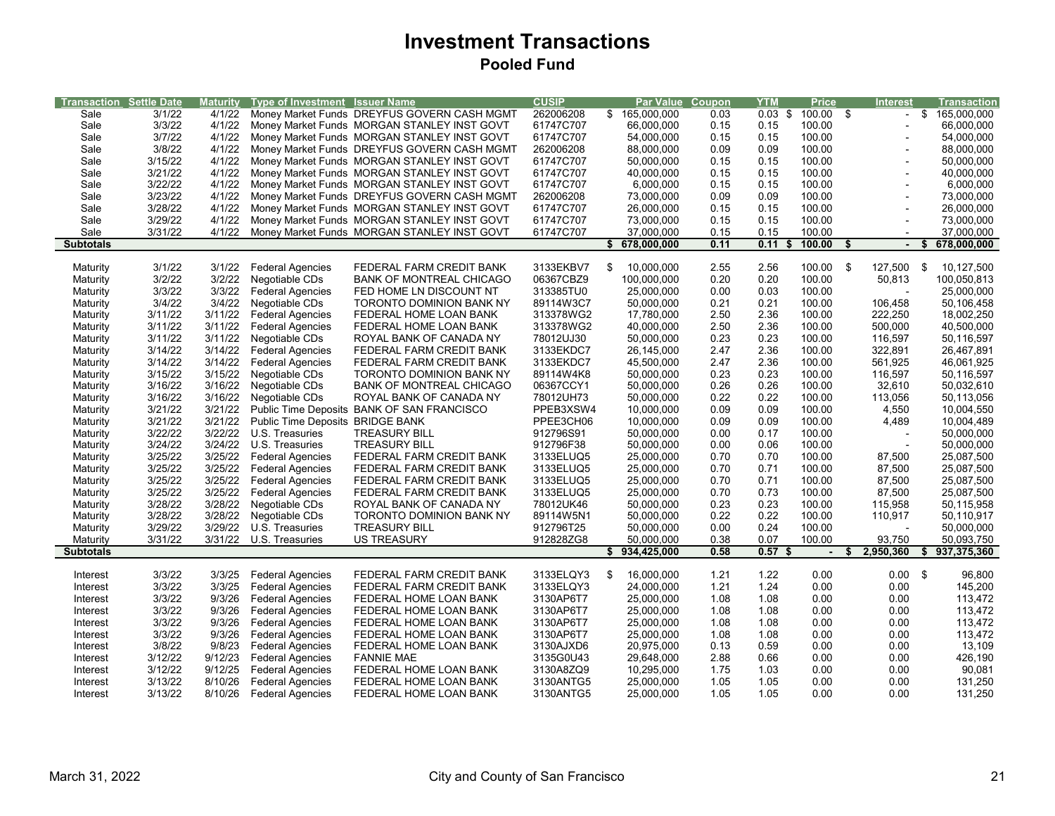## **Investment Transactions Pooled Fund**

| <b>Transaction Settle Date</b> |         | Maturity | <b>Type of Investment Issuer Name</b> |                                             | <b>CUSIP</b> |                  | <b>Par Value Coupon</b> | YTM               | <b>Price</b>   |      | <b>Interest</b>          |      | Transaction   |
|--------------------------------|---------|----------|---------------------------------------|---------------------------------------------|--------------|------------------|-------------------------|-------------------|----------------|------|--------------------------|------|---------------|
| Sale                           | 3/1/22  | 4/1/22   |                                       | Money Market Funds DREYFUS GOVERN CASH MGMT | 262006208    | \$165,000,000    | 0.03                    | $0.03 \text{ } $$ | 100.00 \$      |      | $\overline{\phantom{a}}$ |      | \$165,000,000 |
| Sale                           | 3/3/22  | 4/1/22   |                                       | Money Market Funds MORGAN STANLEY INST GOVT | 61747C707    | 66,000,000       | 0.15                    | 0.15              | 100.00         |      |                          |      | 66,000,000    |
|                                | 3/7/22  |          |                                       |                                             |              |                  |                         |                   |                |      |                          |      |               |
| Sale                           |         | 4/1/22   |                                       | Money Market Funds MORGAN STANLEY INST GOVT | 61747C707    | 54,000,000       | 0.15                    | 0.15              | 100.00         |      |                          |      | 54,000,000    |
| Sale                           | 3/8/22  | 4/1/22   |                                       | Money Market Funds DREYFUS GOVERN CASH MGMT | 262006208    | 88,000,000       | 0.09                    | 0.09              | 100.00         |      |                          |      | 88,000,000    |
| Sale                           | 3/15/22 | 4/1/22   |                                       | Money Market Funds MORGAN STANLEY INST GOVT | 61747C707    | 50,000,000       | 0.15                    | 0.15              | 100.00         |      | $\overline{a}$           |      | 50,000,000    |
| Sale                           | 3/21/22 | 4/1/22   |                                       | Money Market Funds MORGAN STANLEY INST GOVT | 61747C707    | 40,000,000       | 0.15                    | 0.15              | 100.00         |      |                          |      | 40,000,000    |
| Sale                           | 3/22/22 | 4/1/22   |                                       | Money Market Funds MORGAN STANLEY INST GOVT | 61747C707    | 6,000,000        | 0.15                    | 0.15              | 100.00         |      |                          |      | 6,000,000     |
| Sale                           | 3/23/22 | 4/1/22   |                                       | Money Market Funds DREYFUS GOVERN CASH MGMT | 262006208    | 73,000,000       | 0.09                    | 0.09              | 100.00         |      |                          |      | 73,000,000    |
| Sale                           | 3/28/22 | 4/1/22   |                                       | Money Market Funds MORGAN STANLEY INST GOVT | 61747C707    | 26,000,000       | 0.15                    | 0.15              | 100.00         |      | $\overline{a}$           |      | 26,000,000    |
| Sale                           | 3/29/22 | 4/1/22   |                                       | Money Market Funds MORGAN STANLEY INST GOVT | 61747C707    | 73,000,000       | 0.15                    | 0.15              | 100.00         |      | $\overline{a}$           |      | 73,000,000    |
| Sale                           | 3/31/22 | 4/1/22   |                                       | Money Market Funds MORGAN STANLEY INST GOVT | 61747C707    | 37,000,000       | 0.15                    | 0.15              | 100.00         |      |                          |      | 37,000,000    |
| <b>Subtotals</b>               |         |          |                                       |                                             |              | \$678,000,000    | 0.11                    | 0.11<br>S         | 100.00         | \$   | $\blacksquare$           | Ŝ.   | 678,000,000   |
|                                |         |          |                                       |                                             |              |                  |                         |                   |                |      |                          |      |               |
|                                | 3/1/22  |          | 3/1/22 Federal Agencies               | FEDERAL FARM CREDIT BANK                    | 3133EKBV7    | \$<br>10,000,000 | 2.55                    | 2.56              | 100.00         | - \$ | 127,500                  | - \$ | 10,127,500    |
| Maturity                       | 3/2/22  | 3/2/22   |                                       |                                             | 06367CBZ9    |                  | 0.20                    | 0.20              | 100.00         |      |                          |      | 100,050,813   |
| Maturity                       |         |          | Negotiable CDs                        | <b>BANK OF MONTREAL CHICAGO</b>             |              | 100,000,000      |                         |                   |                |      | 50,813                   |      |               |
| Maturity                       | 3/3/22  | 3/3/22   | <b>Federal Agencies</b>               | FED HOME LN DISCOUNT NT                     | 313385TU0    | 25,000,000       | 0.00                    | 0.03              | 100.00         |      |                          |      | 25,000,000    |
| Maturity                       | 3/4/22  | 3/4/22   | Negotiable CDs                        | TORONTO DOMINION BANK NY                    | 89114W3C7    | 50,000,000       | 0.21                    | 0.21              | 100.00         |      | 106,458                  |      | 50,106,458    |
| Maturity                       | 3/11/22 | 3/11/22  | <b>Federal Agencies</b>               | FEDERAL HOME LOAN BANK                      | 313378WG2    | 17,780,000       | 2.50                    | 2.36              | 100.00         |      | 222,250                  |      | 18,002,250    |
| Maturity                       | 3/11/22 | 3/11/22  | <b>Federal Agencies</b>               | FEDERAL HOME LOAN BANK                      | 313378WG2    | 40,000,000       | 2.50                    | 2.36              | 100.00         |      | 500,000                  |      | 40,500,000    |
| Maturity                       | 3/11/22 | 3/11/22  | Negotiable CDs                        | ROYAL BANK OF CANADA NY                     | 78012UJ30    | 50,000,000       | 0.23                    | 0.23              | 100.00         |      | 116,597                  |      | 50,116,597    |
| Maturity                       | 3/14/22 | 3/14/22  | <b>Federal Agencies</b>               | FEDERAL FARM CREDIT BANK                    | 3133EKDC7    | 26,145,000       | 2.47                    | 2.36              | 100.00         |      | 322,891                  |      | 26,467,891    |
| Maturity                       | 3/14/22 | 3/14/22  | <b>Federal Agencies</b>               | FEDERAL FARM CREDIT BANK                    | 3133EKDC7    | 45,500,000       | 2.47                    | 2.36              | 100.00         |      | 561,925                  |      | 46,061,925    |
| Maturity                       | 3/15/22 | 3/15/22  | Negotiable CDs                        | <b>TORONTO DOMINION BANK NY</b>             | 89114W4K8    | 50,000,000       | 0.23                    | 0.23              | 100.00         |      | 116,597                  |      | 50,116,597    |
| Maturity                       | 3/16/22 | 3/16/22  | Negotiable CDs                        | <b>BANK OF MONTREAL CHICAGO</b>             | 06367CCY1    | 50,000,000       | 0.26                    | 0.26              | 100.00         |      | 32,610                   |      | 50,032,610    |
| Maturity                       | 3/16/22 | 3/16/22  | Negotiable CDs                        | ROYAL BANK OF CANADA NY                     | 78012UH73    | 50,000,000       | 0.22                    | 0.22              | 100.00         |      | 113,056                  |      | 50,113,056    |
| Maturity                       | 3/21/22 | 3/21/22  |                                       | Public Time Deposits BANK OF SAN FRANCISCO  | PPEB3XSW4    | 10,000,000       | 0.09                    | 0.09              | 100.00         |      | 4,550                    |      | 10,004,550    |
|                                | 3/21/22 |          |                                       |                                             | PPEE3CH06    |                  |                         |                   |                |      |                          |      |               |
| Maturity                       |         | 3/21/22  | Public Time Deposits BRIDGE BANK      |                                             |              | 10,000,000       | 0.09                    | 0.09              | 100.00         |      | 4,489                    |      | 10,004,489    |
| Maturity                       | 3/22/22 | 3/22/22  | U.S. Treasuries                       | <b>TREASURY BILL</b>                        | 912796S91    | 50,000,000       | 0.00                    | 0.17              | 100.00         |      | $\overline{\phantom{a}}$ |      | 50,000,000    |
| Maturity                       | 3/24/22 | 3/24/22  | U.S. Treasuries                       | <b>TREASURY BILL</b>                        | 912796F38    | 50,000,000       | 0.00                    | 0.06              | 100.00         |      |                          |      | 50,000,000    |
| Maturity                       | 3/25/22 | 3/25/22  | <b>Federal Agencies</b>               | FEDERAL FARM CREDIT BANK                    | 3133ELUQ5    | 25,000,000       | 0.70                    | 0.70              | 100.00         |      | 87,500                   |      | 25,087,500    |
| Maturity                       | 3/25/22 | 3/25/22  | <b>Federal Agencies</b>               | FEDERAL FARM CREDIT BANK                    | 3133ELUQ5    | 25,000,000       | 0.70                    | 0.71              | 100.00         |      | 87,500                   |      | 25,087,500    |
| Maturity                       | 3/25/22 | 3/25/22  | <b>Federal Agencies</b>               | FEDERAL FARM CREDIT BANK                    | 3133ELUQ5    | 25,000,000       | 0.70                    | 0.71              | 100.00         |      | 87,500                   |      | 25,087,500    |
| Maturity                       | 3/25/22 | 3/25/22  | <b>Federal Agencies</b>               | FEDERAL FARM CREDIT BANK                    | 3133ELUQ5    | 25,000,000       | 0.70                    | 0.73              | 100.00         |      | 87,500                   |      | 25,087,500    |
| Maturity                       | 3/28/22 | 3/28/22  | Negotiable CDs                        | ROYAL BANK OF CANADA NY                     | 78012UK46    | 50,000,000       | 0.23                    | 0.23              | 100.00         |      | 115,958                  |      | 50,115,958    |
| Maturity                       | 3/28/22 | 3/28/22  | Negotiable CDs                        | TORONTO DOMINION BANK NY                    | 89114W5N1    | 50,000,000       | 0.22                    | 0.22              | 100.00         |      | 110,917                  |      | 50,110,917    |
| Maturity                       | 3/29/22 | 3/29/22  | U.S. Treasuries                       | <b>TREASURY BILL</b>                        | 912796T25    | 50,000,000       | 0.00                    | 0.24              | 100.00         |      | $\overline{\phantom{a}}$ |      | 50,000,000    |
| Maturity                       | 3/31/22 |          | 3/31/22 U.S. Treasuries               | <b>US TREASURY</b>                          | 912828ZG8    | 50,000,000       | 0.38                    | 0.07              | 100.00         |      | 93,750                   |      | 50,093,750    |
| <b>Subtotals</b>               |         |          |                                       |                                             |              | \$934,425,000    | 0.58                    | 0.57 <sub>5</sub> | $\blacksquare$ |      | 2,950,360                | S    | 937,375,360   |
|                                |         |          |                                       |                                             |              |                  |                         |                   |                |      |                          |      |               |
|                                | 3/3/22  | 3/3/25   | <b>Federal Agencies</b>               | FEDERAL FARM CREDIT BANK                    | 3133ELQY3    | \$<br>16,000,000 | 1.21                    | 1.22              | 0.00           |      | $0.00$ \$                |      | 96,800        |
| Interest<br>Interest           | 3/3/22  | 3/3/25   | <b>Federal Agencies</b>               | FEDERAL FARM CREDIT BANK                    | 3133ELQY3    | 24,000,000       | 1.21                    | 1.24              | 0.00           |      | 0.00                     |      | 145,200       |
|                                |         |          |                                       |                                             |              |                  |                         |                   |                |      |                          |      |               |
| Interest                       | 3/3/22  | 9/3/26   | <b>Federal Agencies</b>               | FEDERAL HOME LOAN BANK                      | 3130AP6T7    | 25,000,000       | 1.08                    | 1.08              | 0.00           |      | 0.00                     |      | 113,472       |
| Interest                       | 3/3/22  | 9/3/26   | <b>Federal Agencies</b>               | FEDERAL HOME LOAN BANK                      | 3130AP6T7    | 25,000,000       | 1.08                    | 1.08              | 0.00           |      | 0.00                     |      | 113,472       |
| Interest                       | 3/3/22  | 9/3/26   | <b>Federal Agencies</b>               | FEDERAL HOME LOAN BANK                      | 3130AP6T7    | 25,000,000       | 1.08                    | 1.08              | 0.00           |      | 0.00                     |      | 113,472       |
| Interest                       | 3/3/22  | 9/3/26   | <b>Federal Agencies</b>               | FEDERAL HOME LOAN BANK                      | 3130AP6T7    | 25,000,000       | 1.08                    | 1.08              | 0.00           |      | 0.00                     |      | 113,472       |
| Interest                       | 3/8/22  | 9/8/23   | <b>Federal Agencies</b>               | FEDERAL HOME LOAN BANK                      | 3130AJXD6    | 20,975,000       | 0.13                    | 0.59              | 0.00           |      | 0.00                     |      | 13,109        |
| Interest                       | 3/12/22 | 9/12/23  | <b>Federal Agencies</b>               | <b>FANNIE MAE</b>                           | 3135G0U43    | 29,648,000       | 2.88                    | 0.66              | 0.00           |      | 0.00                     |      | 426,190       |
| Interest                       | 3/12/22 | 9/12/25  | <b>Federal Agencies</b>               | FEDERAL HOME LOAN BANK                      | 3130A8ZQ9    | 10,295,000       | 1.75                    | 1.03              | 0.00           |      | 0.00                     |      | 90,081        |
| Interest                       | 3/13/22 | 8/10/26  | <b>Federal Agencies</b>               | FEDERAL HOME LOAN BANK                      | 3130ANTG5    | 25,000,000       | 1.05                    | 1.05              | 0.00           |      | 0.00                     |      | 131,250       |
| Interest                       | 3/13/22 | 8/10/26  | <b>Federal Agencies</b>               | FEDERAL HOME LOAN BANK                      | 3130ANTG5    | 25,000,000       | 1.05                    | 1.05              | 0.00           |      | 0.00                     |      | 131,250       |
|                                |         |          |                                       |                                             |              |                  |                         |                   |                |      |                          |      |               |